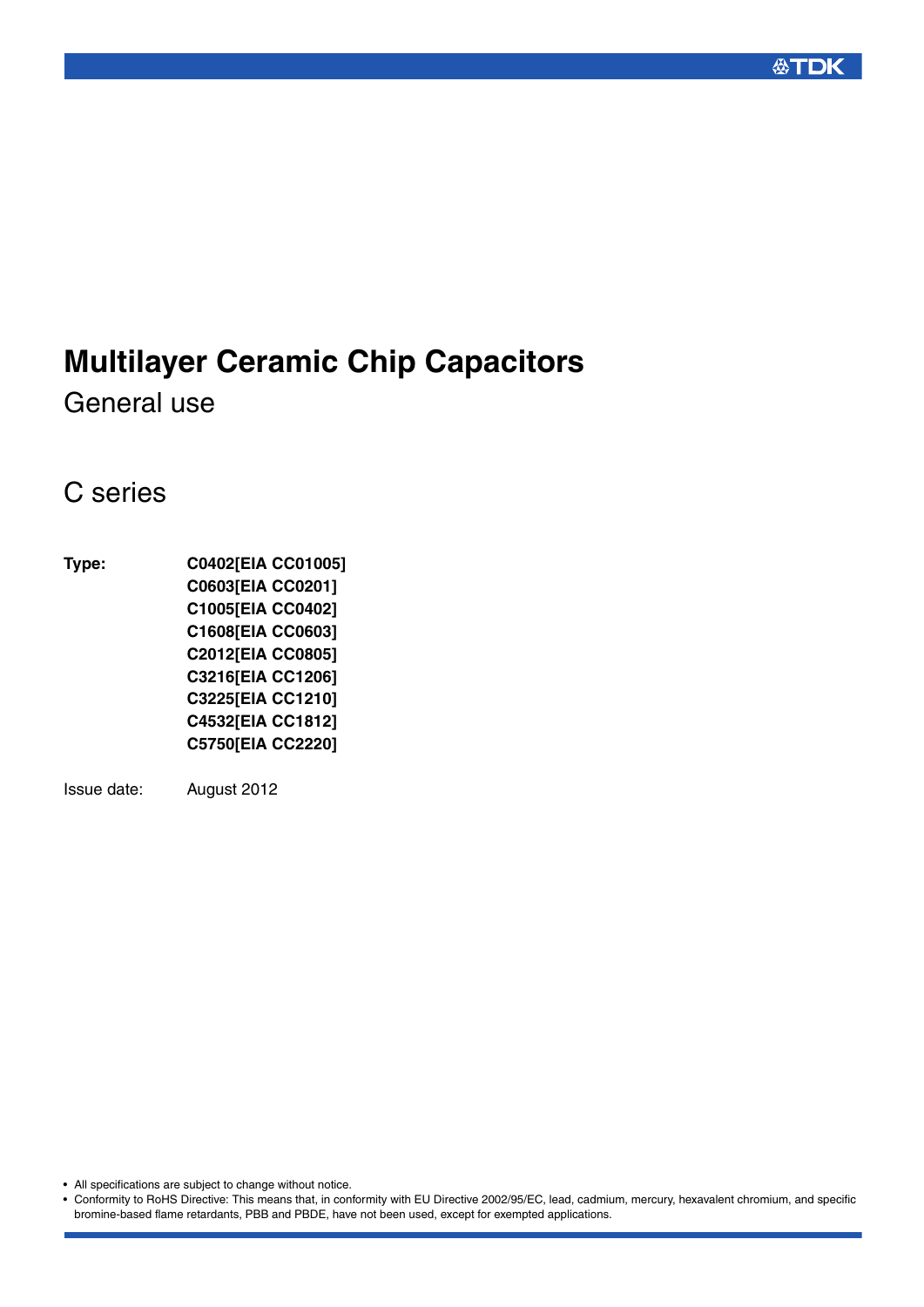# **Multilayer Ceramic Chip Capacitors**

General use

## C series

**Type: C0402[EIA CC01005] C0603[EIA CC0201] C1005[EIA CC0402] C1608[EIA CC0603] C2012[EIA CC0805] C3216[EIA CC1206] C3225[EIA CC1210] C4532[EIA CC1812] C5750[EIA CC2220]**

Issue date: August 2012

• All specifications are subject to change without notice.

• Conformity to RoHS Directive: This means that, in conformity with EU Directive 2002/95/EC, lead, cadmium, mercury, hexavalent chromium, and specific bromine-based flame retardants, PBB and PBDE, have not been used, except for exempted applications.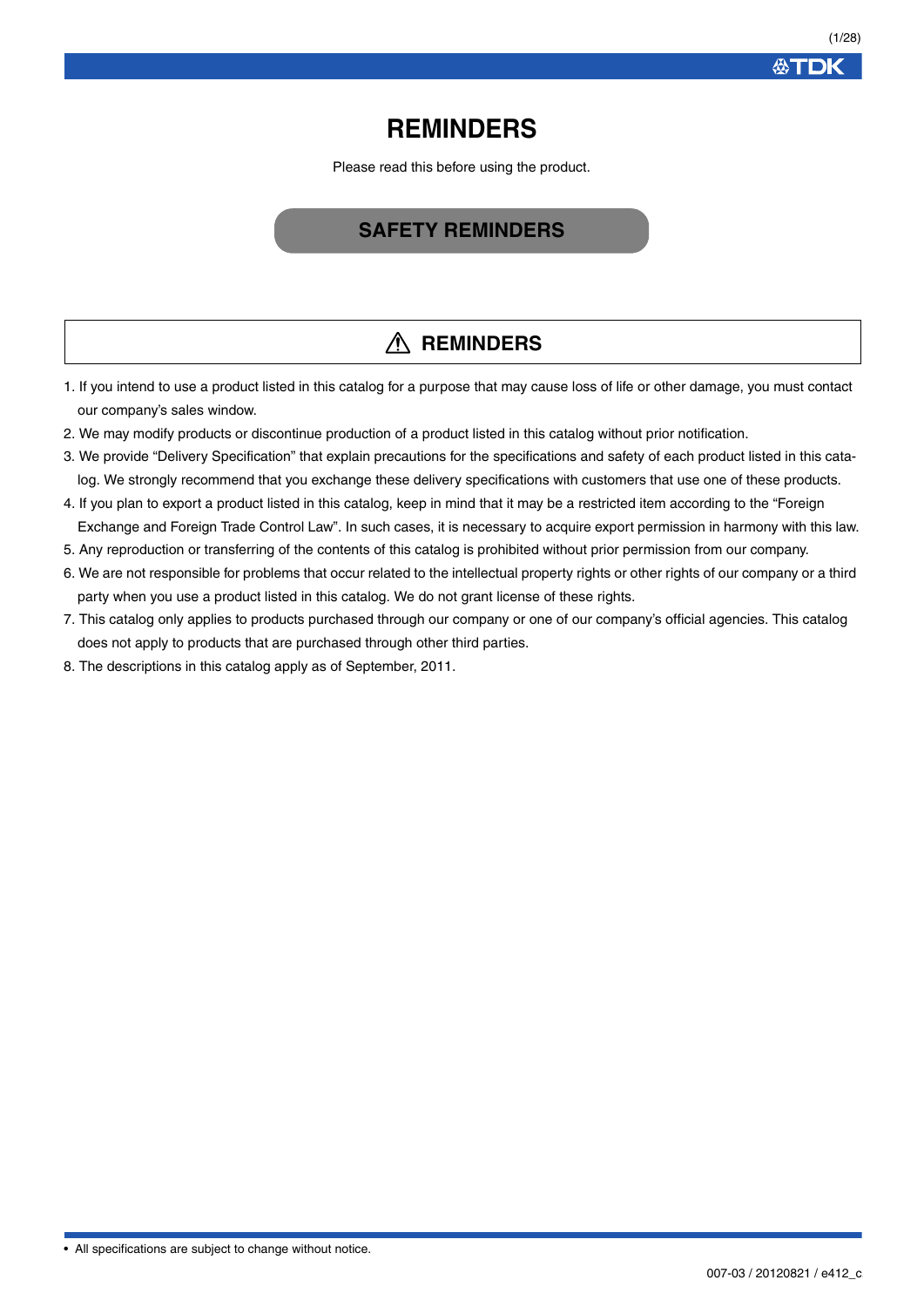**公丁口K** 

## **REMINDERS**

Please read this before using the product.

## **SAFETY REMINDERS**

## **REMINDERS**

- 1. If you intend to use a product listed in this catalog for a purpose that may cause loss of life or other damage, you must contact our company's sales window.
- 2. We may modify products or discontinue production of a product listed in this catalog without prior notification.
- 3. We provide "Delivery Specification" that explain precautions for the specifications and safety of each product listed in this catalog. We strongly recommend that you exchange these delivery specifications with customers that use one of these products.
- 4. If you plan to export a product listed in this catalog, keep in mind that it may be a restricted item according to the "Foreign Exchange and Foreign Trade Control Law". In such cases, it is necessary to acquire export permission in harmony with this law.
- 5. Any reproduction or transferring of the contents of this catalog is prohibited without prior permission from our company.
- 6. We are not responsible for problems that occur related to the intellectual property rights or other rights of our company or a third party when you use a product listed in this catalog. We do not grant license of these rights.
- 7. This catalog only applies to products purchased through our company or one of our company's official agencies. This catalog does not apply to products that are purchased through other third parties.
- 8. The descriptions in this catalog apply as of September, 2011.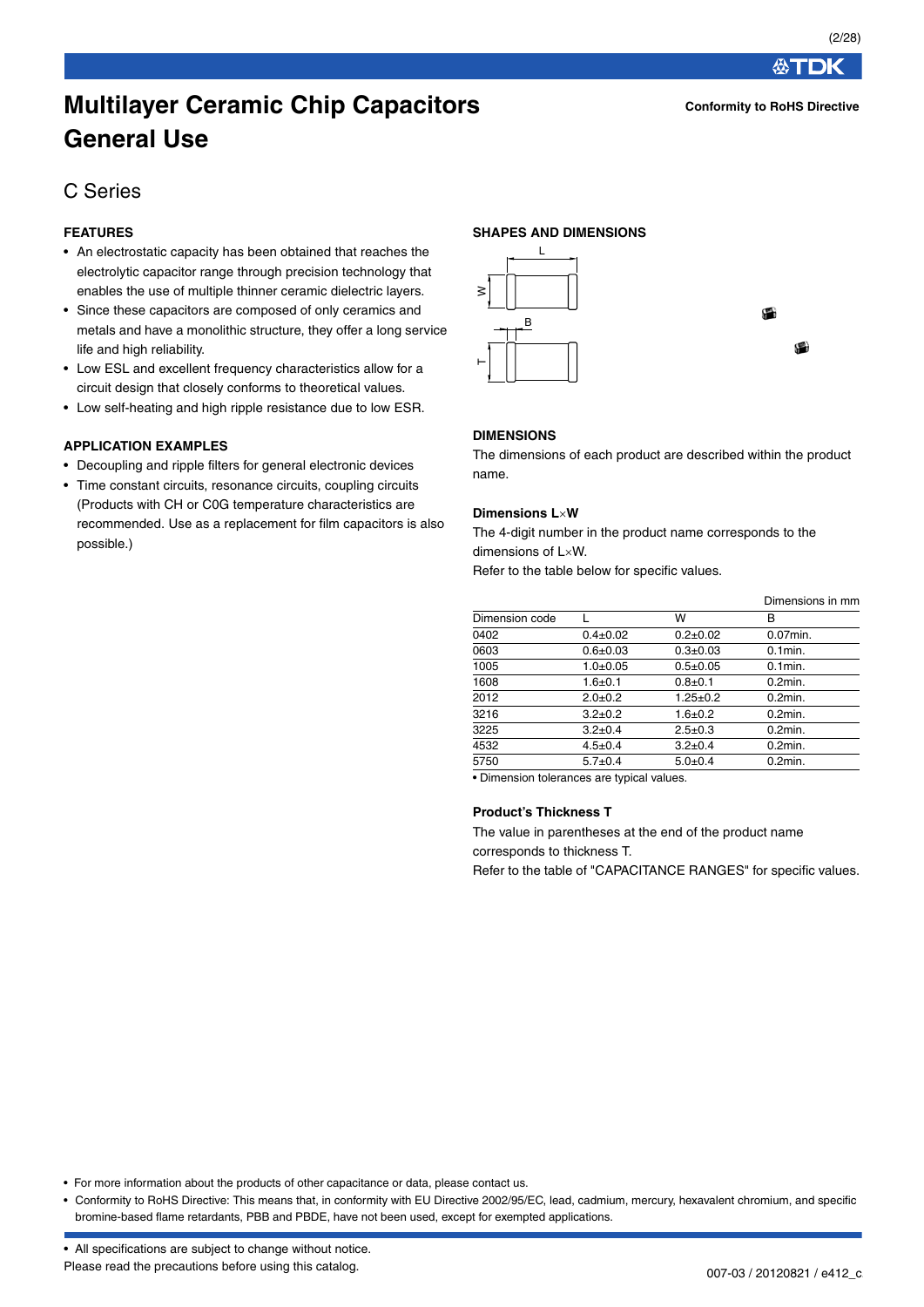**Conformity to RoHS Directive**

**公丁口K** 

## **Multilayer Ceramic Chip Capacitors General Use**

## C Series

## **FEATURES**

- An electrostatic capacity has been obtained that reaches the electrolytic capacitor range through precision technology that enables the use of multiple thinner ceramic dielectric layers.
- Since these capacitors are composed of only ceramics and metals and have a monolithic structure, they offer a long service life and high reliability.
- Low ESL and excellent frequency characteristics allow for a circuit design that closely conforms to theoretical values.
- Low self-heating and high ripple resistance due to low ESR.

#### **APPLICATION EXAMPLES**

- Decoupling and ripple filters for general electronic devices
- Time constant circuits, resonance circuits, coupling circuits (Products with CH or C0G temperature characteristics are recommended. Use as a replacement for film capacitors is also possible.)

#### **SHAPES AND DIMENSIONS**



#### **DIMENSIONS**

The dimensions of each product are described within the product name.

#### **Dimensions LW**

The 4-digit number in the product name corresponds to the dimensions of LxW.

Refer to the table below for specific values.

|                |                |                | Dimensions in mm |
|----------------|----------------|----------------|------------------|
| Dimension code |                | w              | в                |
| 0402           | $0.4 \pm 0.02$ | $0.2 \pm 0.02$ | 0.07min.         |
| 0603           | $0.6 + 0.03$   | $0.3 + 0.03$   | $0.1$ min.       |
| 1005           | $1.0 + 0.05$   | $0.5 + 0.05$   | $0.1$ min.       |
| 1608           | $1.6 + 0.1$    | $0.8 + 0.1$    | $0.2$ min.       |
| 2012           | $2.0 + 0.2$    | $1.25 \pm 0.2$ | $0.2$ min.       |
| 3216           | $3.2 \pm 0.2$  | $1.6 + 0.2$    | $0.2$ min.       |
| 3225           | $3.2 \pm 0.4$  | $2.5 \pm 0.3$  | $0.2$ min.       |
| 4532           | $4.5 \pm 0.4$  | $3.2 \pm 0.4$  | $0.2$ min.       |
| 5750           | $5.7 \pm 0.4$  | $5.0+0.4$      | $0.2$ min.       |
|                |                |                |                  |

• Dimension tolerances are typical values.

#### **Product's Thickness T**

The value in parentheses at the end of the product name corresponds to thickness T.

Refer to the table of "CAPACITANCE RANGES" for specific values.

• For more information about the products of other capacitance or data, please contact us.

• Conformity to RoHS Directive: This means that, in conformity with EU Directive 2002/95/EC, lead, cadmium, mercury, hexavalent chromium, and specific bromine-based flame retardants, PBB and PBDE, have not been used, except for exempted applications.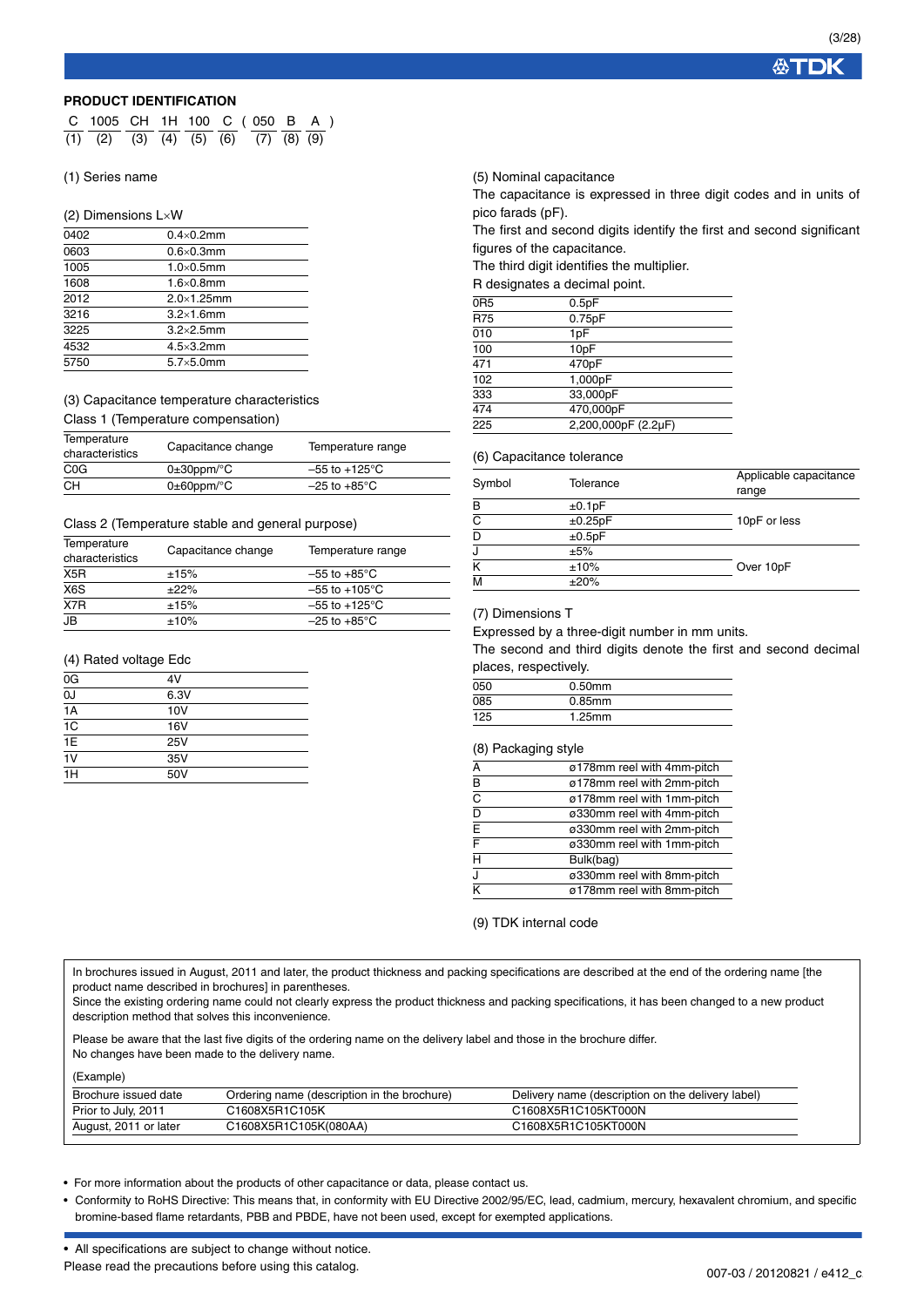公丁

#### **PRODUCT IDENTIFICATION**

| C 1005 CH 1H 100 C (050 B A )                         |  |  |  |  |  |
|-------------------------------------------------------|--|--|--|--|--|
| $(1)$ $(2)$ $(3)$ $(4)$ $(5)$ $(6)$ $(7)$ $(8)$ $(9)$ |  |  |  |  |  |

#### (1) Series name

#### (2) Dimensions LW

| 0402 | $0.4\times0.2$ mm   |  |
|------|---------------------|--|
| 0603 | $0.6 \times 0.3$ mm |  |
| 1005 | $1.0\times0.5$ mm   |  |
| 1608 | $1.6\times0.8$ mm   |  |
| 2012 | $2.0\times1.25$ mm  |  |
| 3216 | $3.2\times1.6$ mm   |  |
| 3225 | $3.2\times2.5$ mm   |  |
| 4532 | $4.5\times3.2$ mm   |  |
| 5750 | $5.7\times5.0$ mm   |  |

#### (3) Capacitance temperature characteristics Class 1 (Temperature compensation)

| Temperature<br>characteristics | Capacitance change         | Temperature range         |
|--------------------------------|----------------------------|---------------------------|
| C <sub>0</sub> G               | $0\pm 30$ ppm/ $\degree$ C | $-55$ to $+125^{\circ}$ C |
| CН                             | $0\pm 60$ ppm/ $\degree$ C | $-25$ to $+85^{\circ}$ C  |

#### Class 2 (Temperature stable and general purpose)

| Temperature<br>characteristics | Capacitance change | Temperature range         |
|--------------------------------|--------------------|---------------------------|
| X <sub>5</sub> R               | ±15%               | $-55$ to $+85^{\circ}$ C  |
| X6S                            | ±22%               | $-55$ to $+105^{\circ}$ C |
| X7R                            | ±15%               | $-55$ to $+125^{\circ}$ C |
| JB                             | $±10\%$            | $-25$ to $+85^{\circ}$ C  |

#### (4) Rated voltage Edc

| 0G              | 4V         |  |
|-----------------|------------|--|
| 0J              | 6.3V       |  |
| 1A              | 10V        |  |
| 1C              | 16V        |  |
| $\overline{1E}$ | <b>25V</b> |  |
| $\overline{1V}$ | 35V        |  |
| 1H              | 50V        |  |

#### (5) Nominal capacitance

The capacitance is expressed in three digit codes and in units of pico farads (pF).

The first and second digits identify the first and second significant figures of the capacitance.

The third digit identifies the multiplier.

R designates a decimal point.

| 0 <sub>R5</sub> | 0.5pF               |
|-----------------|---------------------|
| <b>R75</b>      | 0.75pF              |
| 010             | 1pF                 |
| 100             | 10pF                |
| 471             | 470pF               |
| 102             | 1,000pF             |
| 333             | 33,000pF            |
| 474             | 470,000pF           |
| 225             | 2,200,000pF (2.2µF) |
|                 |                     |

#### (6) Capacitance tolerance

| Symbol | Tolerance | Applicable capacitance<br>range |
|--------|-----------|---------------------------------|
| в      | ±0.1pF    |                                 |
| C      | ±0.25pF   | 10pF or less                    |
| D      | ±0.5pF    |                                 |
| J      | ±5%       |                                 |
| K      | ±10%      | Over 10pF                       |
| M      | ±20%      |                                 |

#### (7) Dimensions T

Expressed by a three-digit number in mm units.

The second and third digits denote the first and second decimal places, respectively.

| 125 | $1.25$ mm |  |
|-----|-----------|--|
| 085 | $0.85$ mm |  |
| 050 | $0.50$ mm |  |

#### (8) Packaging style

| А                  | ø178mm reel with 4mm-pitch |
|--------------------|----------------------------|
| B                  | ø178mm reel with 2mm-pitch |
| $\overline{\rm c}$ | ø178mm reel with 1mm-pitch |
| D                  | ø330mm reel with 4mm-pitch |
| E                  | ø330mm reel with 2mm-pitch |
| F                  | ø330mm reel with 1mm-pitch |
| H                  | Bulk(bag)                  |
| J                  | ø330mm reel with 8mm-pitch |
| K                  | ø178mm reel with 8mm-pitch |

(9) TDK internal code

In brochures issued in August, 2011 and later, the product thickness and packing specifications are described at the end of the ordering name [the product name described in brochures] in parentheses.

Since the existing ordering name could not clearly express the product thickness and packing specifications, it has been changed to a new product description method that solves this inconvenience.

Please be aware that the last five digits of the ordering name on the delivery label and those in the brochure differ. No changes have been made to the delivery name.

| (Example) |  |  |  |  |  |
|-----------|--|--|--|--|--|
|-----------|--|--|--|--|--|

| Brochure issued date  | Ordering name (description in the brochure) | Delivery name (description on the delivery label) |
|-----------------------|---------------------------------------------|---------------------------------------------------|
| Prior to July, 2011   | C1608X5R1C105K                              | C1608X5R1C105KT000N                               |
| August, 2011 or later | C1608X5R1C105K(080AA)                       | C1608X5R1C105KT000N                               |

• For more information about the products of other capacitance or data, please contact us.

• Conformity to RoHS Directive: This means that, in conformity with EU Directive 2002/95/EC, lead, cadmium, mercury, hexavalent chromium, and specific bromine-based flame retardants, PBB and PBDE, have not been used, except for exempted applications.

| • All specifications are subject to change without notice. |
|------------------------------------------------------------|
| Please read the precautions before using this catalog.     |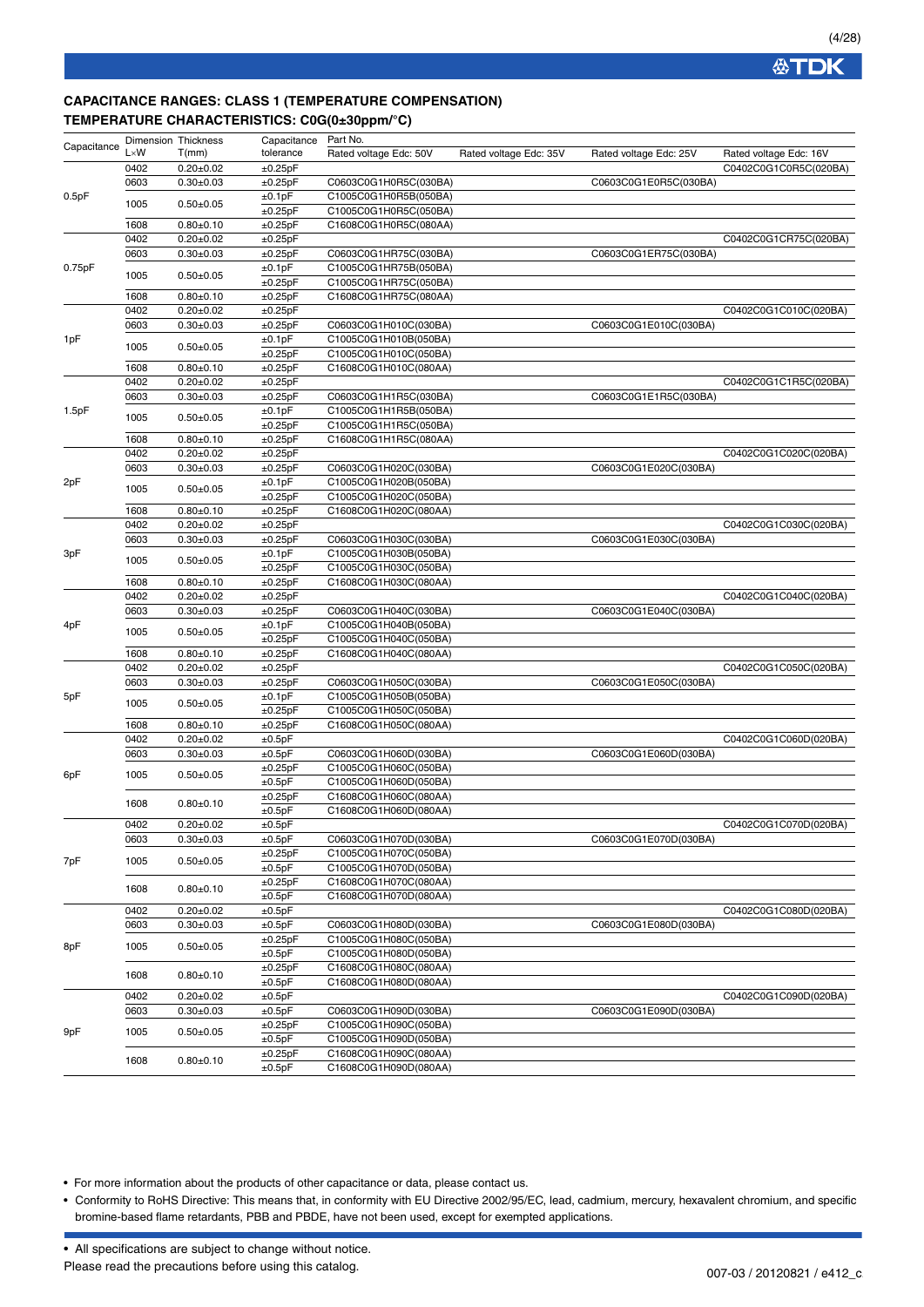## **CAPACITANCE RANGES: CLASS 1 (TEMPERATURE COMPENSATION) TEMPERATURE CHARACTERISTICS: C0G(0±30ppm/°C)**

| Capacitance | <b>Dimension Thickness</b><br>$L \times W$ | T(mm)                            | Capacitance<br>tolerance | Part No.<br>Rated voltage Edc: 50V             | Rated voltage Edc: 35V | Rated voltage Edc: 25V | Rated voltage Edc: 16V |
|-------------|--------------------------------------------|----------------------------------|--------------------------|------------------------------------------------|------------------------|------------------------|------------------------|
|             | 0402                                       | $0.20 + 0.02$                    | ±0.25pF                  |                                                |                        |                        | C0402C0G1C0R5C(020BA)  |
|             | 0603                                       | $0.30 + 0.03$                    | ±0.25pF                  | C0603C0G1H0R5C(030BA)                          |                        | C0603C0G1E0R5C(030BA)  |                        |
| 0.5pF       |                                            |                                  | ±0.1pF                   | C1005C0G1H0R5B(050BA)                          |                        |                        |                        |
|             | 1005                                       | $0.50 + 0.05$                    | ±0.25pF                  | C1005C0G1H0R5C(050BA)                          |                        |                        |                        |
|             | 1608                                       | $0.80 + 0.10$                    | ±0.25pF                  | C1608C0G1H0R5C(080AA)                          |                        |                        |                        |
|             | 0402                                       | $0.20 \pm 0.02$                  | ±0.25pF                  |                                                |                        |                        | C0402C0G1CR75C(020BA)  |
|             | 0603                                       | $0.30 + 0.03$                    | ±0.25pF                  | C0603C0G1HR75C(030BA)                          |                        | C0603C0G1ER75C(030BA)  |                        |
| 0.75pF      |                                            |                                  | ±0.1pF                   | C1005C0G1HR75B(050BA)                          |                        |                        |                        |
|             | 1005                                       | $0.50 \pm 0.05$                  | ±0.25pF                  | C1005C0G1HR75C(050BA)                          |                        |                        |                        |
|             | 1608                                       | $0.80 + 0.10$                    | ±0.25pF                  | C1608C0G1HR75C(080AA)                          |                        |                        |                        |
|             | 0402                                       | $0.20 \pm 0.02$                  | ±0.25pF                  |                                                |                        |                        | C0402C0G1C010C(020BA)  |
|             | 0603                                       | $0.30 + 0.03$                    | ±0.25pF                  | C0603C0G1H010C(030BA)                          |                        | C0603C0G1E010C(030BA)  |                        |
| 1pF         | 1005                                       | $0.50 + 0.05$                    | ±0.1pF                   | C1005C0G1H010B(050BA)                          |                        |                        |                        |
|             |                                            |                                  | ±0.25pF                  | C1005C0G1H010C(050BA)                          |                        |                        |                        |
|             | 1608                                       | $0.80 + 0.10$                    | ±0.25pF                  | C1608C0G1H010C(080AA)                          |                        |                        |                        |
|             | 0402                                       | $0.20 \pm 0.02$                  | ±0.25pF                  |                                                |                        |                        | C0402C0G1C1R5C(020BA)  |
|             | 0603                                       | $0.30 \pm 0.03$                  | ±0.25pF                  | C0603C0G1H1R5C(030BA)                          |                        | C0603C0G1E1R5C(030BA)  |                        |
| 1.5pF       | 1005                                       | $0.50 + 0.05$                    | ±0.1pF                   | C1005C0G1H1R5B(050BA)                          |                        |                        |                        |
|             |                                            |                                  | ±0.25pF                  | C1005C0G1H1R5C(050BA)                          |                        |                        |                        |
|             | 1608<br>0402                               | $0.80 + 0.10$<br>$0.20 \pm 0.02$ | ±0.25pF                  | C1608C0G1H1R5C(080AA)                          |                        |                        | C0402C0G1C020C(020BA)  |
|             | 0603                                       | $0.30 + 0.03$                    | ±0.25pF<br>±0.25pF       | C0603C0G1H020C(030BA)                          |                        | C0603C0G1E020C(030BA)  |                        |
| 2pF         |                                            |                                  | ±0.1pF                   | C1005C0G1H020B(050BA)                          |                        |                        |                        |
|             | 1005                                       | $0.50 + 0.05$                    | ±0.25pF                  | C1005C0G1H020C(050BA)                          |                        |                        |                        |
|             | 1608                                       | $0.80 + 0.10$                    | ±0.25pF                  | C1608C0G1H020C(080AA)                          |                        |                        |                        |
|             | 0402                                       | $0.20 + 0.02$                    | ±0.25pF                  |                                                |                        |                        | C0402C0G1C030C(020BA)  |
| 3pF         | 0603                                       | $0.30 + 0.03$                    | ±0.25pF                  | C0603C0G1H030C(030BA)                          |                        | C0603C0G1E030C(030BA)  |                        |
|             |                                            |                                  | ±0.1pF                   | C1005C0G1H030B(050BA)                          |                        |                        |                        |
|             | 1005                                       | $0.50 + 0.05$                    | ±0.25pF                  | C1005C0G1H030C(050BA)                          |                        |                        |                        |
|             | 1608                                       | $0.80 + 0.10$                    | ±0.25pF                  | C1608C0G1H030C(080AA)                          |                        |                        |                        |
|             | 0402                                       | $0.20 \pm 0.02$                  | ±0.25pF                  |                                                |                        |                        | C0402C0G1C040C(020BA)  |
|             | 0603                                       | $0.30 \pm 0.03$                  | ±0.25pF                  | C0603C0G1H040C(030BA)                          |                        | C0603C0G1E040C(030BA)  |                        |
| 4pF         | 1005                                       | $0.50 + 0.05$                    | ±0.1pF                   | C1005C0G1H040B(050BA)                          |                        |                        |                        |
|             |                                            |                                  | ±0.25pF                  | C1005C0G1H040C(050BA)                          |                        |                        |                        |
|             | 1608                                       | $0.80 + 0.10$                    | ±0.25pF                  | C1608C0G1H040C(080AA)                          |                        |                        |                        |
|             | 0402                                       | $0.20 \pm 0.02$                  | ±0.25pF                  |                                                |                        |                        | C0402C0G1C050C(020BA)  |
|             | 0603                                       | $0.30 \pm 0.03$                  | ±0.25pF                  | C0603C0G1H050C(030BA)                          |                        | C0603C0G1E050C(030BA)  |                        |
| 5pF         | 1005                                       | $0.50 \pm 0.05$                  | ±0.1pF                   | C1005C0G1H050B(050BA)                          |                        |                        |                        |
|             | 1608                                       | $0.80 + 0.10$                    | ±0.25pF<br>±0.25pF       | C1005C0G1H050C(050BA)<br>C1608C0G1H050C(080AA) |                        |                        |                        |
|             | 0402                                       | $0.20 + 0.02$                    | ±0.5pF                   |                                                |                        |                        | C0402C0G1C060D(020BA)  |
|             | 0603                                       | $0.30 + 0.03$                    | ±0.5pF                   | C0603C0G1H060D(030BA)                          |                        | C0603C0G1E060D(030BA)  |                        |
|             |                                            |                                  | ±0.25pF                  | C1005C0G1H060C(050BA)                          |                        |                        |                        |
| 6pF         | 1005                                       | $0.50 + 0.05$                    | ±0.5pF                   | C1005C0G1H060D(050BA)                          |                        |                        |                        |
|             |                                            |                                  | ±0.25pF                  | C1608C0G1H060C(080AA)                          |                        |                        |                        |
|             | 1608                                       | $0.80 + 0.10$                    | ±0.5pF                   | C1608C0G1H060D(080AA)                          |                        |                        |                        |
|             | 0402                                       | $0.20 \pm 0.02$                  | ±0.5pF                   |                                                |                        |                        | C0402C0G1C070D(020BA)  |
|             | 0603                                       | $0.30 + 0.03$                    | ±0.5pF                   | C0603C0G1H070D(030BA)                          |                        | C0603C0G1E070D(030BA)  |                        |
|             |                                            |                                  | ±0.25pF                  | C1005C0G1H070C(050BA)                          |                        |                        |                        |
| 7pF         | 1005                                       | $0.50 + 0.05$                    | ±0.5pF                   | C1005C0G1H070D(050BA)                          |                        |                        |                        |
|             | 1608                                       |                                  | ±0.25pF                  | C1608C0G1H070C(080AA)                          |                        |                        |                        |
|             |                                            | $0.80 + 0.10$                    | ±0.5pF                   | C1608C0G1H070D(080AA)                          |                        |                        |                        |
|             | 0402                                       | $0.20 \pm 0.02$                  | ±0.5pF                   |                                                |                        |                        | C0402C0G1C080D(020BA)  |
|             | 0603                                       | $0.30 \pm 0.03$                  | ±0.5pF                   | C0603C0G1H080D(030BA)                          |                        | C0603C0G1E080D(030BA)  |                        |
| 8pF         | 1005                                       | $0.50 \pm 0.05$                  | ±0.25pF                  | C1005C0G1H080C(050BA)                          |                        |                        |                        |
|             |                                            |                                  | ±0.5pF                   | C1005C0G1H080D(050BA)                          |                        |                        |                        |
|             | 1608                                       | $0.80 + 0.10$                    | ±0.25pF                  | C1608C0G1H080C(080AA)                          |                        |                        |                        |
|             |                                            |                                  | ±0.5pF                   | C1608C0G1H080D(080AA)                          |                        |                        |                        |
|             | 0402                                       | $0.20 \pm 0.02$                  | ±0.5pF                   |                                                |                        |                        | C0402C0G1C090D(020BA)  |
|             | 0603                                       | $0.30 \pm 0.03$                  | $\pm 0.5$ pF             | C0603C0G1H090D(030BA)                          |                        | C0603C0G1E090D(030BA)  |                        |
| 9pF         | 1005                                       | $0.50 \pm 0.05$                  | ±0.25pF                  | C1005C0G1H090C(050BA)                          |                        |                        |                        |
|             |                                            |                                  | ±0.5pF                   | C1005C0G1H090D(050BA)                          |                        |                        |                        |
|             | 1608                                       | $0.80 \pm 0.10$                  | ±0.25pF<br>±0.5pF        | C1608C0G1H090C(080AA)<br>C1608C0G1H090D(080AA) |                        |                        |                        |
|             |                                            |                                  |                          |                                                |                        |                        |                        |

• For more information about the products of other capacitance or data, please contact us.

• Conformity to RoHS Directive: This means that, in conformity with EU Directive 2002/95/EC, lead, cadmium, mercury, hexavalent chromium, and specific bromine-based flame retardants, PBB and PBDE, have not been used, except for exempted applications.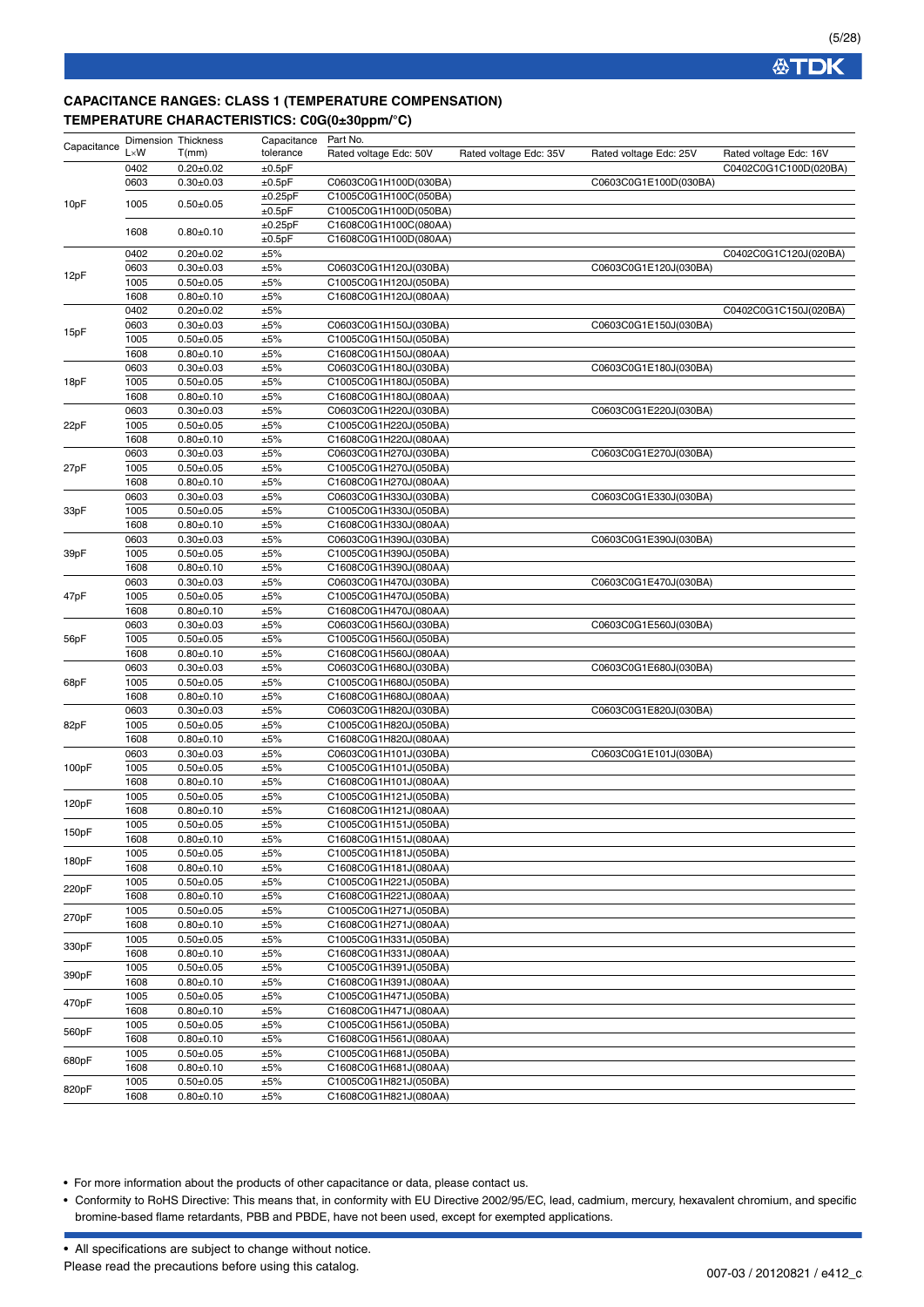## **CAPACITANCE RANGES: CLASS 1 (TEMPERATURE COMPENSATION) TEMPERATURE CHARACTERISTICS: C0G(0±30ppm/°C)**

| Capacitance | <b>Dimension Thickness</b> |                 | Capacitance | Part No.               |                        |                        |                        |
|-------------|----------------------------|-----------------|-------------|------------------------|------------------------|------------------------|------------------------|
|             | $L \times W$               | T(mm)           | tolerance   | Rated voltage Edc: 50V | Rated voltage Edc: 35V | Rated voltage Edc: 25V | Rated voltage Edc: 16V |
|             | 0402                       | $0.20 \pm 0.02$ | ±0.5pF      |                        |                        |                        | C0402C0G1C100D(020BA)  |
|             | 0603                       | $0.30 + 0.03$   | ±0.5pF      | C0603C0G1H100D(030BA)  |                        | C0603C0G1E100D(030BA)  |                        |
|             |                            |                 | ±0.25pF     | C1005C0G1H100C(050BA)  |                        |                        |                        |
| 10pF        | 1005                       | $0.50 + 0.05$   | ±0.5pF      | C1005C0G1H100D(050BA)  |                        |                        |                        |
|             |                            |                 | ±0.25pF     | C1608C0G1H100C(080AA)  |                        |                        |                        |
|             | 1608                       | $0.80 + 0.10$   | ±0.5pF      | C1608C0G1H100D(080AA)  |                        |                        |                        |
|             | 0402                       | $0.20 + 0.02$   | ±5%         |                        |                        |                        | C0402C0G1C120J(020BA)  |
|             | 0603                       | $0.30 + 0.03$   | ±5%         | C0603C0G1H120J(030BA)  |                        | C0603C0G1E120J(030BA)  |                        |
| 12pF        | 1005                       | $0.50 + 0.05$   | ±5%         | C1005C0G1H120J(050BA)  |                        |                        |                        |
|             | 1608                       | $0.80 + 0.10$   | ±5%         | C1608C0G1H120J(080AA)  |                        |                        |                        |
|             | 0402                       | $0.20 \pm 0.02$ | ±5%         |                        |                        |                        | C0402C0G1C150J(020BA)  |
|             |                            |                 |             |                        |                        | C0603C0G1E150J(030BA)  |                        |
| 15pF        | 0603                       | $0.30 + 0.03$   | ±5%         | C0603C0G1H150J(030BA)  |                        |                        |                        |
|             | 1005                       | $0.50 + 0.05$   | ±5%         | C1005C0G1H150J(050BA)  |                        |                        |                        |
|             | 1608                       | $0.80 + 0.10$   | ±5%         | C1608C0G1H150J(080AA)  |                        |                        |                        |
|             | 0603                       | $0.30 + 0.03$   | ±5%         | C0603C0G1H180J(030BA)  |                        | C0603C0G1E180J(030BA)  |                        |
| 18pF        | 1005                       | $0.50 + 0.05$   | $\pm 5\%$   | C1005C0G1H180J(050BA)  |                        |                        |                        |
|             | 1608                       | $0.80 + 0.10$   | ±5%         | C1608C0G1H180J(080AA)  |                        |                        |                        |
|             | 0603                       | $0.30 + 0.03$   | ±5%         | C0603C0G1H220J(030BA)  |                        | C0603C0G1E220J(030BA)  |                        |
| 22pF        | 1005                       | $0.50 + 0.05$   | ±5%         | C1005C0G1H220J(050BA)  |                        |                        |                        |
|             | 1608                       | $0.80 + 0.10$   | ±5%         | C1608C0G1H220J(080AA)  |                        |                        |                        |
|             | 0603                       | $0.30 + 0.03$   | ±5%         | C0603C0G1H270J(030BA)  |                        | C0603C0G1E270J(030BA)  |                        |
| 27pF        | 1005                       | $0.50 + 0.05$   | ±5%         | C1005C0G1H270J(050BA)  |                        |                        |                        |
|             | 1608                       | $0.80 + 0.10$   | ±5%         | C1608C0G1H270J(080AA)  |                        |                        |                        |
|             | 0603                       | $0.30 \pm 0.03$ | ±5%         | C0603C0G1H330J(030BA)  |                        | C0603C0G1E330J(030BA)  |                        |
| 33pF        | 1005                       | $0.50 + 0.05$   | ±5%         | C1005C0G1H330J(050BA)  |                        |                        |                        |
|             | 1608                       | $0.80 + 0.10$   | ±5%         | C1608C0G1H330J(080AA)  |                        |                        |                        |
|             | 0603                       | $0.30 + 0.03$   | ±5%         | C0603C0G1H390J(030BA)  |                        | C0603C0G1E390J(030BA)  |                        |
| 39pF        | 1005                       | $0.50 + 0.05$   | ±5%         | C1005C0G1H390J(050BA)  |                        |                        |                        |
|             | 1608                       | $0.80 + 0.10$   | ±5%         | C1608C0G1H390J(080AA)  |                        |                        |                        |
|             | 0603                       | $0.30 + 0.03$   | ±5%         | C0603C0G1H470J(030BA)  |                        | C0603C0G1E470J(030BA)  |                        |
| 47pF        | 1005                       | $0.50 + 0.05$   | ±5%         | C1005C0G1H470J(050BA)  |                        |                        |                        |
|             | 1608                       | $0.80 + 0.10$   | ±5%         | C1608C0G1H470J(080AA)  |                        |                        |                        |
|             | 0603                       | $0.30 + 0.03$   | ±5%         | C0603C0G1H560J(030BA)  |                        | C0603C0G1E560J(030BA)  |                        |
| 56pF        | 1005                       | $0.50 + 0.05$   | ±5%         | C1005C0G1H560J(050BA)  |                        |                        |                        |
|             | 1608                       | $0.80 + 0.10$   | ±5%         | C1608C0G1H560J(080AA)  |                        |                        |                        |
|             | 0603                       | $0.30 + 0.03$   | ±5%         | C0603C0G1H680J(030BA)  |                        | C0603C0G1E680J(030BA)  |                        |
| 68pF        | 1005                       | $0.50 + 0.05$   | ±5%         | C1005C0G1H680J(050BA)  |                        |                        |                        |
|             | 1608                       | $0.80 + 0.10$   | ±5%         | C1608C0G1H680J(080AA)  |                        |                        |                        |
|             | 0603                       | $0.30 \pm 0.03$ | ±5%         | C0603C0G1H820J(030BA)  |                        | C0603C0G1E820J(030BA)  |                        |
| 82pF        | 1005                       | $0.50 + 0.05$   | ±5%         | C1005C0G1H820J(050BA)  |                        |                        |                        |
|             | 1608                       | $0.80 + 0.10$   | ±5%         | C1608C0G1H820J(080AA)  |                        |                        |                        |
|             | 0603                       | $0.30 + 0.03$   | ±5%         | C0603C0G1H101J(030BA)  |                        | C0603C0G1E101J(030BA)  |                        |
| 100pF       | 1005                       | $0.50 + 0.05$   | ±5%         | C1005C0G1H101J(050BA)  |                        |                        |                        |
|             | 1608                       | $0.80 + 0.10$   | ±5%         | C1608C0G1H101J(080AA)  |                        |                        |                        |
|             | 1005                       | $0.50 + 0.05$   | ±5%         | C1005C0G1H121J(050BA)  |                        |                        |                        |
| 120pF       | 1608                       | $0.80 + 0.10$   | ±5%         | C1608C0G1H121J(080AA)  |                        |                        |                        |
|             | 1005                       | $0.50 + 0.05$   | ±5%         | C1005C0G1H151J(050BA)  |                        |                        |                        |
| 150pF       | 1608                       | $0.80 + 0.10$   | ±5%         | C1608C0G1H151J(080AA)  |                        |                        |                        |
|             | 1005                       | $0.50 + 0.05$   | ±5%         | C1005C0G1H181J(050BA)  |                        |                        |                        |
| 180pF       | 1608                       | $0.80 + 0.10$   | ±5%         | C1608C0G1H181J(080AA)  |                        |                        |                        |
|             | 1005                       | $0.50 + 0.05$   | ±5%         | C1005C0G1H221J(050BA)  |                        |                        |                        |
| 220pF       | 1608                       | $0.80 + 0.10$   | ±5%         | C1608C0G1H221J(080AA)  |                        |                        |                        |
|             | 1005                       | $0.50 + 0.05$   | ±5%         | C1005C0G1H271J(050BA)  |                        |                        |                        |
| 270pF       | 1608                       | $0.80 + 0.10$   | ±5%         | C1608C0G1H271J(080AA)  |                        |                        |                        |
|             | 1005                       | $0.50 + 0.05$   | ±5%         | C1005C0G1H331J(050BA)  |                        |                        |                        |
| 330pF       | 1608                       | $0.80 + 0.10$   | ±5%         | C1608C0G1H331J(080AA)  |                        |                        |                        |
|             | 1005                       | $0.50 + 0.05$   | ±5%         | C1005C0G1H391J(050BA)  |                        |                        |                        |
| 390pF       |                            |                 |             |                        |                        |                        |                        |
|             | 1608                       | $0.80 + 0.10$   | ±5%         | C1608C0G1H391J(080AA)  |                        |                        |                        |
| 470pF       | 1005                       | $0.50 + 0.05$   | ±5%         | C1005C0G1H471J(050BA)  |                        |                        |                        |
|             | 1608                       | $0.80 + 0.10$   | ±5%         | C1608C0G1H471J(080AA)  |                        |                        |                        |
| 560pF       | 1005                       | $0.50 + 0.05$   | ±5%         | C1005C0G1H561J(050BA)  |                        |                        |                        |
|             | 1608                       | $0.80 + 0.10$   | ±5%         | C1608C0G1H561J(080AA)  |                        |                        |                        |
| 680pF       | 1005                       | $0.50 + 0.05$   | ±5%         | C1005C0G1H681J(050BA)  |                        |                        |                        |
|             | 1608                       | $0.80 + 0.10$   | ±5%         | C1608C0G1H681J(080AA)  |                        |                        |                        |
| 820pF       | 1005                       | $0.50 + 0.05$   | ±5%         | C1005C0G1H821J(050BA)  |                        |                        |                        |
|             | 1608                       | $0.80 + 0.10$   | $\pm 5\%$   | C1608C0G1H821J(080AA)  |                        |                        |                        |

• For more information about the products of other capacitance or data, please contact us.

• Conformity to RoHS Directive: This means that, in conformity with EU Directive 2002/95/EC, lead, cadmium, mercury, hexavalent chromium, and specific bromine-based flame retardants, PBB and PBDE, have not been used, except for exempted applications.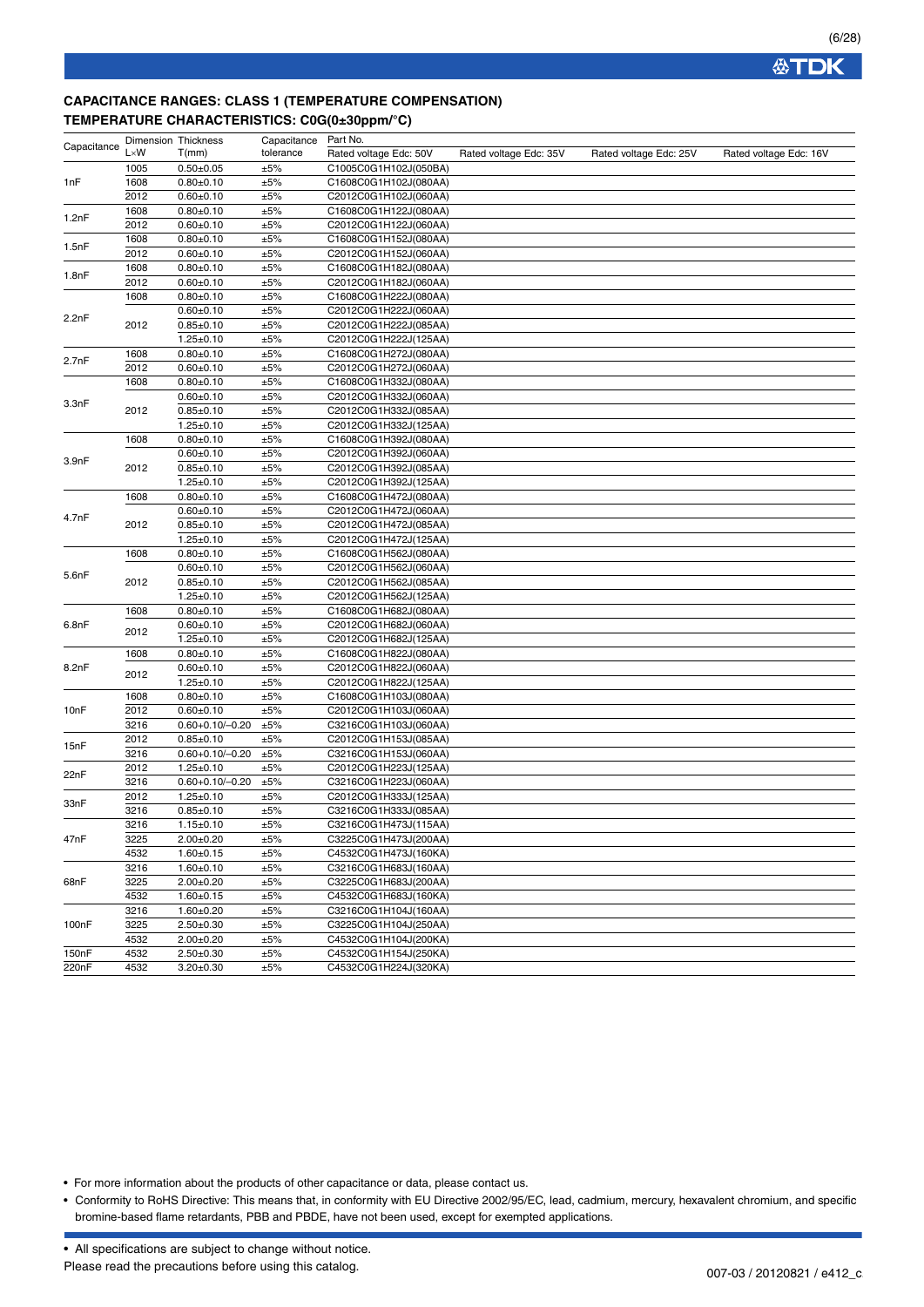## **CAPACITANCE RANGES: CLASS 1 (TEMPERATURE COMPENSATION) TEMPERATURE CHARACTERISTICS: C0G(0±30ppm/°C)**

| Capacitance | <b>Dimension Thickness</b> |                       | Capacitance | Part No.               |                        |                        |                        |
|-------------|----------------------------|-----------------------|-------------|------------------------|------------------------|------------------------|------------------------|
|             | $L \times W$               | T(mm)                 | tolerance   | Rated voltage Edc: 50V | Rated voltage Edc: 35V | Rated voltage Edc: 25V | Rated voltage Edc: 16V |
|             | 1005                       | $0.50 + 0.05$         | ±5%         | C1005C0G1H102J(050BA)  |                        |                        |                        |
| 1nF         | 1608                       | $0.80 + 0.10$         | ±5%         | C1608C0G1H102J(080AA)  |                        |                        |                        |
|             | 2012                       | $0.60 + 0.10$         | ±5%         | C2012C0G1H102J(060AA)  |                        |                        |                        |
|             | 1608                       | $0.80 + 0.10$         | ±5%         | C1608C0G1H122J(080AA)  |                        |                        |                        |
| 1.2nF       | 2012                       | $0.60 + 0.10$         | ±5%         | C2012C0G1H122J(060AA)  |                        |                        |                        |
|             | 1608                       | $0.80 + 0.10$         | ±5%         | C1608C0G1H152J(080AA)  |                        |                        |                        |
| 1.5nF       | 2012                       | $0.60 + 0.10$         | ±5%         | C2012C0G1H152J(060AA)  |                        |                        |                        |
|             | 1608                       | $0.80 + 0.10$         | ±5%         | C1608C0G1H182J(080AA)  |                        |                        |                        |
| 1.8nF       | 2012                       | $0.60 + 0.10$         | ±5%         | C2012C0G1H182J(060AA)  |                        |                        |                        |
|             | 1608                       | $0.80 + 0.10$         | ±5%         | C1608C0G1H222J(080AA)  |                        |                        |                        |
| 2.2nF       |                            | $0.60 + 0.10$         | ±5%         | C2012C0G1H222J(060AA)  |                        |                        |                        |
|             | 2012                       | $0.85 + 0.10$         | ±5%         | C2012C0G1H222J(085AA)  |                        |                        |                        |
|             |                            | $1.25 \pm 0.10$       | ±5%         | C2012C0G1H222J(125AA)  |                        |                        |                        |
| 2.7nF       | 1608                       | $0.80 + 0.10$         | ±5%         | C1608C0G1H272J(080AA)  |                        |                        |                        |
|             | 2012                       | $0.60 + 0.10$         | ±5%         | C2012C0G1H272J(060AA)  |                        |                        |                        |
|             | 1608                       | $0.80 + 0.10$         | ±5%         | C1608C0G1H332J(080AA)  |                        |                        |                        |
| 3.3nF       |                            | $0.60 + 0.10$         | ±5%         | C2012C0G1H332J(060AA)  |                        |                        |                        |
|             | 2012                       | $0.85 + 0.10$         | ±5%         | C2012C0G1H332J(085AA)  |                        |                        |                        |
|             |                            | $1.25 \pm 0.10$       | ±5%         | C2012C0G1H332J(125AA)  |                        |                        |                        |
|             | 1608                       | $0.80 + 0.10$         | ±5%         | C1608C0G1H392J(080AA)  |                        |                        |                        |
|             |                            | $0.60 + 0.10$         | ±5%         | C2012C0G1H392J(060AA)  |                        |                        |                        |
| 3.9nF       | 2012                       | $0.85 \pm 0.10$       | ±5%         | C2012C0G1H392J(085AA)  |                        |                        |                        |
|             |                            | $1.25 \pm 0.10$       | ±5%         | C2012C0G1H392J(125AA)  |                        |                        |                        |
|             | 1608                       | $0.80 + 0.10$         | ±5%         | C1608C0G1H472J(080AA)  |                        |                        |                        |
| 4.7nF       |                            | $0.60 + 0.10$         | ±5%         | C2012C0G1H472J(060AA)  |                        |                        |                        |
|             | 2012                       | $0.85 + 0.10$         | ±5%         | C2012C0G1H472J(085AA)  |                        |                        |                        |
|             |                            | $1.25 \pm 0.10$       | ±5%         | C2012C0G1H472J(125AA)  |                        |                        |                        |
|             | 1608                       | $0.80 + 0.10$         | ±5%         | C1608C0G1H562J(080AA)  |                        |                        |                        |
|             |                            | $0.60 + 0.10$         | $\pm 5\%$   | C2012C0G1H562J(060AA)  |                        |                        |                        |
| 5.6nF       | 2012                       | $0.85 + 0.10$         | ±5%         | C2012C0G1H562J(085AA)  |                        |                        |                        |
|             |                            | $1.25 \pm 0.10$       | ±5%         | C2012C0G1H562J(125AA)  |                        |                        |                        |
|             | 1608                       | $0.80 + 0.10$         | ±5%         | C1608C0G1H682J(080AA)  |                        |                        |                        |
| 6.8nF       | 2012                       | $0.60 + 0.10$         | ±5%         | C2012C0G1H682J(060AA)  |                        |                        |                        |
|             |                            | $1.25 \pm 0.10$       | ±5%         | C2012C0G1H682J(125AA)  |                        |                        |                        |
|             | 1608                       | $0.80 + 0.10$         | ±5%         | C1608C0G1H822J(080AA)  |                        |                        |                        |
| 8.2nF       | 2012                       | $0.60 + 0.10$         | ±5%         | C2012C0G1H822J(060AA)  |                        |                        |                        |
|             |                            | $1.25 \pm 0.10$       | ±5%         | C2012C0G1H822J(125AA)  |                        |                        |                        |
|             | 1608                       | $0.80 + 0.10$         | ±5%         | C1608C0G1H103J(080AA)  |                        |                        |                        |
| 10nF        | 2012                       | $0.60 + 0.10$         | ±5%         | C2012C0G1H103J(060AA)  |                        |                        |                        |
|             | 3216                       | $0.60 + 0.10 / -0.20$ | ±5%         | C3216C0G1H103J(060AA)  |                        |                        |                        |
| 15nF        | 2012                       | $0.85 + 0.10$         | ±5%         | C2012C0G1H153J(085AA)  |                        |                        |                        |
|             | 3216                       | $0.60 + 0.10 / -0.20$ | ±5%         | C3216C0G1H153J(060AA)  |                        |                        |                        |
| 22nF        | 2012                       | $1.25 \pm 0.10$       | ±5%         | C2012C0G1H223J(125AA)  |                        |                        |                        |
|             | 3216                       | $0.60 + 0.10 / -0.20$ | ±5%         | C3216C0G1H223J(060AA)  |                        |                        |                        |
| 33nF        | 2012                       | $1.25 \pm 0.10$       | ±5%         | C2012C0G1H333J(125AA)  |                        |                        |                        |
|             | 3216                       | $0.85 \pm 0.10$       | ±5%         | C3216C0G1H333J(085AA)  |                        |                        |                        |
|             | 3216                       | $1.15 \pm 0.10$       | ±5%         | C3216C0G1H473J(115AA)  |                        |                        |                        |
| 47nF        | 3225                       | $2.00 \pm 0.20$       | ±5%         | C3225C0G1H473J(200AA)  |                        |                        |                        |
|             | 4532                       | $1.60 + 0.15$         | ±5%         | C4532C0G1H473J(160KA)  |                        |                        |                        |
|             | 3216                       | $1.60 + 0.10$         | ±5%         | C3216C0G1H683J(160AA)  |                        |                        |                        |
| 68nF        | 3225                       | $2.00 + 0.20$         | ±5%         | C3225C0G1H683J(200AA)  |                        |                        |                        |
|             | 4532                       | $1.60 + 0.15$         | ±5%         | C4532C0G1H683J(160KA)  |                        |                        |                        |
|             | 3216                       | $1.60 + 0.20$         | ±5%         | C3216C0G1H104J(160AA)  |                        |                        |                        |
| 100nF       | 3225                       | $2.50 + 0.30$         | ±5%         | C3225C0G1H104J(250AA)  |                        |                        |                        |
|             | 4532                       | $2.00 \pm 0.20$       | ±5%         | C4532C0G1H104J(200KA)  |                        |                        |                        |
| 150nF       | 4532                       | $2.50 + 0.30$         | ±5%         | C4532C0G1H154J(250KA)  |                        |                        |                        |
| 220nF       | 4532                       | $3.20 \pm 0.30$       | ±5%         | C4532C0G1H224J(320KA)  |                        |                        |                        |

• For more information about the products of other capacitance or data, please contact us.

• Conformity to RoHS Directive: This means that, in conformity with EU Directive 2002/95/EC, lead, cadmium, mercury, hexavalent chromium, and specific bromine-based flame retardants, PBB and PBDE, have not been used, except for exempted applications.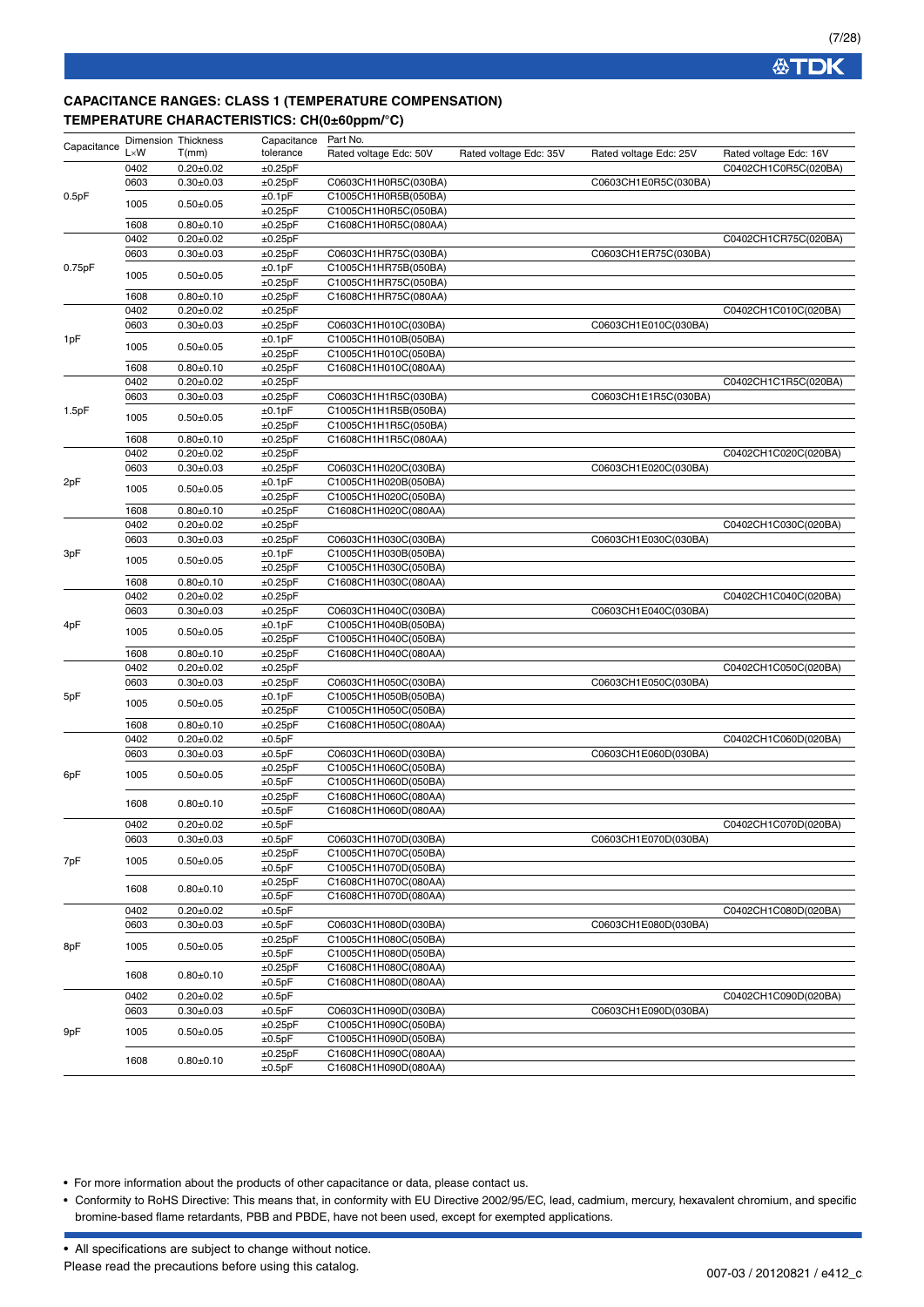### **CAPACITANCE RANGES: CLASS 1 (TEMPERATURE COMPENSATION) TEMPERATURE CHARACTERISTICS: CH(0±60ppm/°C)**

| Capacitance | <b>Dimension Thickness</b> |                 | Capacitance  | Part No.               |                        |                        |                        |
|-------------|----------------------------|-----------------|--------------|------------------------|------------------------|------------------------|------------------------|
|             | $L \times W$               | T(mm)           | tolerance    | Rated voltage Edc: 50V | Rated voltage Edc: 35V | Rated voltage Edc: 25V | Rated voltage Edc: 16V |
|             | 0402                       | $0.20 \pm 0.02$ | ±0.25pF      |                        |                        |                        | C0402CH1C0R5C(020BA)   |
|             | 0603                       | $0.30 + 0.03$   | ±0.25pF      | C0603CH1H0R5C(030BA)   |                        | C0603CH1E0R5C(030BA)   |                        |
| 0.5pF       |                            |                 | ±0.1pF       | C1005CH1H0R5B(050BA)   |                        |                        |                        |
|             | 1005                       | $0.50 + 0.05$   | ±0.25pF      | C1005CH1H0R5C(050BA)   |                        |                        |                        |
|             | 1608                       | $0.80 + 0.10$   | ±0.25pF      | C1608CH1H0R5C(080AA)   |                        |                        |                        |
|             | 0402                       | $0.20 \pm 0.02$ | ±0.25pF      |                        |                        |                        | C0402CH1CR75C(020BA)   |
|             | 0603                       | $0.30 + 0.03$   | ±0.25pF      | C0603CH1HR75C(030BA)   |                        | C0603CH1ER75C(030BA)   |                        |
| 0.75pF      |                            |                 | ±0.1pF       | C1005CH1HR75B(050BA)   |                        |                        |                        |
|             | 1005                       | $0.50 + 0.05$   | ±0.25pF      | C1005CH1HR75C(050BA)   |                        |                        |                        |
|             | 1608                       | $0.80 + 0.10$   | ±0.25pF      | C1608CH1HR75C(080AA)   |                        |                        |                        |
|             | 0402                       | $0.20 \pm 0.02$ | ±0.25pF      |                        |                        |                        | C0402CH1C010C(020BA)   |
|             | 0603                       | $0.30 + 0.03$   | ±0.25pF      | C0603CH1H010C(030BA)   |                        | C0603CH1E010C(030BA)   |                        |
| 1pF         |                            |                 | ±0.1pF       | C1005CH1H010B(050BA)   |                        |                        |                        |
|             | 1005                       | $0.50 + 0.05$   | ±0.25pF      | C1005CH1H010C(050BA)   |                        |                        |                        |
|             | 1608                       | $0.80 + 0.10$   | ±0.25pF      | C1608CH1H010C(080AA)   |                        |                        |                        |
|             | 0402                       | $0.20 \pm 0.02$ | ±0.25pF      |                        |                        |                        | C0402CH1C1R5C(020BA)   |
|             | 0603                       | $0.30 + 0.03$   | ±0.25pF      | C0603CH1H1R5C(030BA)   |                        | C0603CH1E1R5C(030BA)   |                        |
| 1.5pF       |                            |                 | ±0.1pF       | C1005CH1H1R5B(050BA)   |                        |                        |                        |
|             | 1005                       | $0.50 + 0.05$   | ±0.25pF      | C1005CH1H1R5C(050BA)   |                        |                        |                        |
|             | 1608                       | $0.80 + 0.10$   | ±0.25pF      | C1608CH1H1R5C(080AA)   |                        |                        |                        |
|             | 0402                       | $0.20 \pm 0.02$ | ±0.25pF      |                        |                        |                        | C0402CH1C020C(020BA)   |
|             | 0603                       | $0.30 + 0.03$   | ±0.25pF      |                        |                        | C0603CH1E020C(030BA)   |                        |
|             |                            |                 |              | C0603CH1H020C(030BA)   |                        |                        |                        |
| 2pF         | 1005                       | $0.50 + 0.05$   | ±0.1pF       | C1005CH1H020B(050BA)   |                        |                        |                        |
|             |                            |                 | ±0.25pF      | C1005CH1H020C(050BA)   |                        |                        |                        |
|             | 1608                       | $0.80 + 0.10$   | ±0.25pF      | C1608CH1H020C(080AA)   |                        |                        |                        |
| 3pF         | 0402                       | $0.20 \pm 0.02$ | ±0.25pF      |                        |                        |                        | C0402CH1C030C(020BA)   |
|             | 0603                       | $0.30 \pm 0.03$ | ±0.25pF      | C0603CH1H030C(030BA)   |                        | C0603CH1E030C(030BA)   |                        |
|             | 1005                       | $0.50 + 0.05$   | ±0.1pF       | C1005CH1H030B(050BA)   |                        |                        |                        |
|             |                            |                 | ±0.25pF      | C1005CH1H030C(050BA)   |                        |                        |                        |
|             | 1608                       | $0.80 + 0.10$   | ±0.25pF      | C1608CH1H030C(080AA)   |                        |                        |                        |
|             | 0402                       | $0.20 \pm 0.02$ | ±0.25pF      |                        |                        |                        | C0402CH1C040C(020BA)   |
|             | 0603                       | $0.30 \pm 0.03$ | ±0.25pF      | C0603CH1H040C(030BA)   |                        | C0603CH1E040C(030BA)   |                        |
| 4pF         | 1005                       | $0.50 + 0.05$   | ±0.1pF       | C1005CH1H040B(050BA)   |                        |                        |                        |
|             |                            |                 | ±0.25pF      | C1005CH1H040C(050BA)   |                        |                        |                        |
|             | 1608                       | $0.80 + 0.10$   | ±0.25pF      | C1608CH1H040C(080AA)   |                        |                        |                        |
|             | 0402                       | $0.20 \pm 0.02$ | ±0.25pF      |                        |                        |                        | C0402CH1C050C(020BA)   |
|             | 0603                       | $0.30 + 0.03$   | ±0.25pF      | C0603CH1H050C(030BA)   |                        | C0603CH1E050C(030BA)   |                        |
| 5pF         | 1005                       | $0.50 \pm 0.05$ | ±0.1pF       | C1005CH1H050B(050BA)   |                        |                        |                        |
|             |                            |                 | ±0.25pF      | C1005CH1H050C(050BA)   |                        |                        |                        |
|             | 1608                       | $0.80 + 0.10$   | ±0.25pF      | C1608CH1H050C(080AA)   |                        |                        |                        |
|             | 0402                       | $0.20 \pm 0.02$ | ±0.5pF       |                        |                        |                        | C0402CH1C060D(020BA)   |
|             | 0603                       | $0.30 + 0.03$   | ±0.5pF       | C0603CH1H060D(030BA)   |                        | C0603CH1E060D(030BA)   |                        |
| 6pF         | 1005                       | $0.50 + 0.05$   | ±0.25pF      | C1005CH1H060C(050BA)   |                        |                        |                        |
|             |                            |                 | ±0.5pF       | C1005CH1H060D(050BA)   |                        |                        |                        |
|             | 1608                       | $0.80 + 0.10$   | ±0.25pF      | C1608CH1H060C(080AA)   |                        |                        |                        |
|             |                            |                 | ±0.5pF       | C1608CH1H060D(080AA)   |                        |                        |                        |
|             | 0402                       | $0.20 + 0.02$   | $\pm 0.5$ pF |                        |                        |                        | C0402CH1C070D(020BA)   |
|             | 0603                       | $0.30 \pm 0.03$ | ±0.5pF       | C0603CH1H070D(030BA)   |                        | C0603CH1E070D(030BA)   |                        |
|             |                            |                 | ±0.25pF      | C1005CH1H070C(050BA)   |                        |                        |                        |
| 7pF         | 1005                       | $0.50 + 0.05$   | ±0.5pF       | C1005CH1H070D(050BA)   |                        |                        |                        |
|             |                            |                 | ±0.25pF      | C1608CH1H070C(080AA)   |                        |                        |                        |
|             | 1608                       | $0.80 \pm 0.10$ | ±0.5pF       | C1608CH1H070D(080AA)   |                        |                        |                        |
|             | 0402                       | $0.20 \pm 0.02$ | ±0.5pF       |                        |                        |                        | C0402CH1C080D(020BA)   |
|             | 0603                       | $0.30 \pm 0.03$ | ±0.5pF       | C0603CH1H080D(030BA)   |                        | C0603CH1E080D(030BA)   |                        |
|             |                            |                 | ±0.25pF      | C1005CH1H080C(050BA)   |                        |                        |                        |
| 8pF         | 1005                       | $0.50 \pm 0.05$ | ±0.5pF       | C1005CH1H080D(050BA)   |                        |                        |                        |
|             |                            |                 | ±0.25pF      | C1608CH1H080C(080AA)   |                        |                        |                        |
|             | 1608                       | $0.80 + 0.10$   | ±0.5pF       | C1608CH1H080D(080AA)   |                        |                        |                        |
|             | 0402                       | $0.20 \pm 0.02$ | ±0.5pF       |                        |                        |                        | C0402CH1C090D(020BA)   |
|             | 0603                       | $0.30 + 0.03$   |              | C0603CH1H090D(030BA)   |                        | C0603CH1E090D(030BA)   |                        |
|             |                            |                 | ±0.5pF       |                        |                        |                        |                        |
| 9pF         | 1005                       | $0.50 \pm 0.05$ | ±0.25pF      | C1005CH1H090C(050BA)   |                        |                        |                        |
|             |                            |                 | ±0.5pF       | C1005CH1H090D(050BA)   |                        |                        |                        |
|             | 1608                       | $0.80 \pm 0.10$ | ±0.25pF      | C1608CH1H090C(080AA)   |                        |                        |                        |
|             |                            |                 | ±0.5pF       | C1608CH1H090D(080AA)   |                        |                        |                        |

• For more information about the products of other capacitance or data, please contact us.

• Conformity to RoHS Directive: This means that, in conformity with EU Directive 2002/95/EC, lead, cadmium, mercury, hexavalent chromium, and specific bromine-based flame retardants, PBB and PBDE, have not been used, except for exempted applications.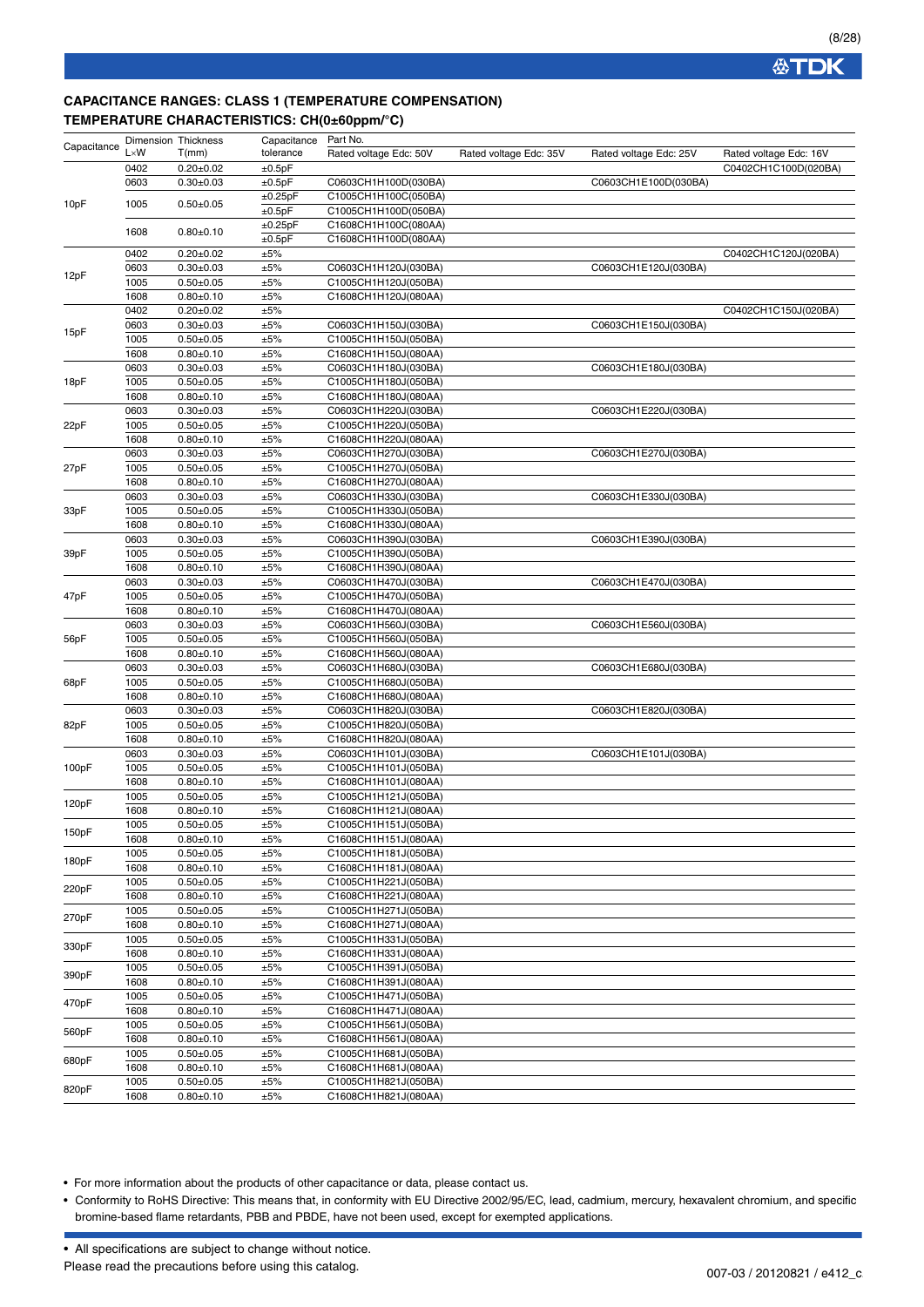### **CAPACITANCE RANGES: CLASS 1 (TEMPERATURE COMPENSATION) TEMPERATURE CHARACTERISTICS: CH(0±60ppm/°C)**

| Capacitance | <b>Dimension Thickness</b> |                                | Capacitance | Part No.                                     |                        |                        |                        |
|-------------|----------------------------|--------------------------------|-------------|----------------------------------------------|------------------------|------------------------|------------------------|
|             | $L \times W$               | T(mm)                          | tolerance   | Rated voltage Edc: 50V                       | Rated voltage Edc: 35V | Rated voltage Edc: 25V | Rated voltage Edc: 16V |
|             | 0402                       | $0.20 \pm 0.02$                | ±0.5pF      |                                              |                        |                        | C0402CH1C100D(020BA)   |
|             | 0603                       | $0.30 + 0.03$                  | ±0.5pF      | C0603CH1H100D(030BA)                         |                        | C0603CH1E100D(030BA)   |                        |
| 10pF        | 1005                       | $0.50 + 0.05$                  | ±0.25pF     | C1005CH1H100C(050BA)                         |                        |                        |                        |
|             |                            |                                | ±0.5pF      | C1005CH1H100D(050BA)                         |                        |                        |                        |
|             | 1608                       | $0.80 + 0.10$                  | ±0.25pF     | C1608CH1H100C(080AA)                         |                        |                        |                        |
|             |                            |                                | ±0.5pF      | C1608CH1H100D(080AA)                         |                        |                        |                        |
|             | 0402                       | $0.20 + 0.02$                  | ±5%         |                                              |                        |                        | C0402CH1C120J(020BA)   |
| 12pF        | 0603                       | $0.30 + 0.03$                  | ±5%         | C0603CH1H120J(030BA)                         |                        | C0603CH1E120J(030BA)   |                        |
|             | 1005                       | $0.50 + 0.05$                  | ±5%         | C1005CH1H120J(050BA)                         |                        |                        |                        |
|             | 1608                       | $0.80 + 0.10$                  | ±5%         | C1608CH1H120J(080AA)                         |                        |                        |                        |
|             | 0402                       | $0.20 \pm 0.02$                | ±5%         |                                              |                        |                        | C0402CH1C150J(020BA)   |
| 15pF        | 0603                       | $0.30 + 0.03$                  | ±5%         | C0603CH1H150J(030BA)                         |                        | C0603CH1E150J(030BA)   |                        |
|             | 1005                       | $0.50 + 0.05$                  | ±5%         | C1005CH1H150J(050BA)                         |                        |                        |                        |
|             | 1608                       | $0.80 + 0.10$                  | ±5%         | C1608CH1H150J(080AA)                         |                        |                        |                        |
|             | 0603                       | $0.30 + 0.03$                  | ±5%         | C0603CH1H180J(030BA)                         |                        | C0603CH1E180J(030BA)   |                        |
| 18pF        | 1005                       | $0.50 + 0.05$                  | ±5%         | C1005CH1H180J(050BA)                         |                        |                        |                        |
|             | 1608                       | $0.80 + 0.10$                  | ±5%         | C1608CH1H180J(080AA)                         |                        |                        |                        |
|             | 0603                       | $0.30 + 0.03$                  | ±5%         | C0603CH1H220J(030BA)                         |                        | C0603CH1E220J(030BA)   |                        |
| 22pF        | 1005                       | $0.50 + 0.05$                  | ±5%         | C1005CH1H220J(050BA)                         |                        |                        |                        |
|             | 1608                       | $0.80 + 0.10$                  | ±5%         | C1608CH1H220J(080AA)                         |                        |                        |                        |
|             | 0603                       | $0.30 + 0.03$                  | ±5%         | C0603CH1H270J(030BA)                         |                        | C0603CH1E270J(030BA)   |                        |
| 27pF        | 1005                       | $0.50 + 0.05$                  | ±5%         | C1005CH1H270J(050BA)                         |                        |                        |                        |
|             | 1608                       | $0.80 + 0.10$                  | ±5%         | C1608CH1H270J(080AA)                         |                        |                        |                        |
|             | 0603                       | $0.30 \pm 0.03$                | ±5%         | C0603CH1H330J(030BA)                         |                        | C0603CH1E330J(030BA)   |                        |
| 33pF        | 1005                       | $0.50 + 0.05$                  | ±5%         | C1005CH1H330J(050BA)                         |                        |                        |                        |
|             | 1608                       | $0.80 + 0.10$                  | ±5%         | C1608CH1H330J(080AA)                         |                        |                        |                        |
|             | 0603                       | $0.30 + 0.03$                  | ±5%         | C0603CH1H390J(030BA)                         |                        | C0603CH1E390J(030BA)   |                        |
| 39pF        | 1005                       | $0.50 + 0.05$                  | ±5%         | C1005CH1H390J(050BA)                         |                        |                        |                        |
|             | 1608                       | $0.80 + 0.10$                  | ±5%         | C1608CH1H390J(080AA)                         |                        |                        |                        |
|             | 0603                       | $0.30 + 0.03$                  | ±5%         | C0603CH1H470J(030BA)                         |                        | C0603CH1E470J(030BA)   |                        |
| 47pF        | 1005                       | $0.50 + 0.05$                  | ±5%         | C1005CH1H470J(050BA)                         |                        |                        |                        |
|             | 1608                       | $0.80 + 0.10$                  | ±5%         | C1608CH1H470J(080AA)                         |                        |                        |                        |
|             | 0603                       | $0.30 + 0.03$                  | ±5%         | C0603CH1H560J(030BA)                         |                        | C0603CH1E560J(030BA)   |                        |
| 56pF        | 1005                       | $0.50 + 0.05$                  | ±5%         | C1005CH1H560J(050BA)                         |                        |                        |                        |
|             | 1608                       | $0.80 + 0.10$                  | ±5%         | C1608CH1H560J(080AA)                         |                        |                        |                        |
|             | 0603                       | $0.30 + 0.03$                  | ±5%         | C0603CH1H680J(030BA)                         |                        | C0603CH1E680J(030BA)   |                        |
| 68pF        | 1005                       | $0.50 + 0.05$                  | ±5%         | C1005CH1H680J(050BA)                         |                        |                        |                        |
|             | 1608                       | $0.80 + 0.10$                  | ±5%         | C1608CH1H680J(080AA)                         |                        |                        |                        |
|             | 0603                       | $0.30 \pm 0.03$                | ±5%<br>±5%  | C0603CH1H820J(030BA)                         |                        | C0603CH1E820J(030BA)   |                        |
| 82pF        | 1005                       | $0.50 + 0.05$                  |             | C1005CH1H820J(050BA)<br>C1608CH1H820J(080AA) |                        |                        |                        |
|             | 1608<br>0603               | $0.80 + 0.10$<br>$0.30 + 0.03$ | ±5%<br>±5%  | C0603CH1H101J(030BA)                         |                        | C0603CH1E101J(030BA)   |                        |
|             | 1005                       | $0.50 + 0.05$                  | ±5%         | C1005CH1H101J(050BA)                         |                        |                        |                        |
| 100pF       | 1608                       | $0.80 + 0.10$                  | ±5%         | C1608CH1H101J(080AA)                         |                        |                        |                        |
|             | 1005                       | $0.50 + 0.05$                  | ±5%         | C1005CH1H121J(050BA)                         |                        |                        |                        |
| 120pF       | 1608                       | $0.80 + 0.10$                  | ±5%         | C1608CH1H121J(080AA)                         |                        |                        |                        |
|             | 1005                       | $0.50 + 0.05$                  | ±5%         | C1005CH1H151J(050BA)                         |                        |                        |                        |
| 150pF       | 1608                       | $0.80 + 0.10$                  | ±5%         | C1608CH1H151J(080AA)                         |                        |                        |                        |
|             | 1005                       | $0.50 + 0.05$                  | ±5%         | C1005CH1H181J(050BA)                         |                        |                        |                        |
| 180pF       | 1608                       | $0.80 + 0.10$                  | ±5%         | C1608CH1H181J(080AA)                         |                        |                        |                        |
|             | 1005                       | $0.50 + 0.05$                  | ±5%         | C1005CH1H221J(050BA)                         |                        |                        |                        |
| 220pF       | 1608                       | $0.80 + 0.10$                  | ±5%         | C1608CH1H221J(080AA)                         |                        |                        |                        |
|             | 1005                       | $0.50 + 0.05$                  | ±5%         | C1005CH1H271J(050BA)                         |                        |                        |                        |
| 270pF       | 1608                       | $0.80 + 0.10$                  | $\pm 5\%$   | C1608CH1H271J(080AA)                         |                        |                        |                        |
|             | 1005                       | $0.50 + 0.05$                  | ±5%         | C1005CH1H331J(050BA)                         |                        |                        |                        |
| 330pF       | 1608                       | $0.80 + 0.10$                  | ±5%         | C1608CH1H331J(080AA)                         |                        |                        |                        |
|             | 1005                       | $0.50 + 0.05$                  | ±5%         | C1005CH1H391J(050BA)                         |                        |                        |                        |
| 390pF       | 1608                       | $0.80 + 0.10$                  | ±5%         | C1608CH1H391J(080AA)                         |                        |                        |                        |
|             | 1005                       | $0.50 + 0.05$                  | ±5%         | C1005CH1H471J(050BA)                         |                        |                        |                        |
| 470pF       | 1608                       | $0.80 + 0.10$                  | $\pm 5\%$   | C1608CH1H471J(080AA)                         |                        |                        |                        |
|             | 1005                       | $0.50 + 0.05$                  | ±5%         | C1005CH1H561J(050BA)                         |                        |                        |                        |
| 560pF       | 1608                       | $0.80 + 0.10$                  | ±5%         | C1608CH1H561J(080AA)                         |                        |                        |                        |
|             | 1005                       | $0.50 \pm 0.05$                | ±5%         | C1005CH1H681J(050BA)                         |                        |                        |                        |
| 680pF       | 1608                       | $0.80 + 0.10$                  | ±5%         | C1608CH1H681J(080AA)                         |                        |                        |                        |
|             | 1005                       | $0.50 + 0.05$                  | ±5%         | C1005CH1H821J(050BA)                         |                        |                        |                        |
| 820pF       | 1608                       | $0.80 + 0.10$                  | ±5%         | C1608CH1H821J(080AA)                         |                        |                        |                        |

• For more information about the products of other capacitance or data, please contact us.

• Conformity to RoHS Directive: This means that, in conformity with EU Directive 2002/95/EC, lead, cadmium, mercury, hexavalent chromium, and specific bromine-based flame retardants, PBB and PBDE, have not been used, except for exempted applications.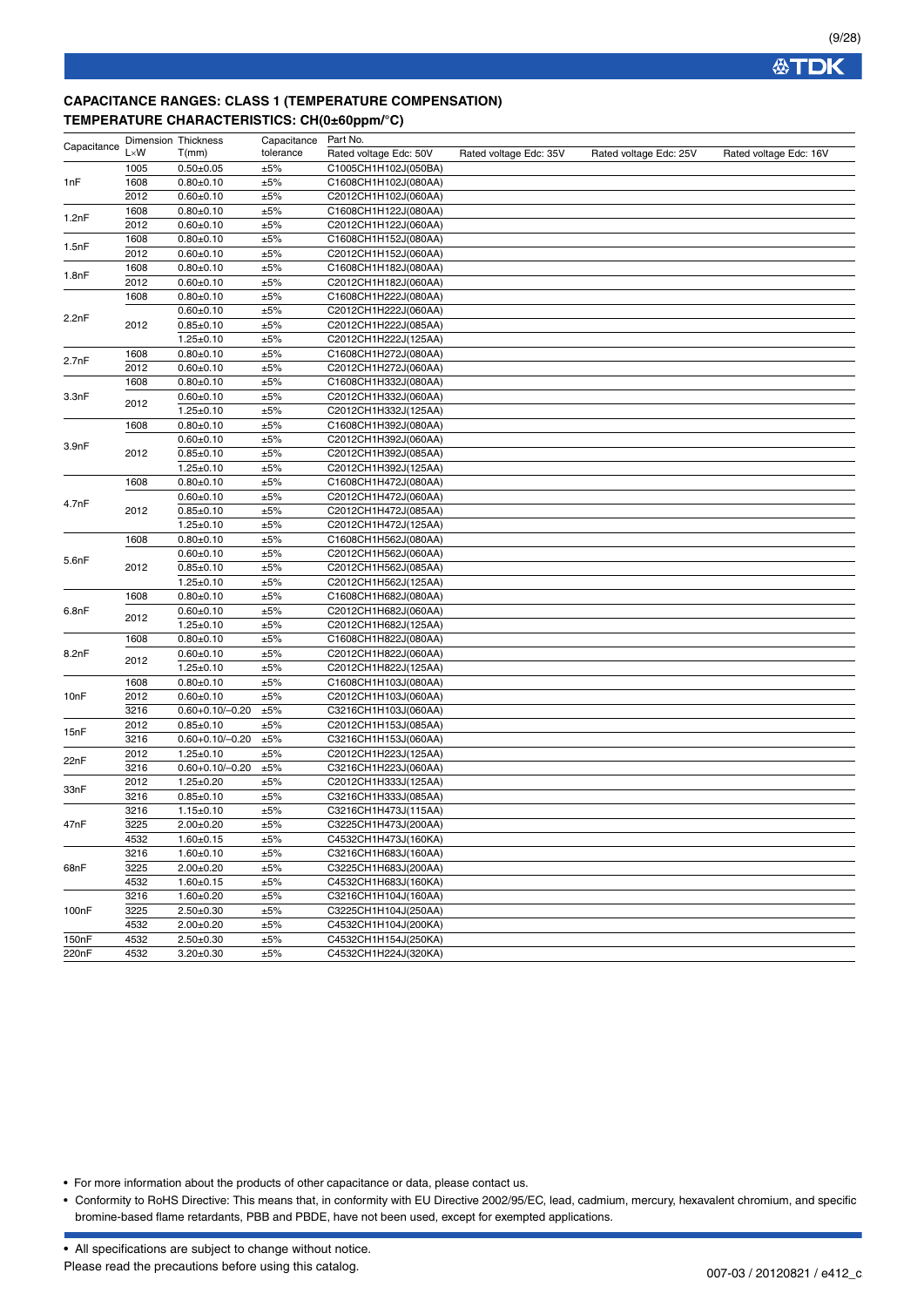## **CAPACITANCE RANGES: CLASS 1 (TEMPERATURE COMPENSATION) TEMPERATURE CHARACTERISTICS: CH(0±60ppm/°C)**

| Capacitance | <b>Dimension Thickness</b> |                       | Capacitance | Part No.               |                        |                        |                        |
|-------------|----------------------------|-----------------------|-------------|------------------------|------------------------|------------------------|------------------------|
|             | $L \times W$               | T(mm)                 | tolerance   | Rated voltage Edc: 50V | Rated voltage Edc: 35V | Rated voltage Edc: 25V | Rated voltage Edc: 16V |
|             | 1005                       | $0.50 + 0.05$         | ±5%         | C1005CH1H102J(050BA)   |                        |                        |                        |
| 1nF         | 1608                       | $0.80 + 0.10$         | ±5%         | C1608CH1H102J(080AA)   |                        |                        |                        |
|             | 2012                       | $0.60 + 0.10$         | ±5%         | C2012CH1H102J(060AA)   |                        |                        |                        |
|             | 1608                       | $0.80 + 0.10$         | ±5%         | C1608CH1H122J(080AA)   |                        |                        |                        |
| 1.2nF       | 2012                       | $0.60 + 0.10$         | ±5%         | C2012CH1H122J(060AA)   |                        |                        |                        |
|             | 1608                       | $0.80 + 0.10$         | ±5%         | C1608CH1H152J(080AA)   |                        |                        |                        |
| 1.5nF       | 2012                       | $0.60 \pm 0.10$       | ±5%         | C2012CH1H152J(060AA)   |                        |                        |                        |
|             | 1608                       | $0.80 + 0.10$         | ±5%         | C1608CH1H182J(080AA)   |                        |                        |                        |
| 1.8nF       | 2012                       | $0.60 + 0.10$         | ±5%         | C2012CH1H182J(060AA)   |                        |                        |                        |
|             | 1608                       | $0.80 + 0.10$         | ±5%         | C1608CH1H222J(080AA)   |                        |                        |                        |
|             |                            | $0.60 + 0.10$         | ±5%         | C2012CH1H222J(060AA)   |                        |                        |                        |
| 2.2nF       | 2012                       | $0.85 + 0.10$         | ±5%         | C2012CH1H222J(085AA)   |                        |                        |                        |
|             |                            | $1.25 \pm 0.10$       | ±5%         | C2012CH1H222J(125AA)   |                        |                        |                        |
|             | 1608                       | $0.80 + 0.10$         | ±5%         | C1608CH1H272J(080AA)   |                        |                        |                        |
| 2.7nF       | 2012                       | $0.60 + 0.10$         | ±5%         | C2012CH1H272J(060AA)   |                        |                        |                        |
|             | 1608                       | $0.80 + 0.10$         | ±5%         | C1608CH1H332J(080AA)   |                        |                        |                        |
| 3.3nF       |                            | $0.60 + 0.10$         | ±5%         | C2012CH1H332J(060AA)   |                        |                        |                        |
|             | 2012                       | $1.25 \pm 0.10$       | ±5%         | C2012CH1H332J(125AA)   |                        |                        |                        |
|             | 1608                       | $0.80 + 0.10$         | ±5%         | C1608CH1H392J(080AA)   |                        |                        |                        |
|             |                            | $0.60 + 0.10$         | ±5%         | C2012CH1H392J(060AA)   |                        |                        |                        |
| 3.9nF       | 2012                       | $0.85 \pm 0.10$       | ±5%         | C2012CH1H392J(085AA)   |                        |                        |                        |
|             |                            | $1.25 \pm 0.10$       | ±5%         | C2012CH1H392J(125AA)   |                        |                        |                        |
|             | 1608                       | $0.80 + 0.10$         | ±5%         | C1608CH1H472J(080AA)   |                        |                        |                        |
|             |                            | $0.60 + 0.10$         | ±5%         | C2012CH1H472J(060AA)   |                        |                        |                        |
| 4.7nF       | 2012                       | $0.85 + 0.10$         | ±5%         | C2012CH1H472J(085AA)   |                        |                        |                        |
|             |                            | $1.25 \pm 0.10$       | ±5%         | C2012CH1H472J(125AA)   |                        |                        |                        |
|             | 1608                       | $0.80 + 0.10$         | ±5%         | C1608CH1H562J(080AA)   |                        |                        |                        |
|             |                            | $0.60 + 0.10$         | ±5%         | C2012CH1H562J(060AA)   |                        |                        |                        |
| 5.6nF       | 2012                       | $0.85 + 0.10$         | $\pm 5\%$   | C2012CH1H562J(085AA)   |                        |                        |                        |
|             |                            | $1.25 \pm 0.10$       | ±5%         | C2012CH1H562J(125AA)   |                        |                        |                        |
|             | 1608                       | $0.80 + 0.10$         | ±5%         | C1608CH1H682J(080AA)   |                        |                        |                        |
| 6.8nF       |                            | $0.60 + 0.10$         | ±5%         | C2012CH1H682J(060AA)   |                        |                        |                        |
|             | 2012                       | $1.25 \pm 0.10$       | ±5%         | C2012CH1H682J(125AA)   |                        |                        |                        |
|             | 1608                       | $0.80 + 0.10$         | ±5%         | C1608CH1H822J(080AA)   |                        |                        |                        |
| 8.2nF       |                            | $0.60 + 0.10$         | ±5%         | C2012CH1H822J(060AA)   |                        |                        |                        |
|             | 2012                       | $1.25 \pm 0.10$       | ±5%         | C2012CH1H822J(125AA)   |                        |                        |                        |
|             | 1608                       | $0.80 + 0.10$         | ±5%         | C1608CH1H103J(080AA)   |                        |                        |                        |
| 10nF        | 2012                       | $0.60 + 0.10$         | ±5%         | C2012CH1H103J(060AA)   |                        |                        |                        |
|             | 3216                       | $0.60 + 0.10 / -0.20$ | ±5%         | C3216CH1H103J(060AA)   |                        |                        |                        |
|             | 2012                       | $0.85 \pm 0.10$       | ±5%         | C2012CH1H153J(085AA)   |                        |                        |                        |
| 15nF        | 3216                       | $0.60 + 0.10 / -0.20$ | ±5%         | C3216CH1H153J(060AA)   |                        |                        |                        |
|             | 2012                       | $1.25 \pm 0.10$       | ±5%         | C2012CH1H223J(125AA)   |                        |                        |                        |
| 22nF        | 3216                       | $0.60 + 0.10 / -0.20$ | ±5%         | C3216CH1H223J(060AA)   |                        |                        |                        |
|             | 2012                       | $1.25 \pm 0.20$       | ±5%         | C2012CH1H333J(125AA)   |                        |                        |                        |
| 33nF        | 3216                       | $0.85 \pm 0.10$       | ±5%         | C3216CH1H333J(085AA)   |                        |                        |                        |
|             | 3216                       | $1.15 \pm 0.10$       | ±5%         | C3216CH1H473J(115AA)   |                        |                        |                        |
| 47nF        | 3225                       | $2.00 \pm 0.20$       | ±5%         | C3225CH1H473J(200AA)   |                        |                        |                        |
|             | 4532                       | $1.60 + 0.15$         | ±5%         | C4532CH1H473J(160KA)   |                        |                        |                        |
|             | 3216                       | $1.60 + 0.10$         | ±5%         | C3216CH1H683J(160AA)   |                        |                        |                        |
| 68nF        | 3225                       | $2.00 + 0.20$         | ±5%         | C3225CH1H683J(200AA)   |                        |                        |                        |
|             | 4532                       | $1.60 \pm 0.15$       | ±5%         | C4532CH1H683J(160KA)   |                        |                        |                        |
|             | 3216                       | $1.60 + 0.20$         | ±5%         | C3216CH1H104J(160AA)   |                        |                        |                        |
| 100nF       | 3225                       | $2.50 + 0.30$         | ±5%         | C3225CH1H104J(250AA)   |                        |                        |                        |
|             | 4532                       | $2.00 \pm 0.20$       | ±5%         | C4532CH1H104J(200KA)   |                        |                        |                        |
| 150nF       | 4532                       | $2.50 + 0.30$         | ±5%         | C4532CH1H154J(250KA)   |                        |                        |                        |
| 220nF       | 4532                       | $3.20 \pm 0.30$       | ±5%         | C4532CH1H224J(320KA)   |                        |                        |                        |

• For more information about the products of other capacitance or data, please contact us.

• Conformity to RoHS Directive: This means that, in conformity with EU Directive 2002/95/EC, lead, cadmium, mercury, hexavalent chromium, and specific bromine-based flame retardants, PBB and PBDE, have not been used, except for exempted applications.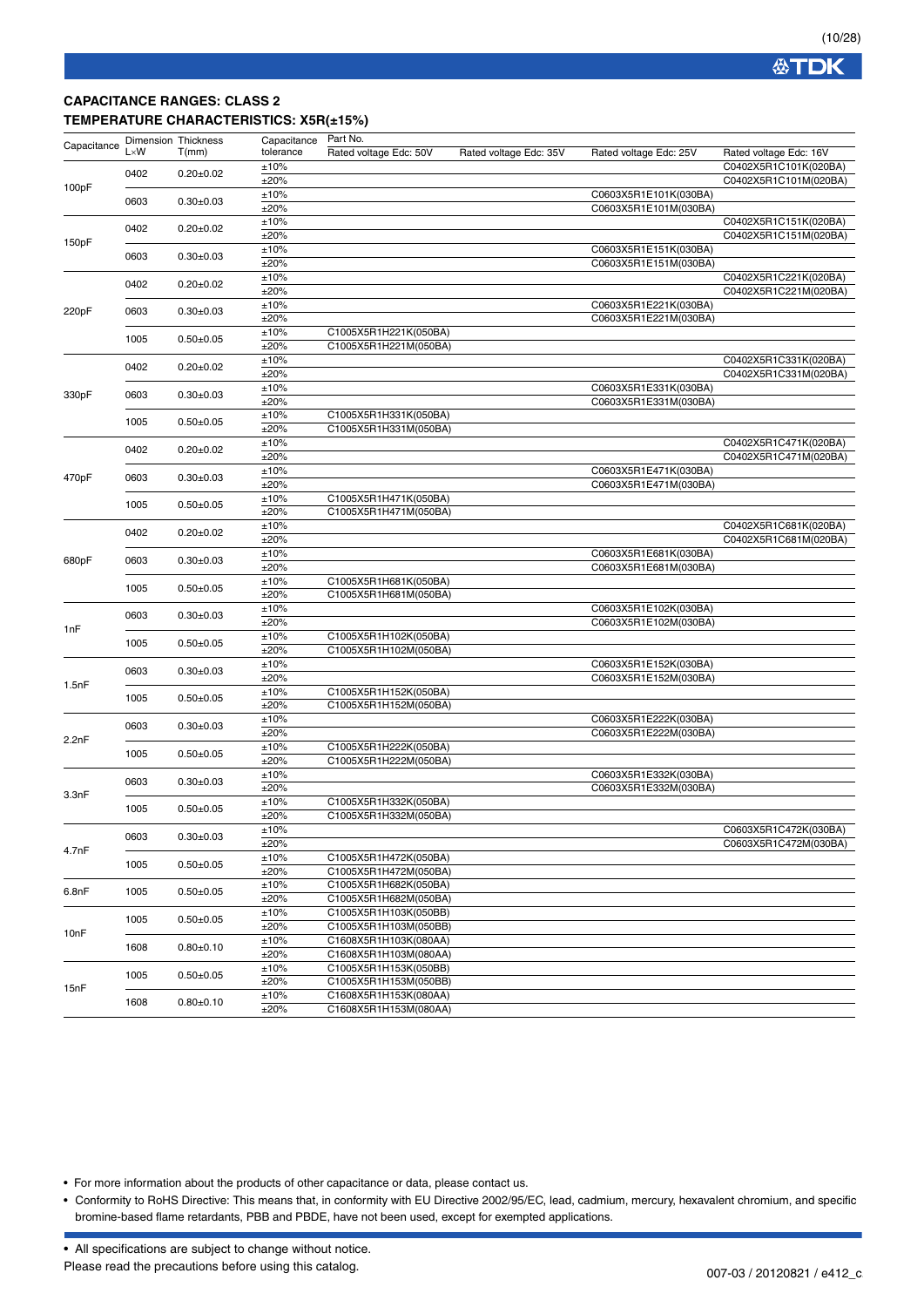### **CAPACITANCE RANGES: CLASS 2 TEMPERATURE CHARACTERISTICS: X5R(±15%)**

| Capacitance | <b>Dimension Thickness</b> |                              | Capacitance | Part No.               |                        |                        |                        |  |
|-------------|----------------------------|------------------------------|-------------|------------------------|------------------------|------------------------|------------------------|--|
|             | $L \times W$               | T(mm)                        | tolerance   | Rated voltage Edc: 50V | Rated voltage Edc: 35V | Rated voltage Edc: 25V | Rated voltage Edc: 16V |  |
|             |                            |                              | ±10%        |                        |                        |                        | C0402X5R1C101K(020BA)  |  |
|             | 0402                       | $0.20 \pm 0.02$              | ±20%        |                        |                        |                        | C0402X5R1C101M(020BA)  |  |
| 100pF       |                            |                              | ±10%        |                        |                        | C0603X5R1E101K(030BA)  |                        |  |
|             | 0603                       | $0.30 + 0.03$                | ±20%        |                        |                        | C0603X5R1E101M(030BA)  |                        |  |
|             |                            |                              | ±10%        |                        |                        |                        | C0402X5R1C151K(020BA)  |  |
|             | 0402                       | $0.20 \pm 0.02$              | ±20%        |                        |                        |                        | C0402X5R1C151M(020BA)  |  |
| 150pF       |                            |                              | ±10%        |                        |                        | C0603X5R1E151K(030BA)  |                        |  |
|             | 0603                       | $0.30 \pm 0.03$              | ±20%        |                        |                        | C0603X5R1E151M(030BA)  |                        |  |
|             |                            |                              | ±10%        |                        |                        |                        | C0402X5R1C221K(020BA)  |  |
|             | 0402                       | $0.20 \pm 0.02$              | ±20%        |                        |                        |                        | C0402X5R1C221M(020BA)  |  |
|             |                            |                              |             |                        |                        | C0603X5R1E221K(030BA)  |                        |  |
| 220pF       | 0603                       | $0.30 + 0.03$                | ±10%        |                        |                        |                        |                        |  |
|             |                            |                              | ±20%        |                        |                        | C0603X5R1E221M(030BA)  |                        |  |
|             | 1005                       | $0.50 + 0.05$                | ±10%        | C1005X5R1H221K(050BA)  |                        |                        |                        |  |
|             |                            |                              | ±20%        | C1005X5R1H221M(050BA)  |                        |                        |                        |  |
|             | 0402                       | $0.20 \pm 0.02$              | ±10%        |                        |                        |                        | C0402X5R1C331K(020BA)  |  |
|             |                            |                              | ±20%        |                        |                        |                        | C0402X5R1C331M(020BA)  |  |
| 330pF       | 0603                       | $0.30 \pm 0.03$              | ±10%        |                        |                        | C0603X5R1E331K(030BA)  |                        |  |
|             |                            |                              | ±20%        |                        |                        | C0603X5R1E331M(030BA)  |                        |  |
|             | 1005                       | $0.50 + 0.05$                | ±10%        | C1005X5R1H331K(050BA)  |                        |                        |                        |  |
|             |                            |                              | ±20%        | C1005X5R1H331M(050BA)  |                        |                        |                        |  |
|             |                            |                              | ±10%        |                        |                        |                        | C0402X5R1C471K(020BA)  |  |
|             | 0402                       | $0.20 \pm 0.02$              | ±20%        |                        |                        |                        | C0402X5R1C471M(020BA)  |  |
|             |                            |                              | ±10%        |                        |                        | C0603X5R1E471K(030BA)  |                        |  |
| 470pF       | 0603                       | $0.30 + 0.03$                | ±20%        |                        |                        | C0603X5R1E471M(030BA)  |                        |  |
|             |                            |                              | ±10%        | C1005X5R1H471K(050BA)  |                        |                        |                        |  |
|             | 1005                       | $0.50 + 0.05$                | ±20%        | C1005X5R1H471M(050BA)  |                        |                        |                        |  |
|             |                            |                              | ±10%        |                        |                        |                        | C0402X5R1C681K(020BA)  |  |
|             | 0402                       | $0.20 \pm 0.02$              | ±20%        |                        |                        |                        | C0402X5R1C681M(020BA)  |  |
|             |                            |                              | ±10%        |                        |                        | C0603X5R1E681K(030BA)  |                        |  |
| 680pF       | 0603                       | $0.30 \pm 0.03$              | ±20%        |                        |                        | C0603X5R1E681M(030BA)  |                        |  |
|             |                            |                              | ±10%        | C1005X5R1H681K(050BA)  |                        |                        |                        |  |
|             | 1005                       | $0.50 + 0.05$                | ±20%        | C1005X5R1H681M(050BA)  |                        |                        |                        |  |
|             |                            |                              |             |                        |                        | C0603X5R1E102K(030BA)  |                        |  |
|             | 0603<br>1005               | $0.30 \pm 0.03$              | ±10%        |                        |                        |                        |                        |  |
| 1nF         |                            |                              | ±20%        |                        |                        | C0603X5R1E102M(030BA)  |                        |  |
|             |                            | $0.50 + 0.05$                | ±10%        | C1005X5R1H102K(050BA)  |                        |                        |                        |  |
|             |                            |                              | ±20%        | C1005X5R1H102M(050BA)  |                        |                        |                        |  |
|             | 0603                       | $0.30+0.03$<br>$0.50 + 0.05$ | ±10%        |                        |                        | C0603X5R1E152K(030BA)  |                        |  |
| 1.5nF       |                            |                              | ±20%        |                        |                        | C0603X5R1E152M(030BA)  |                        |  |
|             | 1005                       |                              | ±10%        | C1005X5R1H152K(050BA)  |                        |                        |                        |  |
|             |                            |                              | ±20%        | C1005X5R1H152M(050BA)  |                        |                        |                        |  |
|             | 0603                       | $0.30 \pm 0.03$              | ±10%        |                        |                        | C0603X5R1E222K(030BA)  |                        |  |
| 2.2nF       |                            |                              | ±20%        |                        |                        | C0603X5R1E222M(030BA)  |                        |  |
|             | 1005                       | $0.50 \pm 0.05$              | ±10%        | C1005X5R1H222K(050BA)  |                        |                        |                        |  |
|             |                            |                              | ±20%        | C1005X5R1H222M(050BA)  |                        |                        |                        |  |
|             | 0603                       | $0.30 \pm 0.03$              | ±10%        |                        |                        | C0603X5R1E332K(030BA)  |                        |  |
| 3.3nF       |                            |                              | ±20%        |                        |                        | C0603X5R1E332M(030BA)  |                        |  |
|             | 1005                       | $0.50 + 0.05$                | ±10%        | C1005X5R1H332K(050BA)  |                        |                        |                        |  |
|             |                            |                              | ±20%        | C1005X5R1H332M(050BA)  |                        |                        |                        |  |
|             |                            |                              | ±10%        |                        |                        |                        | C0603X5R1C472K(030BA)  |  |
|             | 0603                       | $0.30 \pm 0.03$              | ±20%        |                        |                        |                        | C0603X5R1C472M(030BA)  |  |
| 4.7nF       |                            |                              | ±10%        | C1005X5R1H472K(050BA)  |                        |                        |                        |  |
|             | 1005                       | $0.50 \pm 0.05$              | ±20%        | C1005X5R1H472M(050BA)  |                        |                        |                        |  |
|             |                            |                              | ±10%        | C1005X5R1H682K(050BA)  |                        |                        |                        |  |
| 6.8nF       | 1005                       | $0.50 + 0.05$                | ±20%        | C1005X5R1H682M(050BA)  |                        |                        |                        |  |
|             |                            |                              | ±10%        | C1005X5R1H103K(050BB)  |                        |                        |                        |  |
|             | 1005                       | $0.50 \pm 0.05$              | ±20%        | C1005X5R1H103M(050BB)  |                        |                        |                        |  |
| 10nF        |                            |                              | ±10%        | C1608X5R1H103K(080AA)  |                        |                        |                        |  |
|             | 1608                       | $0.80 + 0.10$                | ±20%        | C1608X5R1H103M(080AA)  |                        |                        |                        |  |
|             |                            |                              | ±10%        | C1005X5R1H153K(050BB)  |                        |                        |                        |  |
|             | 1005                       | $0.50 \pm 0.05$              | ±20%        | C1005X5R1H153M(050BB)  |                        |                        |                        |  |
| 15nF        |                            |                              |             |                        |                        |                        |                        |  |
|             | 1608                       | $0.80 + 0.10$                | ±10%        | C1608X5R1H153K(080AA)  |                        |                        |                        |  |
|             |                            |                              | ±20%        | C1608X5R1H153M(080AA)  |                        |                        |                        |  |

• For more information about the products of other capacitance or data, please contact us.

• Conformity to RoHS Directive: This means that, in conformity with EU Directive 2002/95/EC, lead, cadmium, mercury, hexavalent chromium, and specific bromine-based flame retardants, PBB and PBDE, have not been used, except for exempted applications.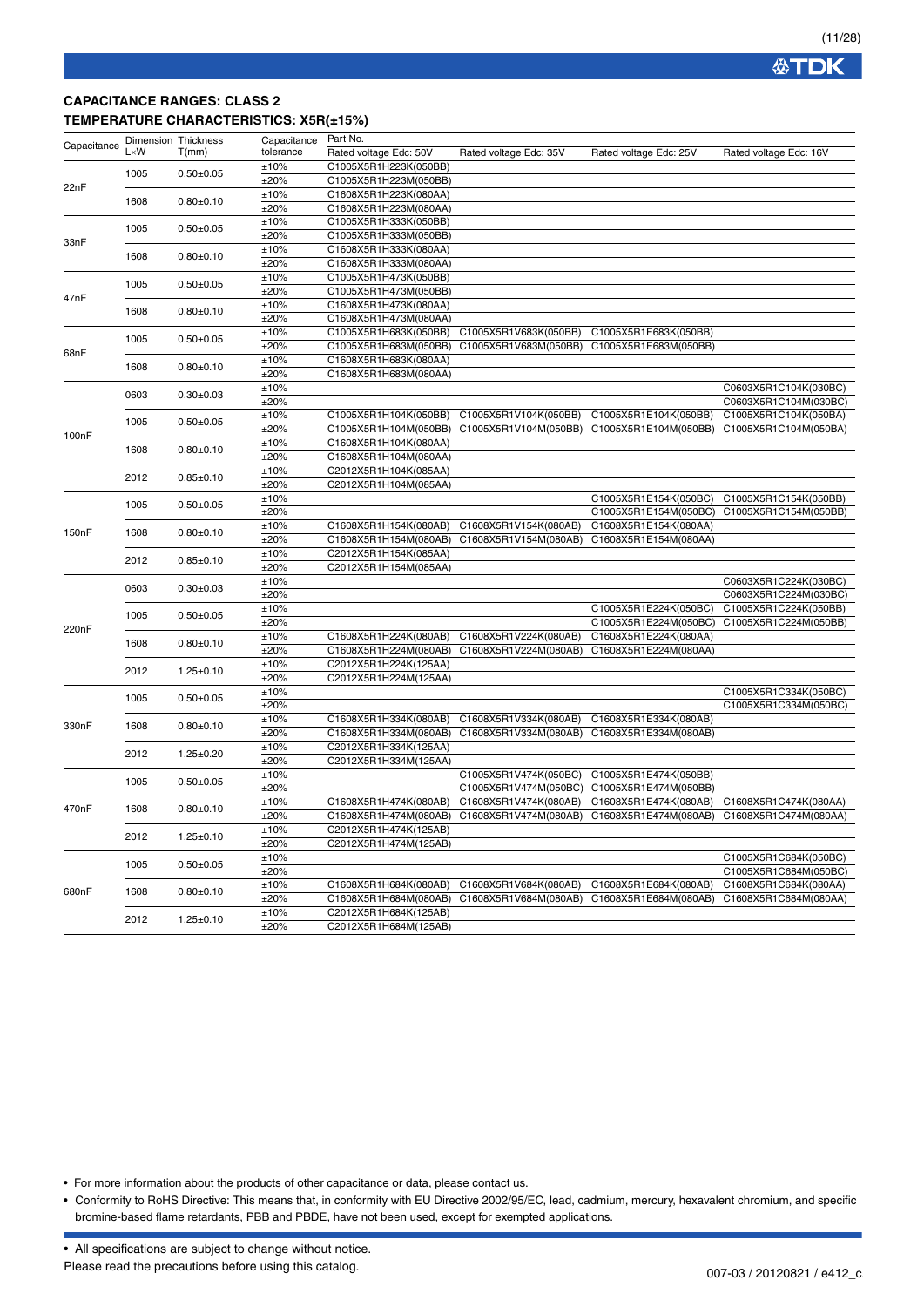### **CAPACITANCE RANGES: CLASS 2 TEMPERATURE CHARACTERISTICS: X5R(±15%)**

| Capacitance | <b>Dimension Thickness</b> |                 | Capacitance  | Part No.                                       |                        |                        |                                                |
|-------------|----------------------------|-----------------|--------------|------------------------------------------------|------------------------|------------------------|------------------------------------------------|
|             | $L \times W$               | T(mm)           | tolerance    | Rated voltage Edc: 50V                         | Rated voltage Edc: 35V | Rated voltage Edc: 25V | Rated voltage Edc: 16V                         |
|             |                            |                 | ±10%         | C1005X5R1H223K(050BB)                          |                        |                        |                                                |
|             | 1005                       | $0.50 + 0.05$   | ±20%         | C1005X5R1H223M(050BB)                          |                        |                        |                                                |
| 22nF        |                            |                 | ±10%         | C1608X5R1H223K(080AA)                          |                        |                        |                                                |
|             | 1608                       | $0.80 + 0.10$   | ±20%         | C1608X5R1H223M(080AA)                          |                        |                        |                                                |
|             |                            |                 | ±10%         | C1005X5R1H333K(050BB)                          |                        |                        |                                                |
|             | 1005                       | $0.50 + 0.05$   | ±20%         | C1005X5R1H333M(050BB)                          |                        |                        |                                                |
| 33nF        |                            |                 | ±10%         | C1608X5R1H333K(080AA)                          |                        |                        |                                                |
|             | 1608                       | $0.80 + 0.10$   | ±20%         | C1608X5R1H333M(080AA)                          |                        |                        |                                                |
|             |                            |                 | ±10%         | C1005X5R1H473K(050BB)                          |                        |                        |                                                |
|             | 1005                       | $0.50 + 0.05$   | ±20%         | C1005X5R1H473M(050BB)                          |                        |                        |                                                |
| 47nF        |                            |                 | ±10%         | C1608X5R1H473K(080AA)                          |                        |                        |                                                |
|             | 1608                       | $0.80 + 0.10$   | ±20%         | C1608X5R1H473M(080AA)                          |                        |                        |                                                |
|             |                            |                 | ±10%         | C1005X5R1H683K(050BB)                          | C1005X5R1V683K(050BB)  | C1005X5R1E683K(050BB)  |                                                |
|             | 1005                       | $0.50 + 0.05$   | ±20%         | C1005X5R1H683M(050BB)                          | C1005X5R1V683M(050BB)  | C1005X5R1E683M(050BB)  |                                                |
| 68nF        |                            |                 | ±10%         | C1608X5R1H683K(080AA)                          |                        |                        |                                                |
|             | 1608                       | $0.80 + 0.10$   | ±20%         | C1608X5R1H683M(080AA)                          |                        |                        |                                                |
|             |                            |                 | ±10%         |                                                |                        |                        | C0603X5R1C104K(030BC)                          |
|             | 0603                       | $0.30 + 0.03$   | ±20%         |                                                |                        |                        | C0603X5R1C104M(030BC)                          |
|             |                            |                 | ±10%         | C1005X5R1H104K(050BB)                          | C1005X5R1V104K(050BB)  | C1005X5R1E104K(050BB)  | C1005X5R1C104K(050BA)                          |
|             | 1005                       | $0.50 + 0.05$   | ±20%         | C1005X5R1H104M(050BB)                          | C1005X5R1V104M(050BB)  | C1005X5R1E104M(050BB)  | C1005X5R1C104M(050BA)                          |
| 100nF       |                            |                 | ±10%         | C1608X5R1H104K(080AA)                          |                        |                        |                                                |
|             | 1608                       | $0.80 + 0.10$   | ±20%         | C1608X5R1H104M(080AA)                          |                        |                        |                                                |
|             |                            |                 | ±10%         | C2012X5R1H104K(085AA)                          |                        |                        |                                                |
|             | 2012                       | $0.85 + 0.10$   | ±20%         | C2012X5R1H104M(085AA)                          |                        |                        |                                                |
|             |                            |                 | ±10%         |                                                |                        | C1005X5R1E154K(050BC)  | C1005X5R1C154K(050BB)                          |
|             | 1005                       | $0.50 + 0.05$   | ±20%         |                                                |                        | C1005X5R1E154M(050BC)  | C1005X5R1C154M(050BB)                          |
|             |                            |                 | $\pm 10\%$   | C1608X5R1H154K(080AB)                          | C1608X5R1V154K(080AB)  | C1608X5R1E154K(080AA)  |                                                |
| 150nF       | 1608                       | $0.80 + 0.10$   | ±20%         | C1608X5R1H154M(080AB)                          | C1608X5R1V154M(080AB)  | C1608X5R1E154M(080AA)  |                                                |
|             |                            |                 | ±10%         | C2012X5R1H154K(085AA)                          |                        |                        |                                                |
|             | 2012                       | $0.85 + 0.10$   | ±20%         | C2012X5R1H154M(085AA)                          |                        |                        |                                                |
|             | 0603                       |                 | ±10%         |                                                |                        |                        | C0603X5R1C224K(030BC)                          |
|             |                            | $0.30 + 0.03$   | ±20%         |                                                |                        |                        | C0603X5R1C224M(030BC)                          |
|             |                            |                 | ±10%         |                                                |                        | C1005X5R1E224K(050BC)  | C1005X5R1C224K(050BB)                          |
|             | 1005                       | $0.50+0.05$     | ±20%         |                                                |                        | C1005X5R1E224M(050BC)  | C1005X5R1C224M(050BB)                          |
| 220nF       |                            | $0.80 + 0.10$   | ±10%         | C1608X5R1H224K(080AB)                          | C1608X5R1V224K(080AB)  | C1608X5R1E224K(080AA)  |                                                |
|             | 1608                       |                 | ±20%         | C1608X5R1H224M(080AB)                          | C1608X5R1V224M(080AB)  | C1608X5R1E224M(080AA)  |                                                |
|             |                            |                 | ±10%         | C2012X5R1H224K(125AA)                          |                        |                        |                                                |
|             | 2012                       | $1.25 \pm 0.10$ | ±20%         | C2012X5R1H224M(125AA)                          |                        |                        |                                                |
|             |                            |                 | ±10%         |                                                |                        |                        | C1005X5R1C334K(050BC)                          |
|             | 1005                       | $0.50 + 0.05$   | ±20%         |                                                |                        |                        | C1005X5R1C334M(050BC)                          |
|             |                            |                 | ±10%         | C1608X5R1H334K(080AB)                          | C1608X5R1V334K(080AB)  | C1608X5R1E334K(080AB)  |                                                |
| 330nF       | 1608                       | $0.80 + 0.10$   | ±20%         | C1608X5R1H334M(080AB)                          | C1608X5R1V334M(080AB)  | C1608X5R1E334M(080AB)  |                                                |
|             |                            |                 | ±10%         | C2012X5R1H334K(125AA)                          |                        |                        |                                                |
|             | 2012                       | $1.25 \pm 0.20$ | ±20%         | C2012X5R1H334M(125AA)                          |                        |                        |                                                |
|             |                            |                 | ±10%         |                                                | C1005X5R1V474K(050BC)  | C1005X5R1E474K(050BB)  |                                                |
|             | 1005                       | $0.50 + 0.05$   | ±20%         |                                                | C1005X5R1V474M(050BC)  | C1005X5R1E474M(050BB)  |                                                |
|             |                            |                 | ±10%         | C1608X5R1H474K(080AB)                          | C1608X5R1V474K(080AB)  | C1608X5R1E474K(080AB)  | C1608X5R1C474K(080AA)                          |
| 470nF       | 1608                       | $0.80 + 0.10$   | ±20%         | C1608X5R1H474M(080AB)                          | C1608X5R1V474M(080AB)  | C1608X5R1E474M(080AB)  | C1608X5R1C474M(080AA)                          |
|             |                            |                 | ±10%         | C2012X5R1H474K(125AB)                          |                        |                        |                                                |
|             | 2012                       | $1.25 \pm 0.10$ |              |                                                |                        |                        |                                                |
|             |                            |                 | ±20%         | C2012X5R1H474M(125AB)                          |                        |                        |                                                |
|             | 1005                       | $0.50 + 0.05$   | ±10%<br>±20% |                                                |                        |                        | C1005X5R1C684K(050BC)<br>C1005X5R1C684M(050BC) |
|             |                            |                 |              |                                                |                        |                        | C1608X5R1C684K(080AA)                          |
| 680nF       | 1608                       | $0.80 + 0.10$   | ±10%         | C1608X5R1H684K(080AB)                          | C1608X5R1V684K(080AB)  | C1608X5R1E684K(080AB)  |                                                |
|             | 2012                       |                 | ±20%         | C1608X5R1H684M(080AB)<br>C2012X5R1H684K(125AB) | C1608X5R1V684M(080AB)  | C1608X5R1E684M(080AB)  | C1608X5R1C684M(080AA)                          |
|             |                            | $1.25 \pm 0.10$ | ±10%<br>±20% | C2012X5R1H684M(125AB)                          |                        |                        |                                                |
|             |                            |                 |              |                                                |                        |                        |                                                |

• For more information about the products of other capacitance or data, please contact us.

• Conformity to RoHS Directive: This means that, in conformity with EU Directive 2002/95/EC, lead, cadmium, mercury, hexavalent chromium, and specific bromine-based flame retardants, PBB and PBDE, have not been used, except for exempted applications.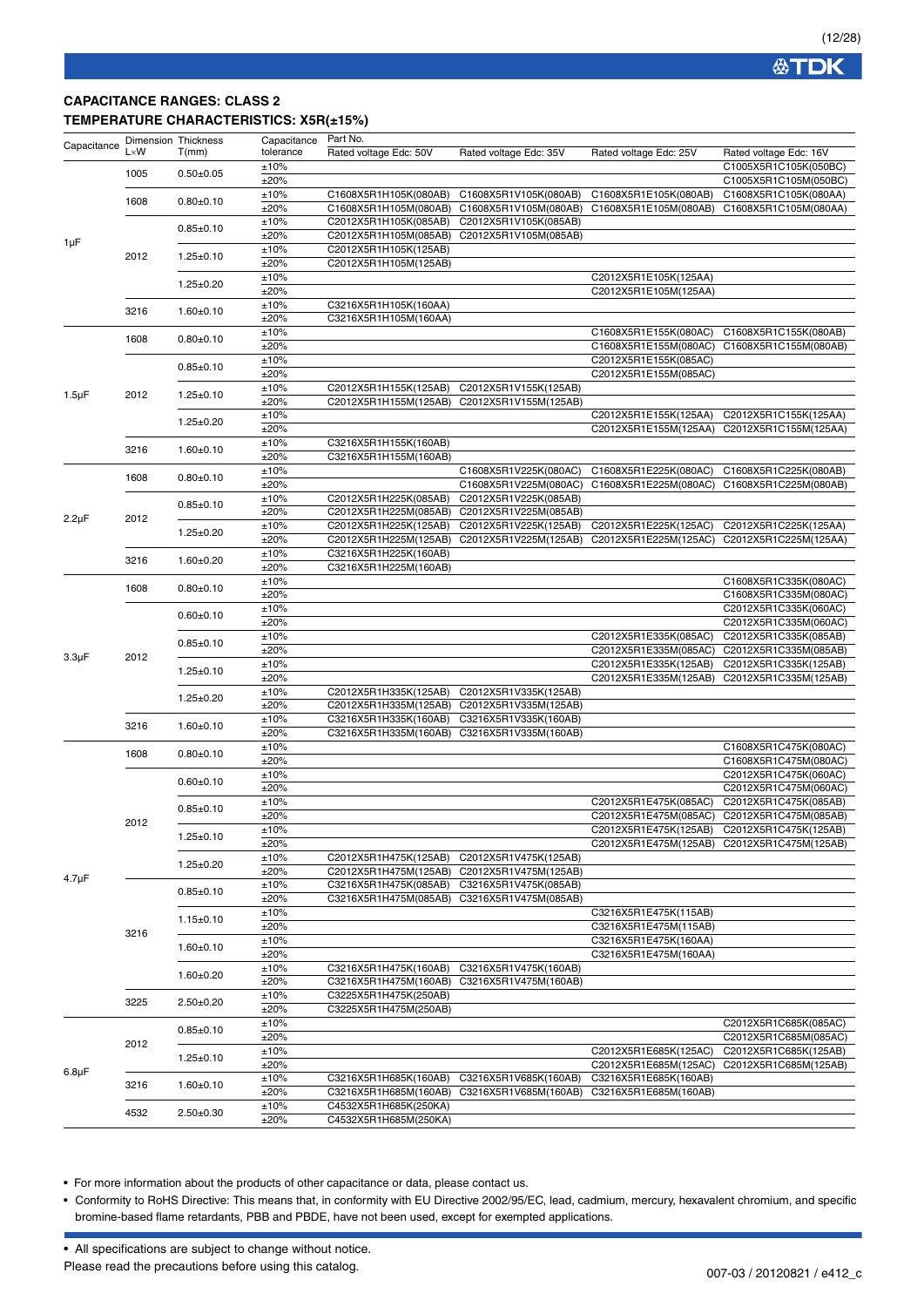### **CAPACITANCE RANGES: CLASS 2 TEMPERATURE CHARACTERISTICS: X5R(±15%)**

| Capacitance | $L \times W$ | Dimension Thickness<br>T(mm) | Capacitance<br>tolerance | Part No.<br>Rated voltage Edc: 50V             | Rated voltage Edc: 35V                         | Rated voltage Edc: 25V | Rated voltage Edc: 16V                         |
|-------------|--------------|------------------------------|--------------------------|------------------------------------------------|------------------------------------------------|------------------------|------------------------------------------------|
|             | 1005         | $0.50 + 0.05$                | ±10%<br>±20%             |                                                |                                                |                        | C1005X5R1C105K(050BC)<br>C1005X5R1C105M(050BC) |
|             |              |                              | ±10%                     | C1608X5R1H105K(080AB)                          | C1608X5R1V105K(080AB)                          | C1608X5R1E105K(080AB)  | C1608X5R1C105K(080AA)                          |
|             | 1608         | $0.80 + 0.10$                | ±20%                     | C1608X5R1H105M(080AB)                          | C1608X5R1V105M(080AB)                          | C1608X5R1E105M(080AB)  | C1608X5R1C105M(080AA)                          |
|             |              |                              | ±10%                     | C2012X5R1H105K(085AB)                          | C2012X5R1V105K(085AB)                          |                        |                                                |
|             |              | $0.85 \pm 0.10$              | ±20%                     | C2012X5R1H105M(085AB)                          | C2012X5R1V105M(085AB)                          |                        |                                                |
| $1 \mu F$   |              |                              | ±10%                     | C2012X5R1H105K(125AB)                          |                                                |                        |                                                |
|             | 2012         | $1.25 \pm 0.10$              | ±20%                     | C2012X5R1H105M(125AB)                          |                                                |                        |                                                |
|             |              |                              | ±10%                     |                                                |                                                | C2012X5R1E105K(125AA)  |                                                |
|             |              | $1.25 \pm 0.20$              | ±20%                     |                                                |                                                | C2012X5R1E105M(125AA)  |                                                |
|             |              |                              | ±10%                     | C3216X5R1H105K(160AA)                          |                                                |                        |                                                |
|             | 3216         | $1.60 + 0.10$                | ±20%                     | C3216X5R1H105M(160AA)                          |                                                |                        |                                                |
|             |              |                              | ±10%                     |                                                |                                                | C1608X5R1E155K(080AC)  | C1608X5R1C155K(080AB)                          |
|             | 1608         | $0.80 + 0.10$                | ±20%                     |                                                |                                                | C1608X5R1E155M(080AC)  | C1608X5R1C155M(080AB)                          |
|             |              |                              | ±10%                     |                                                |                                                | C2012X5R1E155K(085AC)  |                                                |
|             |              | $0.85 \pm 0.10$              | ±20%                     |                                                |                                                | C2012X5R1E155M(085AC)  |                                                |
| $1.5 \mu F$ | 2012         | $1.25 \pm 0.10$              | ±10%                     | C2012X5R1H155K(125AB)                          | C2012X5R1V155K(125AB)                          |                        |                                                |
|             |              |                              | ±20%                     | C2012X5R1H155M(125AB)                          | C2012X5R1V155M(125AB)                          |                        |                                                |
|             |              | $1.25 \pm 0.20$              | ±10%                     |                                                |                                                | C2012X5R1E155K(125AA)  | C2012X5R1C155K(125AA)                          |
|             |              |                              | ±20%                     |                                                |                                                | C2012X5R1E155M(125AA)  | C2012X5R1C155M(125AA)                          |
|             | 3216         | $1.60 + 0.10$                | ±10%                     | C3216X5R1H155K(160AB)                          |                                                |                        |                                                |
|             |              |                              | ±20%                     | C3216X5R1H155M(160AB)                          |                                                |                        |                                                |
|             | 1608         | $0.80 + 0.10$                | ±10%                     |                                                | C1608X5R1V225K(080AC)                          | C1608X5R1E225K(080AC)  | C1608X5R1C225K(080AB)                          |
|             |              |                              | ±20%                     |                                                | C1608X5R1V225M(080AC)                          | C1608X5R1E225M(080AC)  | C1608X5R1C225M(080AB)                          |
|             |              | $0.85 \pm 0.10$              | ±10%                     | C2012X5R1H225K(085AB)                          | C2012X5R1V225K(085AB)                          |                        |                                                |
| $2.2\mu F$  | 2012         |                              | ±20%                     | C2012X5R1H225M(085AB)                          | C2012X5R1V225M(085AB)                          |                        |                                                |
|             |              | $1.25 \pm 0.20$              | ±10%                     | C2012X5R1H225K(125AB)                          | C2012X5R1V225K(125AB)                          | C2012X5R1E225K(125AC)  | C2012X5R1C225K(125AA)                          |
|             |              |                              | ±20%                     | C2012X5R1H225M(125AB)                          | C2012X5R1V225M(125AB)                          | C2012X5R1E225M(125AC)  | C2012X5R1C225M(125AA)                          |
|             | 3216         | $1.60 + 0.20$                | ±10%                     | C3216X5R1H225K(160AB)                          |                                                |                        |                                                |
|             |              |                              | ±20%                     | C3216X5R1H225M(160AB)                          |                                                |                        |                                                |
|             | 1608         | $0.80 + 0.10$                | ±10%                     |                                                |                                                |                        | C1608X5R1C335K(080AC)                          |
|             |              |                              | ±20%                     |                                                |                                                |                        | C1608X5R1C335M(080AC)                          |
|             |              | $0.60 + 0.10$                | ±10%<br>±20%             |                                                |                                                |                        | C2012X5R1C335K(060AC)<br>C2012X5R1C335M(060AC) |
|             |              |                              | ±10%                     |                                                |                                                | C2012X5R1E335K(085AC)  | C2012X5R1C335K(085AB)                          |
|             |              | $0.85 + 0.10$                | ±20%                     |                                                |                                                | C2012X5R1E335M(085AC)  | C2012X5R1C335M(085AB)                          |
| $3.3\mu F$  | 2012         |                              | ±10%                     |                                                |                                                | C2012X5R1E335K(125AB)  | C2012X5R1C335K(125AB)                          |
|             |              | $1.25 \pm 0.10$              | ±20%                     |                                                |                                                | C2012X5R1E335M(125AB)  | C2012X5R1C335M(125AB)                          |
|             |              |                              | ±10%                     | C2012X5R1H335K(125AB)                          | C2012X5R1V335K(125AB)                          |                        |                                                |
|             |              | $1.25 \pm 0.20$              | ±20%                     | C2012X5R1H335M(125AB)                          | C2012X5R1V335M(125AB)                          |                        |                                                |
|             |              |                              | ±10%                     | C3216X5R1H335K(160AB)                          | C3216X5R1V335K(160AB)                          |                        |                                                |
|             | 3216         | $1.60 + 0.10$                | ±20%                     | C3216X5R1H335M(160AB)                          | C3216X5R1V335M(160AB)                          |                        |                                                |
|             |              |                              | ±10%                     |                                                |                                                |                        | C1608X5R1C475K(080AC)                          |
|             | 1608         | $0.80 + 0.10$                | ±20%                     |                                                |                                                |                        | C1608X5R1C475M(080AC)                          |
|             |              |                              | ±10%                     |                                                |                                                |                        | C2012X5R1C475K(060AC)                          |
|             |              | $0.60 + 0.10$                | ±20%                     |                                                |                                                |                        | C2012X5R1C475M(060AC)                          |
|             |              | $0.85 + 0.10$                | ±10%                     |                                                |                                                | C2012X5R1E475K(085AC)  | C2012X5R1C475K(085AB)                          |
|             | 2012         |                              | ±20%                     |                                                |                                                | C2012X5R1E475M(085AC)  | C2012X5R1C475M(085AB)                          |
|             |              | $1.25 \pm 0.10$              | ±10%                     |                                                |                                                |                        | C2012X5R1E475K(125AB) C2012X5R1C475K(125AB)    |
|             |              |                              | ±20%                     |                                                |                                                |                        | C2012X5R1E475M(125AB) C2012X5R1C475M(125AB)    |
|             |              | $1.25 \pm 0.20$              | ±10%                     | C2012X5R1H475K(125AB)                          | C2012X5R1V475K(125AB)                          |                        |                                                |
| $4.7 \mu F$ |              |                              | ±20%                     | C2012X5R1H475M(125AB)                          | C2012X5R1V475M(125AB)                          |                        |                                                |
|             |              | $0.85 + 0.10$                | ±10%                     | C3216X5R1H475K(085AB)                          | C3216X5R1V475K(085AB)                          |                        |                                                |
|             |              |                              | ±20%                     | C3216X5R1H475M(085AB)                          | C3216X5R1V475M(085AB)                          |                        |                                                |
|             |              | $1.15 \pm 0.10$              | ±10%                     |                                                |                                                | C3216X5R1E475K(115AB)  |                                                |
|             | 3216         |                              | ±20%                     |                                                |                                                | C3216X5R1E475M(115AB)  |                                                |
|             |              | $1.60 \pm 0.10$              | ±10%                     |                                                |                                                | C3216X5R1E475K(160AA)  |                                                |
|             |              |                              | ±20%                     |                                                |                                                | C3216X5R1E475M(160AA)  |                                                |
|             |              | $1.60 + 0.20$                | ±10%<br>±20%             | C3216X5R1H475K(160AB)<br>C3216X5R1H475M(160AB) | C3216X5R1V475K(160AB)<br>C3216X5R1V475M(160AB) |                        |                                                |
|             |              |                              |                          | C3225X5R1H475K(250AB)                          |                                                |                        |                                                |
|             | 3225         | $2.50+0.20$                  | ±10%<br>±20%             | C3225X5R1H475M(250AB)                          |                                                |                        |                                                |
|             |              |                              | ±10%                     |                                                |                                                |                        | C2012X5R1C685K(085AC)                          |
|             |              | $0.85 \pm 0.10$              | ±20%                     |                                                |                                                |                        | C2012X5R1C685M(085AC)                          |
|             | 2012         |                              | ±10%                     |                                                |                                                | C2012X5R1E685K(125AC)  | C2012X5R1C685K(125AB)                          |
|             |              | $1.25 \pm 0.10$              | ±20%                     |                                                |                                                | C2012X5R1E685M(125AC)  | C2012X5R1C685M(125AB)                          |
| $6.8\mu F$  |              |                              | ±10%                     | C3216X5R1H685K(160AB)                          | C3216X5R1V685K(160AB)                          | C3216X5R1E685K(160AB)  |                                                |
|             | 3216         | $1.60 \pm 0.10$              | ±20%                     | C3216X5R1H685M(160AB)                          | C3216X5R1V685M(160AB)                          | C3216X5R1E685M(160AB)  |                                                |
|             |              |                              | ±10%                     | C4532X5R1H685K(250KA)                          |                                                |                        |                                                |
|             | 4532         | $2.50 \pm 0.30$              | ±20%                     | C4532X5R1H685M(250KA)                          |                                                |                        |                                                |
|             |              |                              |                          |                                                |                                                |                        |                                                |

• For more information about the products of other capacitance or data, please contact us.

• Conformity to RoHS Directive: This means that, in conformity with EU Directive 2002/95/EC, lead, cadmium, mercury, hexavalent chromium, and specific bromine-based flame retardants, PBB and PBDE, have not been used, except for exempted applications.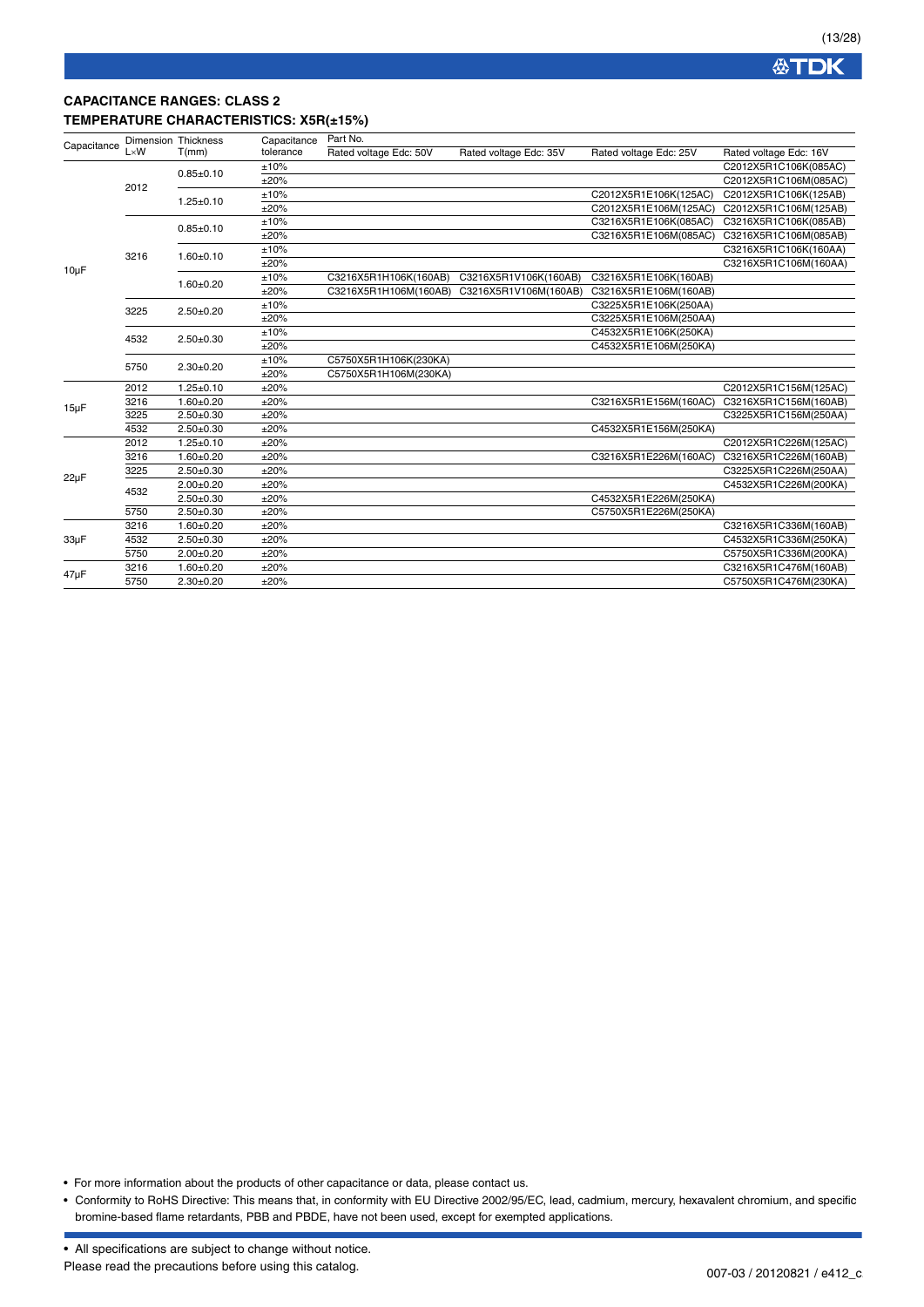## **CAPACITANCE RANGES: CLASS 2 TEMPERATURE CHARACTERISTICS: X5R(±15%)**

| Capacitance | <b>Dimension Thickness</b> |                 | Capacitance | Part No.               |                        |                        |                        |
|-------------|----------------------------|-----------------|-------------|------------------------|------------------------|------------------------|------------------------|
|             | $L \times W$               | T(mm)           | tolerance   | Rated voltage Edc: 50V | Rated voltage Edc: 35V | Rated voltage Edc: 25V | Rated voltage Edc: 16V |
|             |                            | $0.85 \pm 0.10$ | ±10%        |                        |                        |                        | C2012X5R1C106K(085AC)  |
|             | 2012                       |                 | ±20%        |                        |                        |                        | C2012X5R1C106M(085AC)  |
|             |                            | $1.25 \pm 0.10$ | ±10%        |                        |                        | C2012X5R1E106K(125AC)  | C2012X5R1C106K(125AB)  |
|             |                            |                 | ±20%        |                        |                        | C2012X5R1E106M(125AC)  | C2012X5R1C106M(125AB)  |
|             |                            | $0.85 \pm 0.10$ | ±10%        |                        |                        | C3216X5R1E106K(085AC)  | C3216X5R1C106K(085AB)  |
|             |                            |                 | ±20%        |                        |                        | C3216X5R1E106M(085AC)  | C3216X5R1C106M(085AB)  |
|             | 3216                       | $1.60 + 0.10$   | ±10%        |                        |                        |                        | C3216X5R1C106K(160AA)  |
|             |                            |                 | ±20%        |                        |                        |                        | C3216X5R1C106M(160AA)  |
| $10\mu F$   |                            | $1.60 + 0.20$   | ±10%        | C3216X5R1H106K(160AB)  | C3216X5R1V106K(160AB)  | C3216X5R1E106K(160AB)  |                        |
|             |                            |                 | ±20%        | C3216X5R1H106M(160AB)  | C3216X5R1V106M(160AB)  | C3216X5R1E106M(160AB)  |                        |
|             | 3225                       | $2.50+0.20$     | ±10%        |                        |                        | C3225X5R1E106K(250AA)  |                        |
|             |                            |                 | ±20%        |                        |                        | C3225X5R1E106M(250AA)  |                        |
|             | 4532                       | $2.50+0.30$     | ±10%        |                        |                        | C4532X5R1E106K(250KA)  |                        |
|             |                            |                 | ±20%        |                        |                        | C4532X5R1E106M(250KA)  |                        |
|             | 5750                       | $2.30 \pm 0.20$ | ±10%        | C5750X5R1H106K(230KA)  |                        |                        |                        |
|             |                            |                 | ±20%        | C5750X5R1H106M(230KA)  |                        |                        |                        |
|             | 2012                       | $1.25 \pm 0.10$ | ±20%        |                        |                        |                        | C2012X5R1C156M(125AC)  |
|             | 3216                       | $1.60 + 0.20$   | ±20%        |                        |                        | C3216X5R1E156M(160AC)  | C3216X5R1C156M(160AB)  |
|             | 3225                       | $2.50+0.30$     | ±20%        |                        |                        |                        | C3225X5R1C156M(250AA)  |
| $15\mu F$   | 4532                       | $2.50 + 0.30$   | ±20%        |                        |                        | C4532X5R1E156M(250KA)  |                        |
|             | 2012                       | $1.25 \pm 0.10$ | ±20%        |                        |                        |                        | C2012X5R1C226M(125AC)  |
|             | 3216                       | $1.60 + 0.20$   | ±20%        |                        |                        | C3216X5R1E226M(160AC)  | C3216X5R1C226M(160AB)  |
| $22\mu F$   | 3225                       | $2.50+0.30$     | ±20%        |                        |                        |                        | C3225X5R1C226M(250AA)  |
|             | 4532                       | $2.00 + 0.20$   | ±20%        |                        |                        |                        | C4532X5R1C226M(200KA)  |
|             |                            | $2.50 \pm 0.30$ | ±20%        |                        |                        | C4532X5R1E226M(250KA)  |                        |
|             | 5750                       | $2.50 \pm 0.30$ | ±20%        |                        |                        | C5750X5R1E226M(250KA)  |                        |
|             | 3216                       | $1.60 + 0.20$   | ±20%        |                        |                        |                        | C3216X5R1C336M(160AB)  |
| $33\mu F$   | 4532                       | $2.50 + 0.30$   | ±20%        |                        |                        |                        | C4532X5R1C336M(250KA)  |
|             | 5750                       | $2.00 \pm 0.20$ | ±20%        |                        |                        |                        | C5750X5R1C336M(200KA)  |
| $47\mu F$   | 3216                       | $1.60 + 0.20$   | ±20%        |                        |                        |                        | C3216X5R1C476M(160AB)  |
|             | 5750                       | $2.30 \pm 0.20$ | ±20%        |                        |                        |                        | C5750X5R1C476M(230KA)  |

• For more information about the products of other capacitance or data, please contact us.

• Conformity to RoHS Directive: This means that, in conformity with EU Directive 2002/95/EC, lead, cadmium, mercury, hexavalent chromium, and specific bromine-based flame retardants, PBB and PBDE, have not been used, except for exempted applications.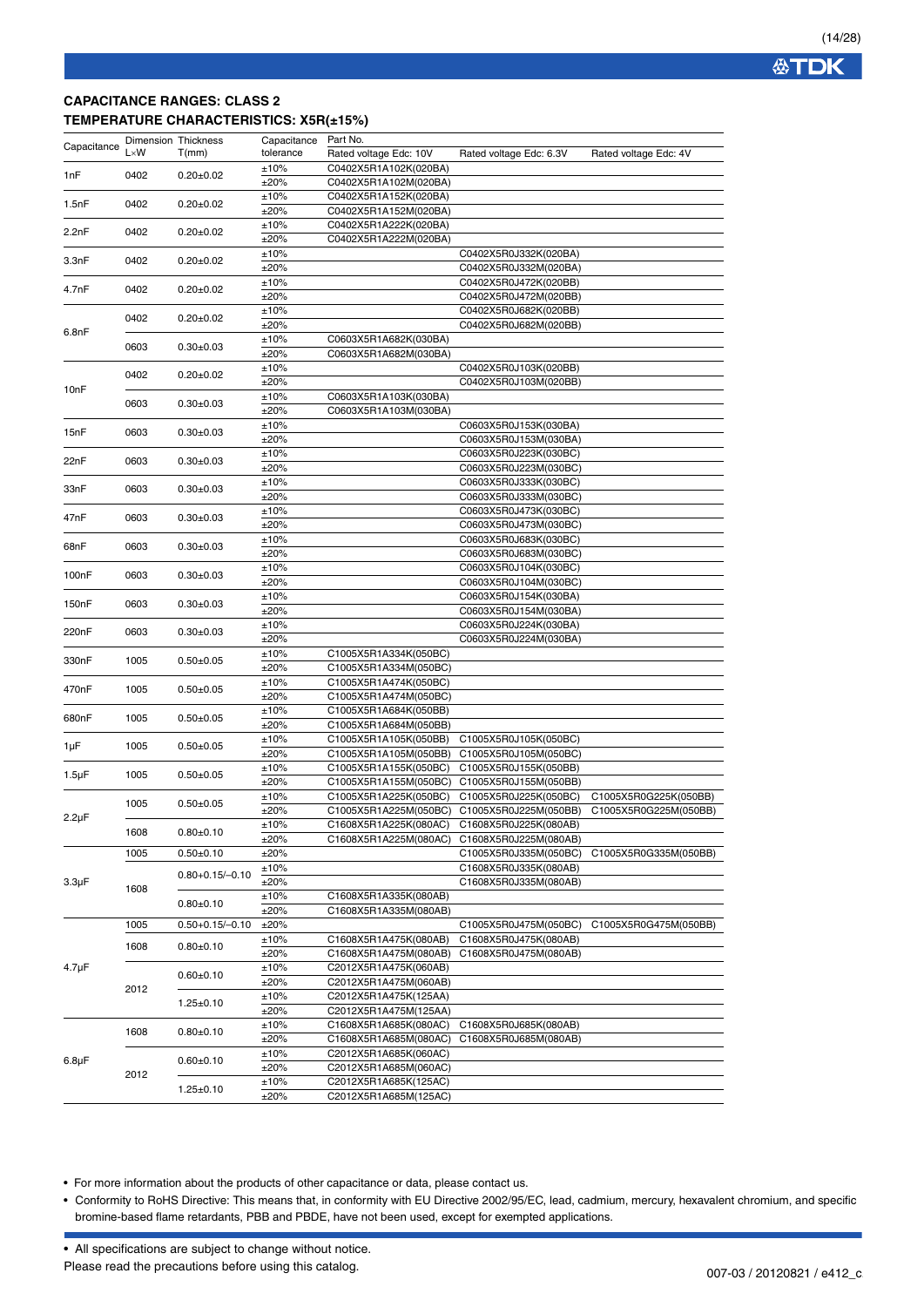**公TDK** 

## **CAPACITANCE RANGES: CLASS 2 TEMPERATURE CHARACTERISTICS: X5R(±15%)**

| Capacitance        |              | Dimension Thickness   | Capacitance  | Part No.                                       |                                                |                                                |
|--------------------|--------------|-----------------------|--------------|------------------------------------------------|------------------------------------------------|------------------------------------------------|
|                    | $L \times W$ | T(mm)                 | tolerance    | Rated voltage Edc: 10V                         | Rated voltage Edc: 6.3V                        | Rated voltage Edc: 4V                          |
| 1nF                | 0402         | $0.20 \pm 0.02$       | ±10%         | C0402X5R1A102K(020BA)                          |                                                |                                                |
|                    |              |                       | ±20%         | C0402X5R1A102M(020BA)                          |                                                |                                                |
| 1.5nF              | 0402         | $0.20 \pm 0.02$       | ±10%<br>±20% | C0402X5R1A152K(020BA)<br>C0402X5R1A152M(020BA) |                                                |                                                |
|                    |              |                       | ±10%         | C0402X5R1A222K(020BA)                          |                                                |                                                |
| 2.2nF              | 0402         | $0.20 \pm 0.02$       | ±20%         | C0402X5R1A222M(020BA)                          |                                                |                                                |
|                    |              |                       | ±10%         |                                                | C0402X5R0J332K(020BA)                          |                                                |
| 3.3nF              | 0402         | $0.20 \pm 0.02$       | ±20%         |                                                | C0402X5R0J332M(020BA)                          |                                                |
| 4.7nF              | 0402         | $0.20 \pm 0.02$       | ±10%         |                                                | C0402X5R0J472K(020BB)                          |                                                |
|                    |              |                       | ±20%         |                                                | C0402X5R0J472M(020BB)                          |                                                |
|                    | 0402         | $0.20 \pm 0.02$       | ±10%         |                                                | C0402X5R0J682K(020BB)                          |                                                |
| 6.8nF              |              |                       | ±20%         |                                                | C0402X5R0J682M(020BB)                          |                                                |
|                    | 0603         | $0.30 \pm 0.03$       | ±10%<br>±20% | C0603X5R1A682K(030BA)<br>C0603X5R1A682M(030BA) |                                                |                                                |
|                    |              |                       | ±10%         |                                                | C0402X5R0J103K(020BB)                          |                                                |
|                    | 0402         | $0.20 \pm 0.02$       | ±20%         |                                                | C0402X5R0J103M(020BB)                          |                                                |
| 10nF               |              |                       | ±10%         | C0603X5R1A103K(030BA)                          |                                                |                                                |
|                    | 0603         | $0.30 \pm 0.03$       | ±20%         | C0603X5R1A103M(030BA)                          |                                                |                                                |
|                    | 0603         | $0.30+0.03$           | ±10%         |                                                | C0603X5R0J153K(030BA)                          |                                                |
| 15nF               |              |                       | ±20%         |                                                | C0603X5R0J153M(030BA)                          |                                                |
| 22nF               | 0603         | $0.30 \pm 0.03$       | ±10%         |                                                | C0603X5R0J223K(030BC)                          |                                                |
|                    |              |                       | ±20%         |                                                | C0603X5R0J223M(030BC)                          |                                                |
| 33nF               | 0603         | $0.30 \pm 0.03$       | ±10%         |                                                | C0603X5R0J333K(030BC)                          |                                                |
|                    |              |                       | ±20%         |                                                | C0603X5R0J333M(030BC)                          |                                                |
| 47nF<br>0603       |              | $0.30+0.03$           | ±10%<br>±20% |                                                | C0603X5R0J473K(030BC)<br>C0603X5R0J473M(030BC) |                                                |
|                    |              |                       | ±10%         |                                                | C0603X5R0J683K(030BC)                          |                                                |
| 68nF               | 0603         | $0.30+0.03$           | ±20%         |                                                | C0603X5R0J683M(030BC)                          |                                                |
|                    |              |                       | ±10%         |                                                | C0603X5R0J104K(030BC)                          |                                                |
| 100 <sub>n</sub> F | 0603         | $0.30 \pm 0.03$       | ±20%         |                                                | C0603X5R0J104M(030BC)                          |                                                |
| 150nF              | 0603         | $0.30 \pm 0.03$       | ±10%         |                                                | C0603X5R0J154K(030BA)                          |                                                |
|                    |              |                       | ±20%         |                                                | C0603X5R0J154M(030BA)                          |                                                |
| 220nF              | 0603         | $0.30 \pm 0.03$       | ±10%         |                                                | C0603X5R0J224K(030BA)                          |                                                |
|                    |              |                       | ±20%         |                                                | C0603X5R0J224M(030BA)                          |                                                |
| 330nF              | 1005         | $0.50 \pm 0.05$       | ±10%<br>±20% | C1005X5R1A334K(050BC)<br>C1005X5R1A334M(050BC) |                                                |                                                |
|                    |              |                       | ±10%         | C1005X5R1A474K(050BC)                          |                                                |                                                |
| 470nF              | 1005         | $0.50 \pm 0.05$       | ±20%         | C1005X5R1A474M(050BC)                          |                                                |                                                |
|                    |              |                       | ±10%         | C1005X5R1A684K(050BB)                          |                                                |                                                |
| 680nF              | 1005         | $0.50 \pm 0.05$       | ±20%         | C1005X5R1A684M(050BB)                          |                                                |                                                |
| 1µF                | 1005         | $0.50 \pm 0.05$       | ±10%         | C1005X5R1A105K(050BB)                          | C1005X5R0J105K(050BC)                          |                                                |
|                    |              |                       | ±20%         | C1005X5R1A105M(050BB)                          | C1005X5R0J105M(050BC)                          |                                                |
| $1.5 \mu F$        | 1005         | $0.50 \pm 0.05$       | ±10%         | C1005X5R1A155K(050BC)                          | C1005X5R0J155K(050BB)                          |                                                |
|                    |              |                       | ±20%         | C1005X5R1A155M(050BC)                          | C1005X5R0J155M(050BB)                          |                                                |
|                    | 1005         | $0.50 + 0.05$         | ±10%<br>±20% | C1005X5R1A225K(050BC)<br>C1005X5R1A225M(050BC) | C1005X5R0J225K(050BC)<br>C1005X5R0J225M(050BB) | C1005X5R0G225K(050BB)<br>C1005X5R0G225M(050BB) |
| $2.2 \mu F$        |              |                       | ±10%         | C1608X5R1A225K(080AC)                          | C1608X5R0J225K(080AB)                          |                                                |
|                    | 1608         | $0.80 \pm 0.10$       | ±20%         | C1608X5R1A225M(080AC) C1608X5R0J225M(080AB)    |                                                |                                                |
|                    | 1005         | $0.50 + 0.10$         | ±20%         |                                                | C1005X5R0J335M(050BC)                          | C1005X5R0G335M(050BB)                          |
|                    |              |                       | ±10%         |                                                | C1608X5R0J335K(080AB)                          |                                                |
| $3.3 \mu F$        | 1608         | $0.80 + 0.15 / -0.10$ | ±20%         |                                                | C1608X5R0J335M(080AB)                          |                                                |
|                    |              | $0.80 + 0.10$         | ±10%         | C1608X5R1A335K(080AB)                          |                                                |                                                |
|                    |              |                       | ±20%         | C1608X5R1A335M(080AB)                          |                                                |                                                |
|                    | 1005         | $0.50 + 0.15 / -0.10$ | ±20%         |                                                | C1005X5R0J475M(050BC)                          | C1005X5R0G475M(050BB)                          |
|                    | 1608         | $0.80 + 0.10$         | ±10%         | C1608X5R1A475K(080AB)                          | C1608X5R0J475K(080AB)                          |                                                |
| $4.7 \mu F$        |              |                       | ±20%<br>±10% | C1608X5R1A475M(080AB)<br>C2012X5R1A475K(060AB) | C1608X5R0J475M(080AB)                          |                                                |
|                    |              | $0.60 + 0.10$         | ±20%         | C2012X5R1A475M(060AB)                          |                                                |                                                |
|                    | 2012         |                       | ±10%         | C2012X5R1A475K(125AA)                          |                                                |                                                |
|                    |              | $1.25 \pm 0.10$       | ±20%         | C2012X5R1A475M(125AA)                          |                                                |                                                |
|                    |              |                       | ±10%         | C1608X5R1A685K(080AC)                          | C1608X5R0J685K(080AB)                          |                                                |
|                    | 1608         | $0.80 \pm 0.10$       | ±20%         | C1608X5R1A685M(080AC)                          | C1608X5R0J685M(080AB)                          |                                                |
| $6.8\mu F$         |              | $0.60 + 0.10$         | ±10%         | C2012X5R1A685K(060AC)                          |                                                |                                                |
|                    | 2012         |                       | ±20%         | C2012X5R1A685M(060AC)                          |                                                |                                                |
|                    |              | $1.25 \pm 0.10$       | ±10%         | C2012X5R1A685K(125AC)                          |                                                |                                                |
|                    |              |                       | ±20%         | C2012X5R1A685M(125AC)                          |                                                |                                                |

• For more information about the products of other capacitance or data, please contact us.

• Conformity to RoHS Directive: This means that, in conformity with EU Directive 2002/95/EC, lead, cadmium, mercury, hexavalent chromium, and specific bromine-based flame retardants, PBB and PBDE, have not been used, except for exempted applications.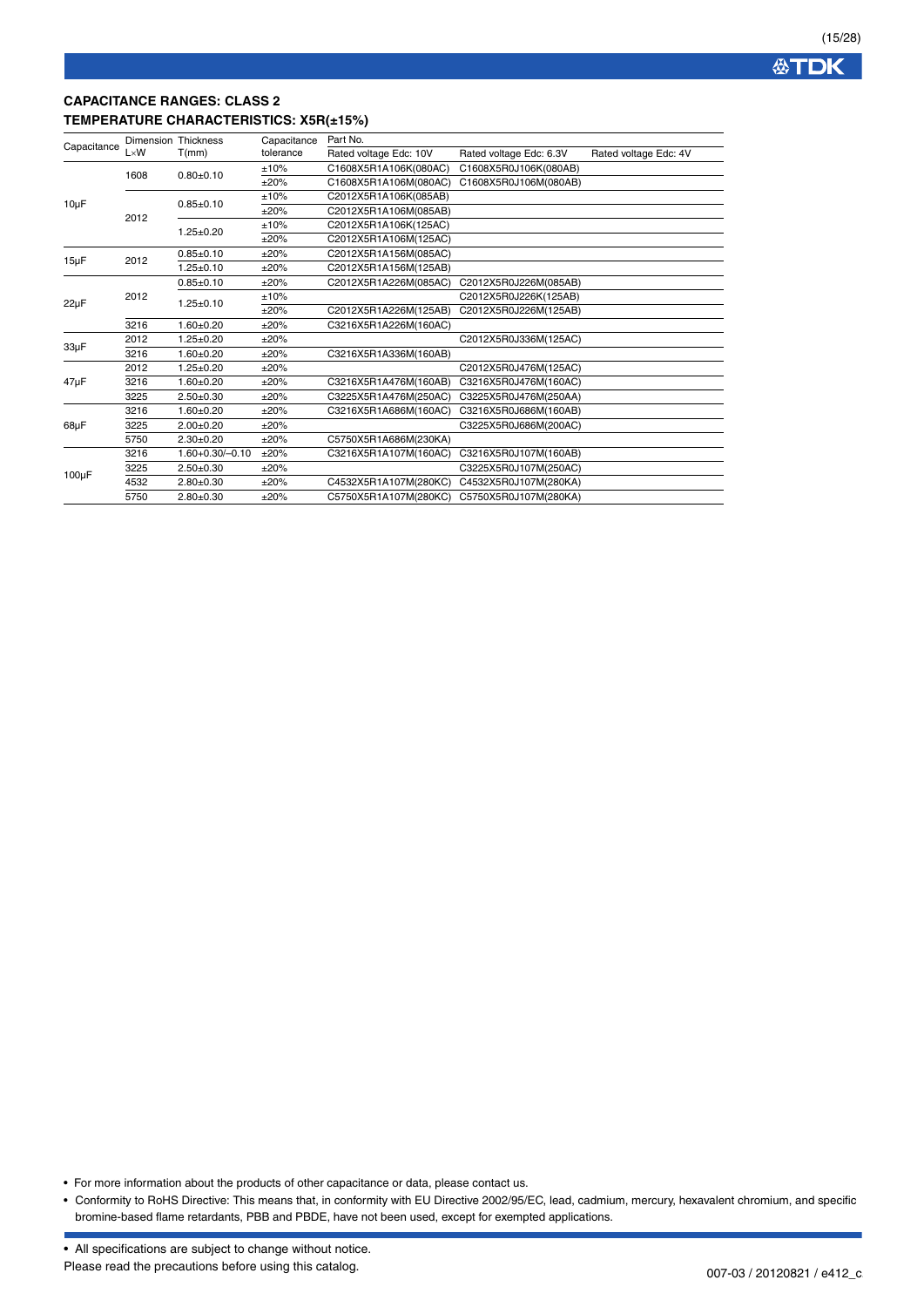## **CAPACITANCE RANGES: CLASS 2 TEMPERATURE CHARACTERISTICS: X5R(±15%)**

|             |              | <b>Dimension Thickness</b> | Capacitance | Part No.               |                         |                       |
|-------------|--------------|----------------------------|-------------|------------------------|-------------------------|-----------------------|
| Capacitance | $L \times W$ | T(mm)                      | tolerance   | Rated voltage Edc: 10V | Rated voltage Edc: 6.3V | Rated voltage Edc: 4V |
|             | 1608         |                            | ±10%        | C1608X5R1A106K(080AC)  | C1608X5R0J106K(080AB)   |                       |
|             |              | $0.80 + 0.10$              | ±20%        | C1608X5R1A106M(080AC)  | C1608X5R0J106M(080AB)   |                       |
|             |              | $0.85 \pm 0.10$            | ±10%        | C2012X5R1A106K(085AB)  |                         |                       |
| $10\mu F$   | 2012         |                            | ±20%        | C2012X5R1A106M(085AB)  |                         |                       |
|             |              |                            | ±10%        | C2012X5R1A106K(125AC)  |                         |                       |
|             |              | $1.25 \pm 0.20$            | ±20%        | C2012X5R1A106M(125AC)  |                         |                       |
|             |              | $0.85 + 0.10$              | ±20%        | C2012X5R1A156M(085AC)  |                         |                       |
| $15\mu F$   | 2012         | $1.25 \pm 0.10$            | ±20%        | C2012X5R1A156M(125AB)  |                         |                       |
|             | 2012         | $0.85 + 0.10$              | ±20%        | C2012X5R1A226M(085AC)  | C2012X5R0J226M(085AB)   |                       |
|             |              | $1.25 \pm 0.10$            | ±10%        |                        | C2012X5R0J226K(125AB)   |                       |
| $22\mu F$   |              |                            | ±20%        | C2012X5R1A226M(125AB)  | C2012X5R0J226M(125AB)   |                       |
|             | 3216         | $1.60 + 0.20$              | ±20%        | C3216X5R1A226M(160AC)  |                         |                       |
| 33µF        | 2012         | $1.25 \pm 0.20$            | ±20%        |                        | C2012X5R0J336M(125AC)   |                       |
|             | 3216         | $1.60 + 0.20$              | ±20%        | C3216X5R1A336M(160AB)  |                         |                       |
|             | 2012         | $1.25 \pm 0.20$            | ±20%        |                        | C2012X5R0J476M(125AC)   |                       |
| 47µF        | 3216         | $1.60 + 0.20$              | ±20%        | C3216X5R1A476M(160AB)  | C3216X5R0J476M(160AC)   |                       |
|             | 3225         | $2.50 + 0.30$              | ±20%        | C3225X5R1A476M(250AC)  | C3225X5R0J476M(250AA)   |                       |
|             | 3216         | $1.60 + 0.20$              | ±20%        | C3216X5R1A686M(160AC)  | C3216X5R0J686M(160AB)   |                       |
| 68µF        | 3225         | $2.00+0.20$                | ±20%        |                        | C3225X5R0J686M(200AC)   |                       |
|             | 5750         | $2.30+0.20$                | ±20%        | C5750X5R1A686M(230KA)  |                         |                       |
|             | 3216         | $1.60 + 0.30 / -0.10$      | ±20%        | C3216X5R1A107M(160AC)  | C3216X5R0J107M(160AB)   |                       |
|             | 3225         | $2.50+0.30$                | ±20%        |                        | C3225X5R0J107M(250AC)   |                       |
| $100\mu F$  | 4532         | $2.80 + 0.30$              | ±20%        | C4532X5R1A107M(280KC)  | C4532X5R0J107M(280KA)   |                       |
|             | 5750         | $2.80+0.30$                | ±20%        | C5750X5R1A107M(280KC)  | C5750X5R0J107M(280KA)   |                       |

• For more information about the products of other capacitance or data, please contact us.

• Conformity to RoHS Directive: This means that, in conformity with EU Directive 2002/95/EC, lead, cadmium, mercury, hexavalent chromium, and specific bromine-based flame retardants, PBB and PBDE, have not been used, except for exempted applications.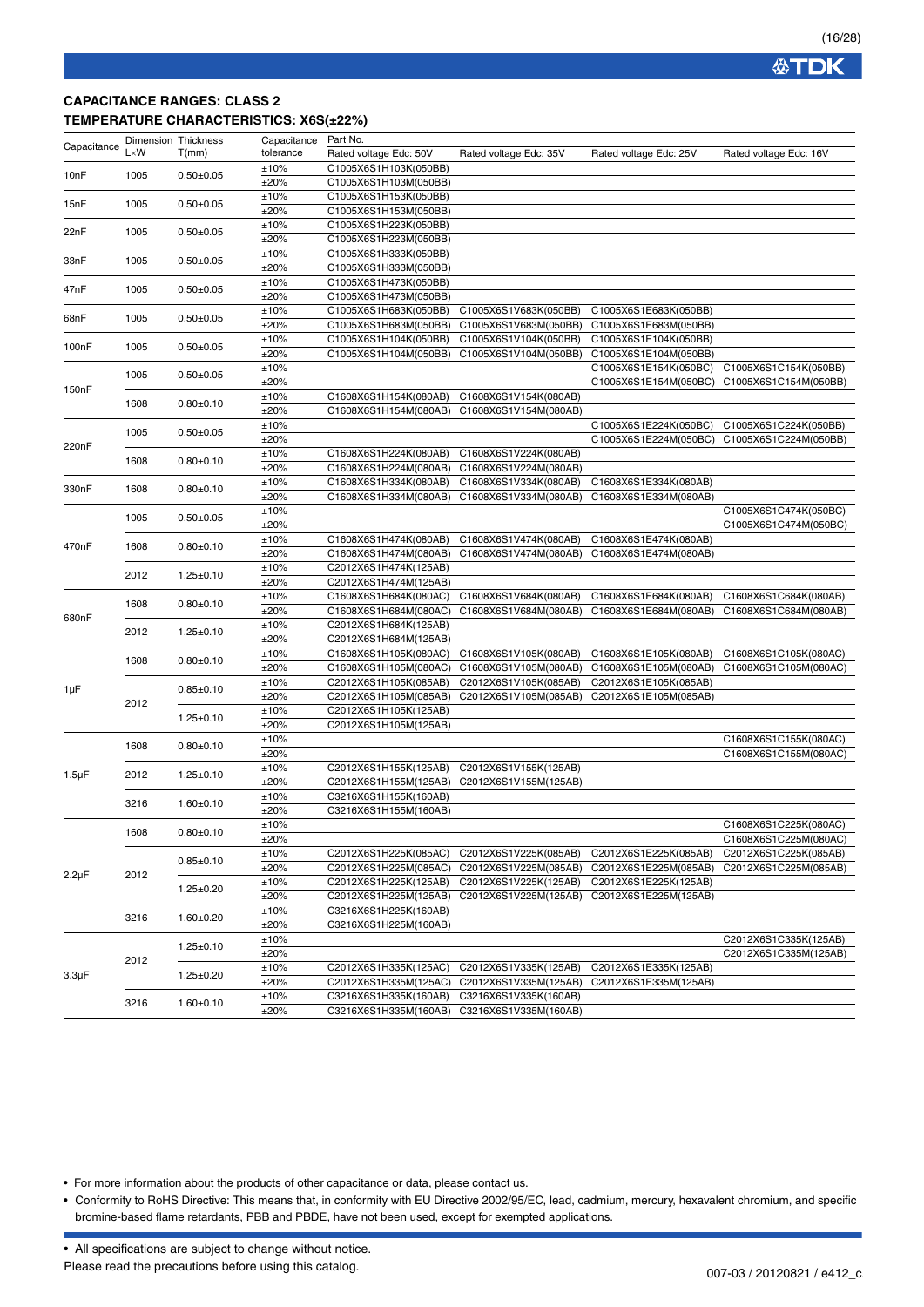### **CAPACITANCE RANGES: CLASS 2 TEMPERATURE CHARACTERISTICS: X6S(±22%)**

|                    |              | <b>Dimension Thickness</b> | Capacitance | Part No.               |                                             |                        |                        |
|--------------------|--------------|----------------------------|-------------|------------------------|---------------------------------------------|------------------------|------------------------|
| Capacitance        | $L \times W$ | T(mm)                      | tolerance   | Rated voltage Edc: 50V | Rated voltage Edc: 35V                      | Rated voltage Edc: 25V | Rated voltage Edc: 16V |
|                    |              |                            | ±10%        | C1005X6S1H103K(050BB)  |                                             |                        |                        |
| 10nF               | 1005         | $0.50 \pm 0.05$            | ±20%        | C1005X6S1H103M(050BB)  |                                             |                        |                        |
|                    |              |                            | ±10%        | C1005X6S1H153K(050BB)  |                                             |                        |                        |
| 15nF               | 1005         | $0.50 + 0.05$              | ±20%        | C1005X6S1H153M(050BB)  |                                             |                        |                        |
|                    |              |                            | ±10%        | C1005X6S1H223K(050BB)  |                                             |                        |                        |
| 22nF               | 1005         | $0.50 + 0.05$              | ±20%        | C1005X6S1H223M(050BB)  |                                             |                        |                        |
|                    |              |                            | ±10%        | C1005X6S1H333K(050BB)  |                                             |                        |                        |
| 33nF               | 1005         | $0.50 + 0.05$              | ±20%        | C1005X6S1H333M(050BB)  |                                             |                        |                        |
|                    |              |                            | ±10%        | C1005X6S1H473K(050BB)  |                                             |                        |                        |
| 47nF               | 1005         | $0.50 + 0.05$              | ±20%        | C1005X6S1H473M(050BB)  |                                             |                        |                        |
|                    |              |                            | ±10%        | C1005X6S1H683K(050BB)  | C1005X6S1V683K(050BB)                       | C1005X6S1E683K(050BB)  |                        |
| 68nF               | 1005         | $0.50 + 0.05$              |             |                        |                                             | C1005X6S1E683M(050BB)  |                        |
|                    |              |                            | ±20%        | C1005X6S1H683M(050BB)  | C1005X6S1V683M(050BB)                       |                        |                        |
| 100 <sub>n</sub> F | 1005         | $0.50 + 0.05$              | ±10%        | C1005X6S1H104K(050BB)  | C1005X6S1V104K(050BB)                       | C1005X6S1E104K(050BB)  |                        |
|                    |              |                            | ±20%        | C1005X6S1H104M(050BB)  | C1005X6S1V104M(050BB)                       | C1005X6S1E104M(050BB)  |                        |
|                    | 1005         | $0.50 \pm 0.05$            | ±10%        |                        |                                             | C1005X6S1E154K(050BC)  | C1005X6S1C154K(050BB)  |
| 150nF              |              |                            | ±20%        |                        |                                             | C1005X6S1E154M(050BC)  | C1005X6S1C154M(050BB)  |
|                    | 1608         | $0.80 + 0.10$              | ±10%        | C1608X6S1H154K(080AB)  | C1608X6S1V154K(080AB)                       |                        |                        |
|                    |              |                            | ±20%        | C1608X6S1H154M(080AB)  | C1608X6S1V154M(080AB)                       |                        |                        |
|                    | 1005         | $0.50 + 0.05$              | ±10%        |                        |                                             | C1005X6S1E224K(050BC)  | C1005X6S1C224K(050BB)  |
| 220nF              |              |                            | ±20%        |                        |                                             | C1005X6S1E224M(050BC)  | C1005X6S1C224M(050BB)  |
|                    | 1608         | $0.80 + 0.10$              | ±10%        | C1608X6S1H224K(080AB)  | C1608X6S1V224K(080AB)                       |                        |                        |
|                    |              |                            | ±20%        | C1608X6S1H224M(080AB)  | C1608X6S1V224M(080AB)                       |                        |                        |
| 330nF              | 1608         | $0.80 + 0.10$              | ±10%        | C1608X6S1H334K(080AB)  | C1608X6S1V334K(080AB)                       | C1608X6S1E334K(080AB)  |                        |
|                    |              |                            | ±20%        | C1608X6S1H334M(080AB)  | C1608X6S1V334M(080AB)                       | C1608X6S1E334M(080AB)  |                        |
|                    | 1005         | $0.50 + 0.05$              | ±10%        |                        |                                             |                        | C1005X6S1C474K(050BC)  |
|                    |              |                            | ±20%        |                        |                                             |                        | C1005X6S1C474M(050BC)  |
| 470nF              | 1608         | $0.80 + 0.10$              | ±10%        | C1608X6S1H474K(080AB)  | C1608X6S1V474K(080AB)                       | C1608X6S1E474K(080AB)  |                        |
|                    |              |                            | ±20%        | C1608X6S1H474M(080AB)  | C1608X6S1V474M(080AB)                       | C1608X6S1E474M(080AB)  |                        |
|                    |              |                            | ±10%        | C2012X6S1H474K(125AB)  |                                             |                        |                        |
|                    | 2012         | $1.25 \pm 0.10$            | ±20%        | C2012X6S1H474M(125AB)  |                                             |                        |                        |
|                    |              |                            | ±10%        | C1608X6S1H684K(080AC)  | C1608X6S1V684K(080AB)                       | C1608X6S1E684K(080AB)  | C1608X6S1C684K(080AB)  |
|                    | 1608<br>2012 | $0.80 + 0.10$              | ±20%        | C1608X6S1H684M(080AC)  | C1608X6S1V684M(080AB)                       | C1608X6S1E684M(080AB)  | C1608X6S1C684M(080AB)  |
| 680nF              |              |                            | ±10%        | C2012X6S1H684K(125AB)  |                                             |                        |                        |
|                    |              | $1.25 \pm 0.10$            | ±20%        | C2012X6S1H684M(125AB)  |                                             |                        |                        |
|                    |              |                            | ±10%        | C1608X6S1H105K(080AC)  | C1608X6S1V105K(080AB)                       | C1608X6S1E105K(080AB)  | C1608X6S1C105K(080AC)  |
|                    | 1608         | $0.80 + 0.10$              | ±20%        | C1608X6S1H105M(080AC)  | C1608X6S1V105M(080AB)                       | C1608X6S1E105M(080AB)  | C1608X6S1C105M(080AC)  |
|                    |              |                            | ±10%        | C2012X6S1H105K(085AB)  | C2012X6S1V105K(085AB)                       | C2012X6S1E105K(085AB)  |                        |
| 1µF                |              | $0.85 \pm 0.10$            | ±20%        | C2012X6S1H105M(085AB)  | C2012X6S1V105M(085AB)                       | C2012X6S1E105M(085AB)  |                        |
|                    | 2012         |                            | ±10%        | C2012X6S1H105K(125AB)  |                                             |                        |                        |
|                    |              | $1.25 \pm 0.10$            | ±20%        | C2012X6S1H105M(125AB)  |                                             |                        |                        |
|                    |              |                            | ±10%        |                        |                                             |                        | C1608X6S1C155K(080AC)  |
|                    | 1608         | $0.80 + 0.10$              | ±20%        |                        |                                             |                        | C1608X6S1C155M(080AC)  |
|                    |              |                            | ±10%        | C2012X6S1H155K(125AB)  | C2012X6S1V155K(125AB)                       |                        |                        |
| $1.5 \mu F$        | 2012         | $1.25 \pm 0.10$            | ±20%        |                        | C2012X6S1H155M(125AB) C2012X6S1V155M(125AB) |                        |                        |
|                    |              |                            | ±10%        | C3216X6S1H155K(160AB)  |                                             |                        |                        |
|                    | 3216         | $1.60 \pm 0.10$            | ±20%        | C3216X6S1H155M(160AB)  |                                             |                        |                        |
|                    |              |                            |             |                        |                                             |                        |                        |
|                    | 1608         | $0.80 \pm 0.10$            | ±10%        |                        |                                             |                        | C1608X6S1C225K(080AC)  |
|                    |              |                            | ±20%        |                        |                                             |                        | C1608X6S1C225M(080AC)  |
|                    |              | $0.85 \pm 0.10$            | ±10%        | C2012X6S1H225K(085AC)  | C2012X6S1V225K(085AB)                       | C2012X6S1E225K(085AB)  | C2012X6S1C225K(085AB)  |
| $2.2 \mu F$        | 2012         |                            | ±20%        | C2012X6S1H225M(085AC)  | C2012X6S1V225M(085AB)                       | C2012X6S1E225M(085AB)  | C2012X6S1C225M(085AB)  |
|                    |              | $1.25 \pm 0.20$            | ±10%        | C2012X6S1H225K(125AB)  | C2012X6S1V225K(125AB)                       | C2012X6S1E225K(125AB)  |                        |
|                    |              |                            | ±20%        | C2012X6S1H225M(125AB)  | C2012X6S1V225M(125AB)                       | C2012X6S1E225M(125AB)  |                        |
|                    | 3216         | $1.60 + 0.20$              | ±10%        | C3216X6S1H225K(160AB)  |                                             |                        |                        |
|                    |              |                            | ±20%        | C3216X6S1H225M(160AB)  |                                             |                        |                        |
|                    |              | $1.25 \pm 0.10$            | ±10%        |                        |                                             |                        | C2012X6S1C335K(125AB)  |
|                    | 2012         |                            | ±20%        |                        |                                             |                        | C2012X6S1C335M(125AB)  |
| $3.3 \mu F$        |              | $1.25 \pm 0.20$            | ±10%        | C2012X6S1H335K(125AC)  | C2012X6S1V335K(125AB)                       | C2012X6S1E335K(125AB)  |                        |
|                    |              |                            | ±20%        |                        | C2012X6S1H335M(125AC) C2012X6S1V335M(125AB) | C2012X6S1E335M(125AB)  |                        |
|                    | 3216         | $1.60 \pm 0.10$            | ±10%        | C3216X6S1H335K(160AB)  | C3216X6S1V335K(160AB)                       |                        |                        |
|                    |              |                            | ±20%        |                        | C3216X6S1H335M(160AB) C3216X6S1V335M(160AB) |                        |                        |

• For more information about the products of other capacitance or data, please contact us.

• Conformity to RoHS Directive: This means that, in conformity with EU Directive 2002/95/EC, lead, cadmium, mercury, hexavalent chromium, and specific bromine-based flame retardants, PBB and PBDE, have not been used, except for exempted applications.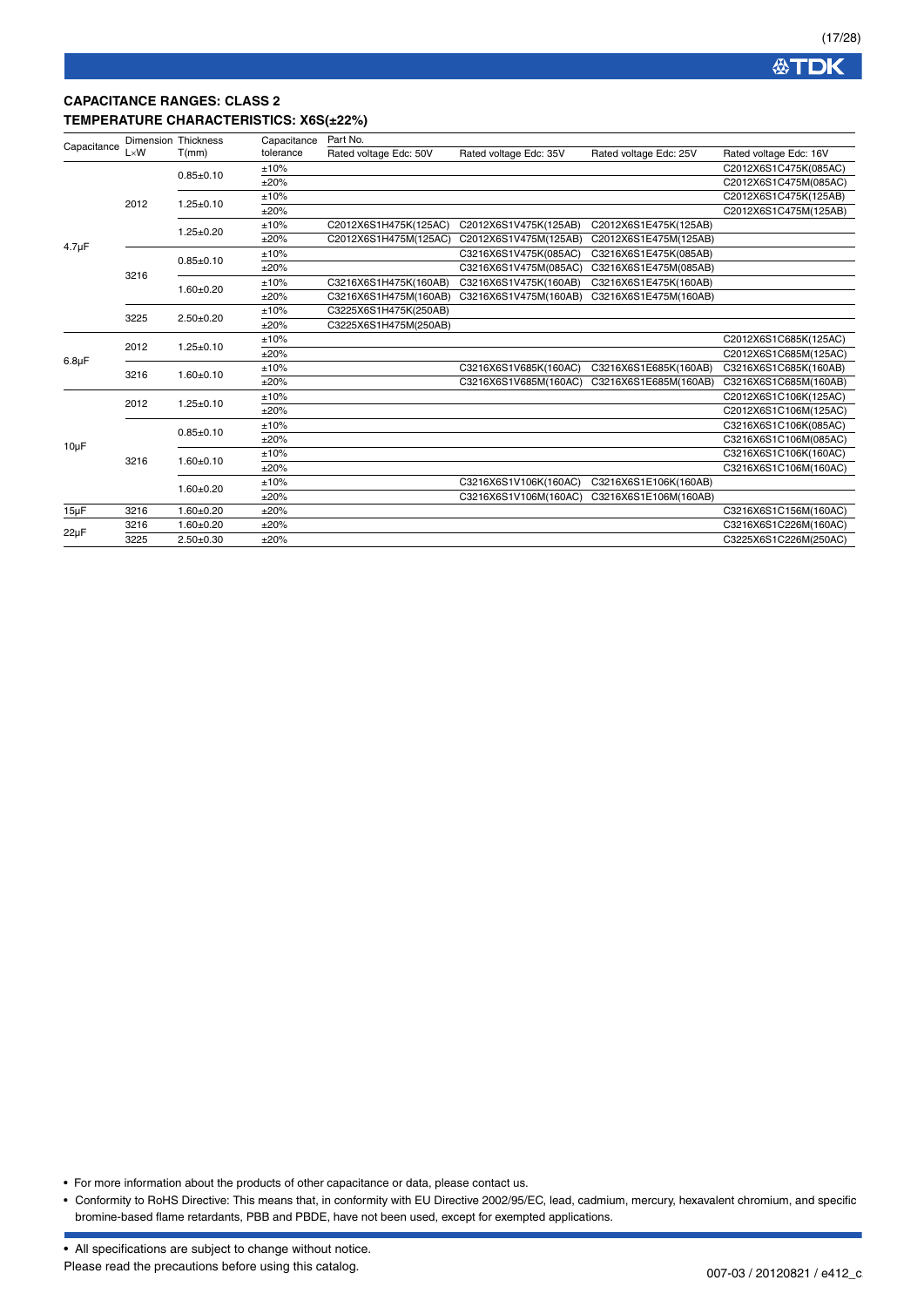## **CAPACITANCE RANGES: CLASS 2 TEMPERATURE CHARACTERISTICS: X6S(±22%)**

|             |              | Dimension Thickness | Capacitance | Part No.               |                        |                        |                        |
|-------------|--------------|---------------------|-------------|------------------------|------------------------|------------------------|------------------------|
| Capacitance | $L \times W$ | T(mm)               | tolerance   | Rated voltage Edc: 50V | Rated voltage Edc: 35V | Rated voltage Edc: 25V | Rated voltage Edc: 16V |
|             |              | $0.85 + 0.10$       | ±10%        |                        |                        |                        | C2012X6S1C475K(085AC)  |
|             |              |                     | ±20%        |                        |                        |                        | C2012X6S1C475M(085AC)  |
|             | 2012         | $1.25 \pm 0.10$     | ±10%        |                        |                        |                        | C2012X6S1C475K(125AB)  |
|             |              |                     | ±20%        |                        |                        |                        | C2012X6S1C475M(125AB)  |
|             |              | $1.25 \pm 0.20$     | ±10%        | C2012X6S1H475K(125AC)  | C2012X6S1V475K(125AB)  | C2012X6S1E475K(125AB)  |                        |
|             |              |                     | ±20%        | C2012X6S1H475M(125AC)  | C2012X6S1V475M(125AB)  | C2012X6S1E475M(125AB)  |                        |
| $4.7 \mu F$ |              |                     | ±10%        |                        | C3216X6S1V475K(085AC)  | C3216X6S1E475K(085AB)  |                        |
|             | 3216         | $0.85 + 0.10$       | ±20%        |                        | C3216X6S1V475M(085AC)  | C3216X6S1E475M(085AB)  |                        |
|             |              | $1.60 + 0.20$       | ±10%        | C3216X6S1H475K(160AB)  | C3216X6S1V475K(160AB)  | C3216X6S1E475K(160AB)  |                        |
|             |              |                     | ±20%        | C3216X6S1H475M(160AB)  | C3216X6S1V475M(160AB)  | C3216X6S1E475M(160AB)  |                        |
|             | 3225         | $2.50+0.20$         | ±10%        | C3225X6S1H475K(250AB)  |                        |                        |                        |
|             |              |                     | ±20%        | C3225X6S1H475M(250AB)  |                        |                        |                        |
|             | 2012         | $1.25 \pm 0.10$     | ±10%        |                        |                        |                        | C2012X6S1C685K(125AC)  |
| $6.8\mu F$  |              |                     | ±20%        |                        |                        |                        | C2012X6S1C685M(125AC)  |
|             | 3216         | $1.60 + 0.10$       | ±10%        |                        | C3216X6S1V685K(160AC)  | C3216X6S1E685K(160AB)  | C3216X6S1C685K(160AB)  |
|             |              |                     | ±20%        |                        | C3216X6S1V685M(160AC)  | C3216X6S1E685M(160AB)  | C3216X6S1C685M(160AB)  |
|             | 2012         | $1.25 \pm 0.10$     | ±10%        |                        |                        |                        | C2012X6S1C106K(125AC)  |
|             |              |                     | ±20%        |                        |                        |                        | C2012X6S1C106M(125AC)  |
|             |              | $0.85 \pm 0.10$     | ±10%        |                        |                        |                        | C3216X6S1C106K(085AC)  |
| $10\mu F$   |              |                     | ±20%        |                        |                        |                        | C3216X6S1C106M(085AC)  |
|             | 3216         | $1.60 + 0.10$       | ±10%        |                        |                        |                        | C3216X6S1C106K(160AC)  |
|             |              |                     | ±20%        |                        |                        |                        | C3216X6S1C106M(160AC)  |
|             |              | $1.60 + 0.20$       | ±10%        |                        | C3216X6S1V106K(160AC)  | C3216X6S1E106K(160AB)  |                        |
|             |              |                     | ±20%        |                        | C3216X6S1V106M(160AC)  | C3216X6S1E106M(160AB)  |                        |
| $15 \mu F$  | 3216         | $1.60 + 0.20$       | ±20%        |                        |                        |                        | C3216X6S1C156M(160AC)  |
| $22\mu F$   | 3216         | $1.60 + 0.20$       | ±20%        |                        |                        |                        | C3216X6S1C226M(160AC)  |
|             | 3225         | $2.50+0.30$         | ±20%        |                        |                        |                        | C3225X6S1C226M(250AC)  |

• For more information about the products of other capacitance or data, please contact us.

<sup>•</sup> Conformity to RoHS Directive: This means that, in conformity with EU Directive 2002/95/EC, lead, cadmium, mercury, hexavalent chromium, and specific bromine-based flame retardants, PBB and PBDE, have not been used, except for exempted applications.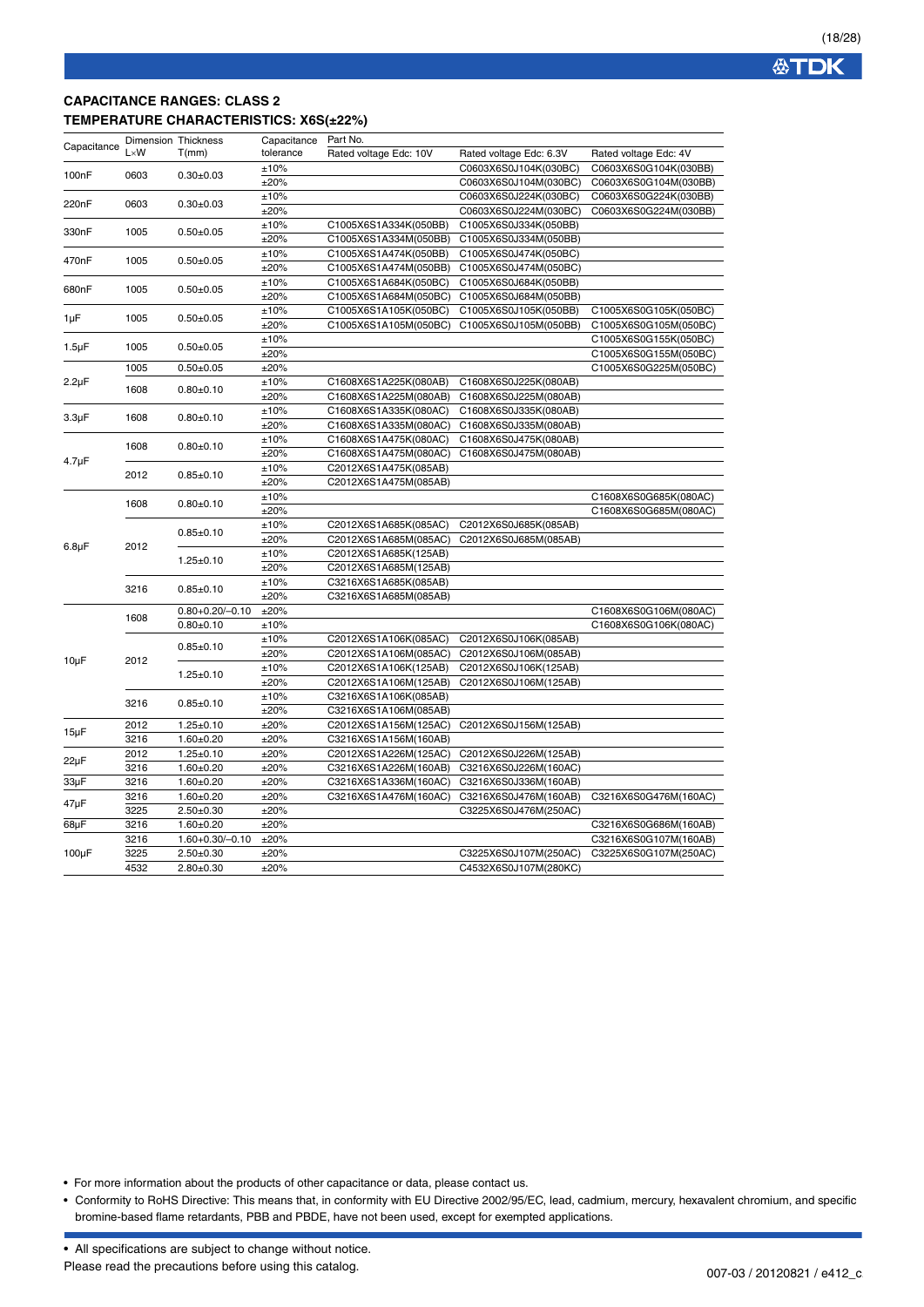### **CAPACITANCE RANGES: CLASS 2 TEMPERATURE CHARACTERISTICS: X6S(±22%)**

| Capacitance        | <b>Dimension Thickness</b> |                       | Capacitance | Part No.               |                         |                       |
|--------------------|----------------------------|-----------------------|-------------|------------------------|-------------------------|-----------------------|
|                    | $L \times W$               | T(mm)                 | tolerance   | Rated voltage Edc: 10V | Rated voltage Edc: 6.3V | Rated voltage Edc: 4V |
| 100nF              | 0603                       | $0.30 + 0.03$         | ±10%        |                        | C0603X6S0J104K(030BC)   | C0603X6S0G104K(030BB) |
|                    |                            |                       | ±20%        |                        | C0603X6S0J104M(030BC)   | C0603X6S0G104M(030BB) |
| 220nF              | 0603                       | $0.30 + 0.03$         | ±10%        |                        | C0603X6S0J224K(030BC)   | C0603X6S0G224K(030BB) |
|                    |                            |                       | ±20%        |                        | C0603X6S0J224M(030BC)   | C0603X6S0G224M(030BB) |
| 330nF              | 1005                       | $0.50 + 0.05$         | ±10%        | C1005X6S1A334K(050BB)  | C1005X6S0J334K(050BB)   |                       |
|                    |                            |                       | ±20%        | C1005X6S1A334M(050BB)  | C1005X6S0J334M(050BB)   |                       |
| 470nF              | 1005                       | $0.50 + 0.05$         | ±10%        | C1005X6S1A474K(050BB)  | C1005X6S0J474K(050BC)   |                       |
|                    |                            |                       | ±20%        | C1005X6S1A474M(050BB)  | C1005X6S0J474M(050BC)   |                       |
| 680nF              | 1005                       | $0.50 + 0.05$         | ±10%        | C1005X6S1A684K(050BC)  | C1005X6S0J684K(050BB)   |                       |
|                    |                            |                       | ±20%        | C1005X6S1A684M(050BC)  | C1005X6S0J684M(050BB)   |                       |
| $1\mu F$           | 1005                       | $0.50 + 0.05$         | ±10%        | C1005X6S1A105K(050BC)  | C1005X6S0J105K(050BB)   | C1005X6S0G105K(050BC) |
|                    |                            |                       | ±20%        | C1005X6S1A105M(050BC)  | C1005X6S0J105M(050BB)   | C1005X6S0G105M(050BC) |
| $1.5\mu F$<br>1005 | $0.50 + 0.05$              | ±10%                  |             |                        | C1005X6S0G155K(050BC)   |                       |
|                    |                            |                       | ±20%        |                        |                         | C1005X6S0G155M(050BC) |
|                    | 1005                       | $0.50 + 0.05$         | ±20%        |                        |                         | C1005X6S0G225M(050BC) |
| $2.2\mu F$         |                            |                       | ±10%        | C1608X6S1A225K(080AB)  | C1608X6S0J225K(080AB)   |                       |
|                    | 1608                       | $0.80 + 0.10$         | ±20%        | C1608X6S1A225M(080AB)  | C1608X6S0J225M(080AB)   |                       |
|                    |                            |                       | ±10%        | C1608X6S1A335K(080AC)  | C1608X6S0J335K(080AB)   |                       |
| $3.3\mu F$         | 1608                       | $0.80 + 0.10$         | ±20%        | C1608X6S1A335M(080AC)  | C1608X6S0J335M(080AB)   |                       |
|                    |                            |                       | ±10%        | C1608X6S1A475K(080AC)  | C1608X6S0J475K(080AB)   |                       |
|                    | 1608                       | $0.80 + 0.10$         | ±20%        | C1608X6S1A475M(080AC)  | C1608X6S0J475M(080AB)   |                       |
| $4.7 \mu F$        | 2012                       |                       | ±10%        | C2012X6S1A475K(085AB)  |                         |                       |
|                    |                            | $0.85 \pm 0.10$       | ±20%        | C2012X6S1A475M(085AB)  |                         |                       |
|                    | 1608                       |                       | ±10%        |                        |                         | C1608X6S0G685K(080AC) |
|                    |                            | $0.80 + 0.10$         | ±20%        |                        |                         | C1608X6S0G685M(080AC) |
|                    |                            | $0.85 + 0.10$         | ±10%        | C2012X6S1A685K(085AC)  | C2012X6S0J685K(085AB)   |                       |
| $6.8\mu F$         | 2012                       |                       | ±20%        | C2012X6S1A685M(085AC)  | C2012X6S0J685M(085AB)   |                       |
|                    |                            | $1.25 \pm 0.10$       | ±10%        | C2012X6S1A685K(125AB)  |                         |                       |
|                    |                            |                       | ±20%        | C2012X6S1A685M(125AB)  |                         |                       |
|                    |                            |                       | ±10%        | C3216X6S1A685K(085AB)  |                         |                       |
|                    | 3216                       | $0.85 \pm 0.10$       | ±20%        | C3216X6S1A685M(085AB)  |                         |                       |
|                    | 1608                       | $0.80 + 0.20 / -0.10$ | ±20%        |                        |                         | C1608X6S0G106M(080AC) |
|                    |                            | $0.80 + 0.10$         | ±10%        |                        |                         | C1608X6S0G106K(080AC) |
|                    |                            | $0.85 + 0.10$         | ±10%        | C2012X6S1A106K(085AC)  | C2012X6S0J106K(085AB)   |                       |
| $10\mu F$          | 2012                       |                       | ±20%        | C2012X6S1A106M(085AC)  | C2012X6S0J106M(085AB)   |                       |
|                    |                            | $1.25 \pm 0.10$       | ±10%        | C2012X6S1A106K(125AB)  | C2012X6S0J106K(125AB)   |                       |
|                    |                            |                       | ±20%        | C2012X6S1A106M(125AB)  | C2012X6S0J106M(125AB)   |                       |
|                    | 3216                       | $0.85 + 0.10$         | ±10%        | C3216X6S1A106K(085AB)  |                         |                       |
|                    |                            |                       | ±20%        | C3216X6S1A106M(085AB)  |                         |                       |
|                    | 2012                       | $1.25 \pm 0.10$       | ±20%        | C2012X6S1A156M(125AC)  | C2012X6S0J156M(125AB)   |                       |
| $15\mu F$          | 3216                       | $1.60 + 0.20$         | ±20%        | C3216X6S1A156M(160AB)  |                         |                       |
| $22\mu F$          | 2012                       | $1.25 \pm 0.10$       | ±20%        | C2012X6S1A226M(125AC)  | C2012X6S0J226M(125AB)   |                       |
|                    | 3216                       | $1.60 + 0.20$         | ±20%        | C3216X6S1A226M(160AB)  | C3216X6S0J226M(160AC)   |                       |
| 33µF               | 3216                       | $1.60 + 0.20$         | ±20%        | C3216X6S1A336M(160AC)  | C3216X6S0J336M(160AB)   |                       |
|                    | 3216                       | $1.60 + 0.20$         | ±20%        | C3216X6S1A476M(160AC)  | C3216X6S0J476M(160AB)   | C3216X6S0G476M(160AC) |
| 47µF               | 3225                       | $2.50 + 0.30$         | ±20%        |                        | C3225X6S0J476M(250AC)   |                       |
| 68µF               | 3216                       | $1.60 + 0.20$         | ±20%        |                        |                         | C3216X6S0G686M(160AB) |
|                    | 3216                       | $1.60 + 0.30 / -0.10$ | ±20%        |                        |                         | C3216X6S0G107M(160AB) |
| $100\mu F$         | 3225                       | $2.50 + 0.30$         | ±20%        |                        | C3225X6S0J107M(250AC)   | C3225X6S0G107M(250AC) |
|                    | 4532                       | $2.80 \pm 0.30$       | ±20%        |                        | C4532X6S0J107M(280KC)   |                       |
|                    |                            |                       |             |                        |                         |                       |

• For more information about the products of other capacitance or data, please contact us.

• Conformity to RoHS Directive: This means that, in conformity with EU Directive 2002/95/EC, lead, cadmium, mercury, hexavalent chromium, and specific bromine-based flame retardants, PBB and PBDE, have not been used, except for exempted applications.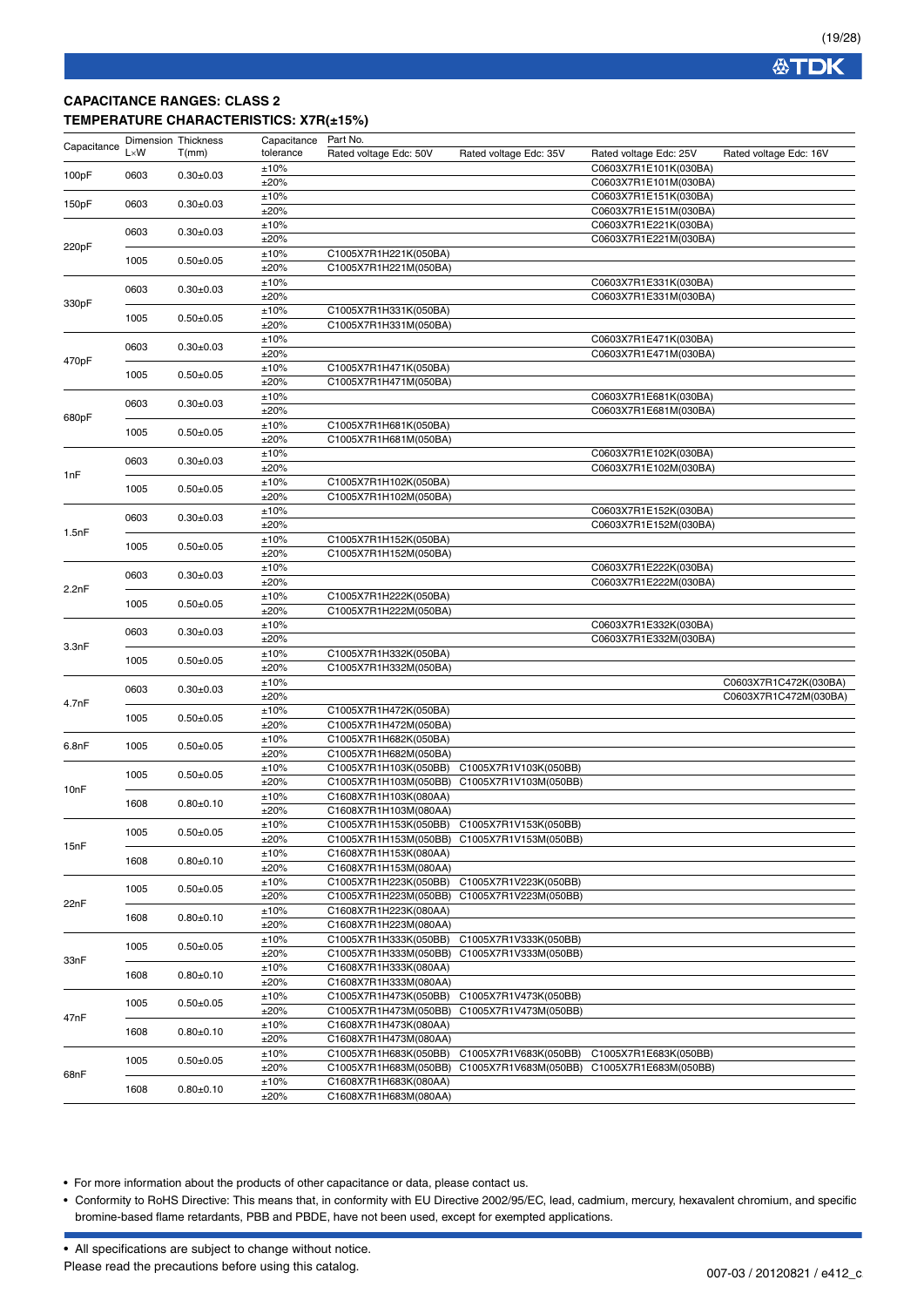### **CAPACITANCE RANGES: CLASS 2 TEMPERATURE CHARACTERISTICS: X7R(±15%)**

| Capacitance | Dimension Thickness |                 | Capacitance | Part No.               |                                             |                        |                        |  |
|-------------|---------------------|-----------------|-------------|------------------------|---------------------------------------------|------------------------|------------------------|--|
|             | $L \times W$        | T(mm)           | tolerance   | Rated voltage Edc: 50V | Rated voltage Edc: 35V                      | Rated voltage Edc: 25V | Rated voltage Edc: 16V |  |
|             |                     |                 | ±10%        |                        |                                             | C0603X7R1E101K(030BA)  |                        |  |
| 100pF       | 0603                | $0.30 + 0.03$   | ±20%        |                        |                                             | C0603X7R1E101M(030BA)  |                        |  |
|             |                     |                 | ±10%        |                        |                                             | C0603X7R1E151K(030BA)  |                        |  |
| 150pF       | 0603                | $0.30 + 0.03$   | ±20%        |                        |                                             | C0603X7R1E151M(030BA)  |                        |  |
|             |                     |                 | ±10%        |                        |                                             | C0603X7R1E221K(030BA)  |                        |  |
|             | 0603                | $0.30 + 0.03$   | ±20%        |                        |                                             | C0603X7R1E221M(030BA)  |                        |  |
| 220pF       |                     |                 | ±10%        | C1005X7R1H221K(050BA)  |                                             |                        |                        |  |
|             | 1005                | $0.50 + 0.05$   |             |                        |                                             |                        |                        |  |
|             |                     |                 | ±20%        | C1005X7R1H221M(050BA)  |                                             |                        |                        |  |
|             | 0603                | $0.30 \pm 0.03$ | ±10%        |                        |                                             | C0603X7R1E331K(030BA)  |                        |  |
| 330pF       |                     |                 | ±20%        |                        |                                             | C0603X7R1E331M(030BA)  |                        |  |
|             | 1005                | $0.50 + 0.05$   | ±10%        | C1005X7R1H331K(050BA)  |                                             |                        |                        |  |
|             |                     |                 | ±20%        | C1005X7R1H331M(050BA)  |                                             |                        |                        |  |
|             | 0603                | $0.30 + 0.03$   | ±10%        |                        |                                             | C0603X7R1E471K(030BA)  |                        |  |
| 470pF       |                     |                 | ±20%        |                        |                                             | C0603X7R1E471M(030BA)  |                        |  |
|             | 1005                | $0.50+0.05$     | ±10%        | C1005X7R1H471K(050BA)  |                                             |                        |                        |  |
|             |                     |                 | ±20%        | C1005X7R1H471M(050BA)  |                                             |                        |                        |  |
|             |                     |                 | ±10%        |                        |                                             | C0603X7R1E681K(030BA)  |                        |  |
|             | 0603                | $0.30 \pm 0.03$ | ±20%        |                        |                                             | C0603X7R1E681M(030BA)  |                        |  |
| 680pF       |                     |                 | ±10%        | C1005X7R1H681K(050BA)  |                                             |                        |                        |  |
|             | 1005                | $0.50 + 0.05$   | ±20%        | C1005X7R1H681M(050BA)  |                                             |                        |                        |  |
|             |                     |                 | ±10%        |                        |                                             | C0603X7R1E102K(030BA)  |                        |  |
|             | 0603                | $0.30 + 0.03$   | ±20%        |                        |                                             | C0603X7R1E102M(030BA)  |                        |  |
| 1nF         |                     |                 | ±10%        | C1005X7R1H102K(050BA)  |                                             |                        |                        |  |
|             | 1005                | $0.50 + 0.05$   | ±20%        | C1005X7R1H102M(050BA)  |                                             |                        |                        |  |
|             |                     |                 | ±10%        |                        |                                             | C0603X7R1E152K(030BA)  |                        |  |
|             | 0603                | $0.30 + 0.03$   | ±20%        |                        |                                             | C0603X7R1E152M(030BA)  |                        |  |
| 1.5nF       |                     |                 |             |                        |                                             |                        |                        |  |
|             | 1005                | $0.50 + 0.05$   | ±10%        | C1005X7R1H152K(050BA)  |                                             |                        |                        |  |
|             |                     |                 | ±20%        | C1005X7R1H152M(050BA)  |                                             |                        |                        |  |
|             | 0603                | $0.30 + 0.03$   | ±10%        |                        |                                             | C0603X7R1E222K(030BA)  |                        |  |
| 2.2nF       |                     |                 | ±20%        |                        |                                             | C0603X7R1E222M(030BA)  |                        |  |
|             | 1005                | $0.50 + 0.05$   | ±10%        | C1005X7R1H222K(050BA)  |                                             |                        |                        |  |
|             |                     |                 | ±20%        | C1005X7R1H222M(050BA)  |                                             |                        |                        |  |
|             | 0603                | $0.30 + 0.03$   | ±10%        |                        |                                             | C0603X7R1E332K(030BA)  |                        |  |
| 3.3nF       |                     |                 | ±20%        |                        |                                             | C0603X7R1E332M(030BA)  |                        |  |
|             | 1005                | $0.50 + 0.05$   | ±10%        | C1005X7R1H332K(050BA)  |                                             |                        |                        |  |
|             |                     |                 | ±20%        | C1005X7R1H332M(050BA)  |                                             |                        |                        |  |
|             | 0603                | $0.30 + 0.03$   | ±10%        |                        |                                             |                        | C0603X7R1C472K(030BA)  |  |
|             |                     |                 | ±20%        |                        |                                             |                        | C0603X7R1C472M(030BA)  |  |
| 4.7nF       |                     |                 | ±10%        | C1005X7R1H472K(050BA)  |                                             |                        |                        |  |
|             | 1005                | $0.50 + 0.05$   | ±20%        | C1005X7R1H472M(050BA)  |                                             |                        |                        |  |
|             |                     |                 | ±10%        | C1005X7R1H682K(050BA)  |                                             |                        |                        |  |
| 6.8nF       | 1005                | $0.50 + 0.05$   | ±20%        | C1005X7R1H682M(050BA)  |                                             |                        |                        |  |
|             |                     |                 | ±10%        | C1005X7R1H103K(050BB)  | C1005X7R1V103K(050BB)                       |                        |                        |  |
|             | 1005                | $0.50 + 0.05$   | ±20%        | C1005X7R1H103M(050BB)  | C1005X7R1V103M(050BB)                       |                        |                        |  |
| 10nF        |                     |                 | ±10%        | C1608X7R1H103K(080AA)  |                                             |                        |                        |  |
|             | 1608                | $0.80+0.10$     | ±20%        | C1608X7R1H103M(080AA)  |                                             |                        |                        |  |
|             |                     |                 | ±10%        | C1005X7R1H153K(050BB)  | C1005X7R1V153K(050BB)                       |                        |                        |  |
|             | 1005                | $0.50 + 0.05$   | ±20%        |                        | C1005X7R1H153M(050BB) C1005X7R1V153M(050BB) |                        |                        |  |
| 15nF        |                     |                 | ±10%        | C1608X7R1H153K(080AA)  |                                             |                        |                        |  |
|             | 1608                | $0.80 + 0.10$   |             |                        |                                             |                        |                        |  |
|             |                     |                 | ±20%        | C1608X7R1H153M(080AA)  |                                             |                        |                        |  |
|             | 1005                | $0.50 + 0.05$   | ±10%        | C1005X7R1H223K(050BB)  | C1005X7R1V223K(050BB)                       |                        |                        |  |
| 22nF        |                     |                 | ±20%        | C1005X7R1H223M(050BB)  | C1005X7R1V223M(050BB)                       |                        |                        |  |
|             | 1608                | $0.80 + 0.10$   | ±10%        | C1608X7R1H223K(080AA)  |                                             |                        |                        |  |
|             |                     |                 | ±20%        | C1608X7R1H223M(080AA)  |                                             |                        |                        |  |
|             | 1005                | $0.50 + 0.05$   | ±10%        | C1005X7R1H333K(050BB)  | C1005X7R1V333K(050BB)                       |                        |                        |  |
| 33nF        |                     |                 | ±20%        | C1005X7R1H333M(050BB)  | C1005X7R1V333M(050BB)                       |                        |                        |  |
|             | 1608                | $0.80 + 0.10$   | ±10%        | C1608X7R1H333K(080AA)  |                                             |                        |                        |  |
|             |                     |                 | ±20%        | C1608X7R1H333M(080AA)  |                                             |                        |                        |  |
|             |                     |                 | ±10%        | C1005X7R1H473K(050BB)  | C1005X7R1V473K(050BB)                       |                        |                        |  |
|             | 1005                | $0.50 + 0.05$   | ±20%        | C1005X7R1H473M(050BB)  | C1005X7R1V473M(050BB)                       |                        |                        |  |
| 47nF        |                     |                 | ±10%        | C1608X7R1H473K(080AA)  |                                             |                        |                        |  |
|             | 1608                | $0.80 + 0.10$   | ±20%        | C1608X7R1H473M(080AA)  |                                             |                        |                        |  |
|             |                     |                 | ±10%        | C1005X7R1H683K(050BB)  | C1005X7R1V683K(050BB)                       | C1005X7R1E683K(050BB)  |                        |  |
|             | 1005                | $0.50 + 0.05$   | ±20%        | C1005X7R1H683M(050BB)  | C1005X7R1V683M(050BB)                       | C1005X7R1E683M(050BB)  |                        |  |
| 68nF        |                     |                 | ±10%        | C1608X7R1H683K(080AA)  |                                             |                        |                        |  |
|             | 1608                | $0.80 + 0.10$   | ±20%        | C1608X7R1H683M(080AA)  |                                             |                        |                        |  |
|             |                     |                 |             |                        |                                             |                        |                        |  |

• For more information about the products of other capacitance or data, please contact us.

• Conformity to RoHS Directive: This means that, in conformity with EU Directive 2002/95/EC, lead, cadmium, mercury, hexavalent chromium, and specific bromine-based flame retardants, PBB and PBDE, have not been used, except for exempted applications.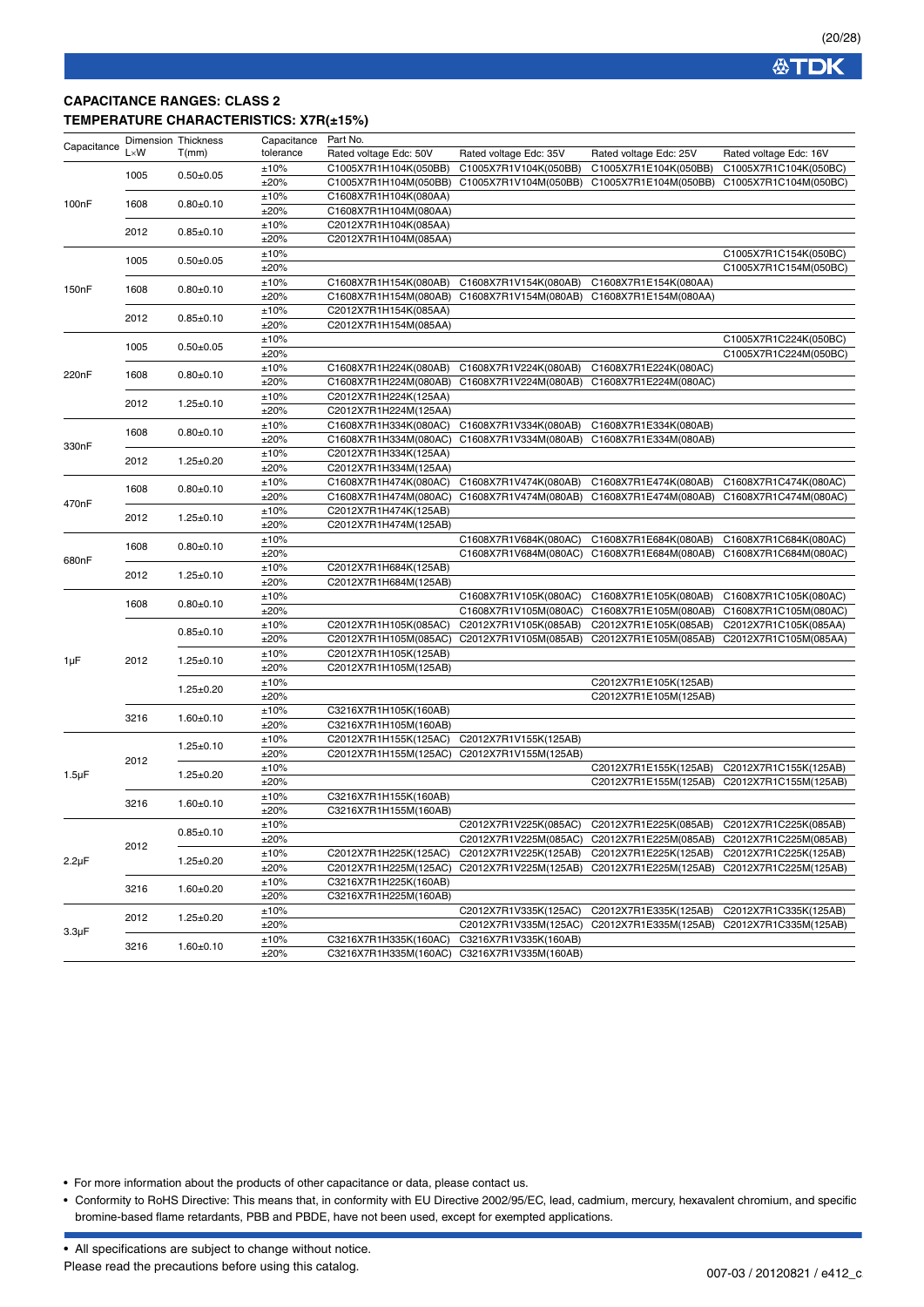### **CAPACITANCE RANGES: CLASS 2 TEMPERATURE CHARACTERISTICS: X7R(±15%)**

| Capacitance        |              | Dimension Thickness | Capacitance | Part No.               |                                             |                        |                        |
|--------------------|--------------|---------------------|-------------|------------------------|---------------------------------------------|------------------------|------------------------|
|                    | $L \times W$ | T(mm)               | tolerance   | Rated voltage Edc: 50V | Rated voltage Edc: 35V                      | Rated voltage Edc: 25V | Rated voltage Edc: 16V |
|                    |              |                     | ±10%        | C1005X7R1H104K(050BB)  | C1005X7R1V104K(050BB)                       | C1005X7R1E104K(050BB)  | C1005X7R1C104K(050BC)  |
|                    | 1005         | $0.50 + 0.05$       | ±20%        | C1005X7R1H104M(050BB)  | C1005X7R1V104M(050BB)                       | C1005X7R1E104M(050BB)  | C1005X7R1C104M(050BC)  |
|                    |              |                     | ±10%        | C1608X7R1H104K(080AA)  |                                             |                        |                        |
| 100nF              | 1608         | $0.80 + 0.10$       | ±20%        | C1608X7R1H104M(080AA)  |                                             |                        |                        |
|                    |              |                     | ±10%        | C2012X7R1H104K(085AA)  |                                             |                        |                        |
|                    | 2012         | $0.85 + 0.10$       |             | C2012X7R1H104M(085AA)  |                                             |                        |                        |
|                    |              |                     | ±20%        |                        |                                             |                        |                        |
|                    | 1005         | $0.50 + 0.05$       | ±10%        |                        |                                             |                        | C1005X7R1C154K(050BC)  |
|                    |              |                     | ±20%        |                        |                                             |                        | C1005X7R1C154M(050BC)  |
| 150 <sub>n</sub> F | 1608         | $0.80 + 0.10$       | ±10%        | C1608X7R1H154K(080AB)  | C1608X7R1V154K(080AB)                       | C1608X7R1E154K(080AA)  |                        |
|                    |              |                     | ±20%        |                        | C1608X7R1H154M(080AB) C1608X7R1V154M(080AB) | C1608X7R1E154M(080AA)  |                        |
|                    | 2012         | $0.85 \pm 0.10$     | ±10%        | C2012X7R1H154K(085AA)  |                                             |                        |                        |
|                    |              |                     | ±20%        | C2012X7R1H154M(085AA)  |                                             |                        |                        |
|                    | 1005         | $0.50 + 0.05$       | ±10%        |                        |                                             |                        | C1005X7R1C224K(050BC)  |
|                    |              |                     | ±20%        |                        |                                             |                        | C1005X7R1C224M(050BC)  |
|                    |              |                     | ±10%        | C1608X7R1H224K(080AB)  | C1608X7R1V224K(080AB)                       | C1608X7R1E224K(080AC)  |                        |
| 220nF              | 1608         | $0.80+0.10$         | ±20%        | C1608X7R1H224M(080AB)  | C1608X7R1V224M(080AB)                       | C1608X7R1E224M(080AC)  |                        |
|                    |              |                     | ±10%        | C2012X7R1H224K(125AA)  |                                             |                        |                        |
|                    | 2012         | $1.25 \pm 0.10$     | ±20%        | C2012X7R1H224M(125AA)  |                                             |                        |                        |
|                    |              |                     | ±10%        | C1608X7R1H334K(080AC)  | C1608X7R1V334K(080AB)                       | C1608X7R1E334K(080AB)  |                        |
|                    | 1608         | $0.80 + 0.10$       | ±20%        | C1608X7R1H334M(080AC)  | C1608X7R1V334M(080AB)                       | C1608X7R1E334M(080AB)  |                        |
| 330nF              |              |                     |             | C2012X7R1H334K(125AA)  |                                             |                        |                        |
|                    | 2012         | $1.25 \pm 0.20$     | ±10%        |                        |                                             |                        |                        |
|                    |              |                     | ±20%        | C2012X7R1H334M(125AA)  |                                             |                        |                        |
|                    | 1608         | $0.80 + 0.10$       | ±10%        | C1608X7R1H474K(080AC)  | C1608X7R1V474K(080AB)                       | C1608X7R1E474K(080AB)  | C1608X7R1C474K(080AC)  |
| 470nF              |              |                     | ±20%        | C1608X7R1H474M(080AC)  | C1608X7R1V474M(080AB)                       | C1608X7R1E474M(080AB)  | C1608X7R1C474M(080AC)  |
|                    | 2012         | $1.25 \pm 0.10$     | ±10%        | C2012X7R1H474K(125AB)  |                                             |                        |                        |
|                    |              |                     | ±20%        | C2012X7R1H474M(125AB)  |                                             |                        |                        |
|                    | 1608         | $0.80 + 0.10$       | ±10%        |                        | C1608X7R1V684K(080AC)                       | C1608X7R1E684K(080AB)  | C1608X7R1C684K(080AC)  |
|                    |              |                     | ±20%        |                        | C1608X7R1V684M(080AC)                       | C1608X7R1E684M(080AB)  | C1608X7R1C684M(080AC)  |
| 680nF              |              |                     | ±10%        | C2012X7R1H684K(125AB)  |                                             |                        |                        |
|                    | 2012         | $1.25 \pm 0.10$     | ±20%        | C2012X7R1H684M(125AB)  |                                             |                        |                        |
|                    |              |                     | ±10%        |                        | C1608X7R1V105K(080AC)                       | C1608X7R1E105K(080AB)  | C1608X7R1C105K(080AC)  |
|                    | 1608         | $0.80 + 0.10$       | ±20%        |                        | C1608X7R1V105M(080AC)                       | C1608X7R1E105M(080AB)  | C1608X7R1C105M(080AC)  |
|                    |              |                     | ±10%        | C2012X7R1H105K(085AC)  | C2012X7R1V105K(085AB)                       | C2012X7R1E105K(085AB)  | C2012X7R1C105K(085AA)  |
|                    |              | $0.85 \pm 0.10$     | ±20%        | C2012X7R1H105M(085AC)  | C2012X7R1V105M(085AB)                       | C2012X7R1E105M(085AB)  | C2012X7R1C105M(085AA)  |
|                    |              |                     | ±10%        | C2012X7R1H105K(125AB)  |                                             |                        |                        |
| 1µF                | 2012         | $1.25 \pm 0.10$     | ±20%        | C2012X7R1H105M(125AB)  |                                             |                        |                        |
|                    |              |                     |             |                        |                                             |                        |                        |
|                    |              | $1.25 \pm 0.20$     | ±10%        |                        |                                             | C2012X7R1E105K(125AB)  |                        |
|                    |              |                     | ±20%        |                        |                                             | C2012X7R1E105M(125AB)  |                        |
|                    | 3216         | $1.60 + 0.10$       | ±10%        | C3216X7R1H105K(160AB)  |                                             |                        |                        |
|                    |              |                     | ±20%        | C3216X7R1H105M(160AB)  |                                             |                        |                        |
|                    |              | $1.25 \pm 0.10$     | ±10%        | C2012X7R1H155K(125AC)  | C2012X7R1V155K(125AB)                       |                        |                        |
|                    | 2012         |                     | ±20%        | C2012X7R1H155M(125AC)  | C2012X7R1V155M(125AB)                       |                        |                        |
|                    |              | $1.25 \pm 0.20$     | ±10%        |                        |                                             | C2012X7R1E155K(125AB)  | C2012X7R1C155K(125AB)  |
| $1.5 \mu F$        |              |                     | ±20%        |                        |                                             | C2012X7R1E155M(125AB)  | C2012X7R1C155M(125AB)  |
|                    |              |                     | ±10%        | C3216X7R1H155K(160AB)  |                                             |                        |                        |
|                    | 3216         | $1.60 + 0.10$       | ±20%        | C3216X7R1H155M(160AB)  |                                             |                        |                        |
|                    |              |                     | ±10%        |                        | C2012X7R1V225K(085AC)                       | C2012X7R1E225K(085AB)  | C2012X7R1C225K(085AB)  |
|                    |              | $0.85 \pm 0.10$     | ±20%        |                        | C2012X7R1V225M(085AC)                       | C2012X7R1E225M(085AB)  | C2012X7R1C225M(085AB)  |
|                    | 2012         |                     | ±10%        | C2012X7R1H225K(125AC)  | C2012X7R1V225K(125AB)                       | C2012X7R1E225K(125AB)  | C2012X7R1C225K(125AB)  |
| $2.2 \mu F$        |              | $1.25 \pm 0.20$     |             | C2012X7R1H225M(125AC)  | C2012X7R1V225M(125AB)                       | C2012X7R1E225M(125AB)  |                        |
|                    |              |                     | ±20%        |                        |                                             |                        | C2012X7R1C225M(125AB)  |
|                    | 3216         | $1.60 \pm 0.20$     | ±10%        | C3216X7R1H225K(160AB)  |                                             |                        |                        |
|                    |              |                     | ±20%        | C3216X7R1H225M(160AB)  |                                             |                        |                        |
|                    | 2012         | $1.25 \pm 0.20$     | ±10%        |                        | C2012X7R1V335K(125AC)                       | C2012X7R1E335K(125AB)  | C2012X7R1C335K(125AB)  |
| $3.3 \mu F$        |              |                     | ±20%        |                        | C2012X7R1V335M(125AC)                       | C2012X7R1E335M(125AB)  | C2012X7R1C335M(125AB)  |
|                    | 3216         | $1.60 \pm 0.10$     | ±10%        | C3216X7R1H335K(160AC)  | C3216X7R1V335K(160AB)                       |                        |                        |
|                    |              |                     | ±20%        |                        | C3216X7R1H335M(160AC) C3216X7R1V335M(160AB) |                        |                        |

• For more information about the products of other capacitance or data, please contact us.

• Conformity to RoHS Directive: This means that, in conformity with EU Directive 2002/95/EC, lead, cadmium, mercury, hexavalent chromium, and specific bromine-based flame retardants, PBB and PBDE, have not been used, except for exempted applications.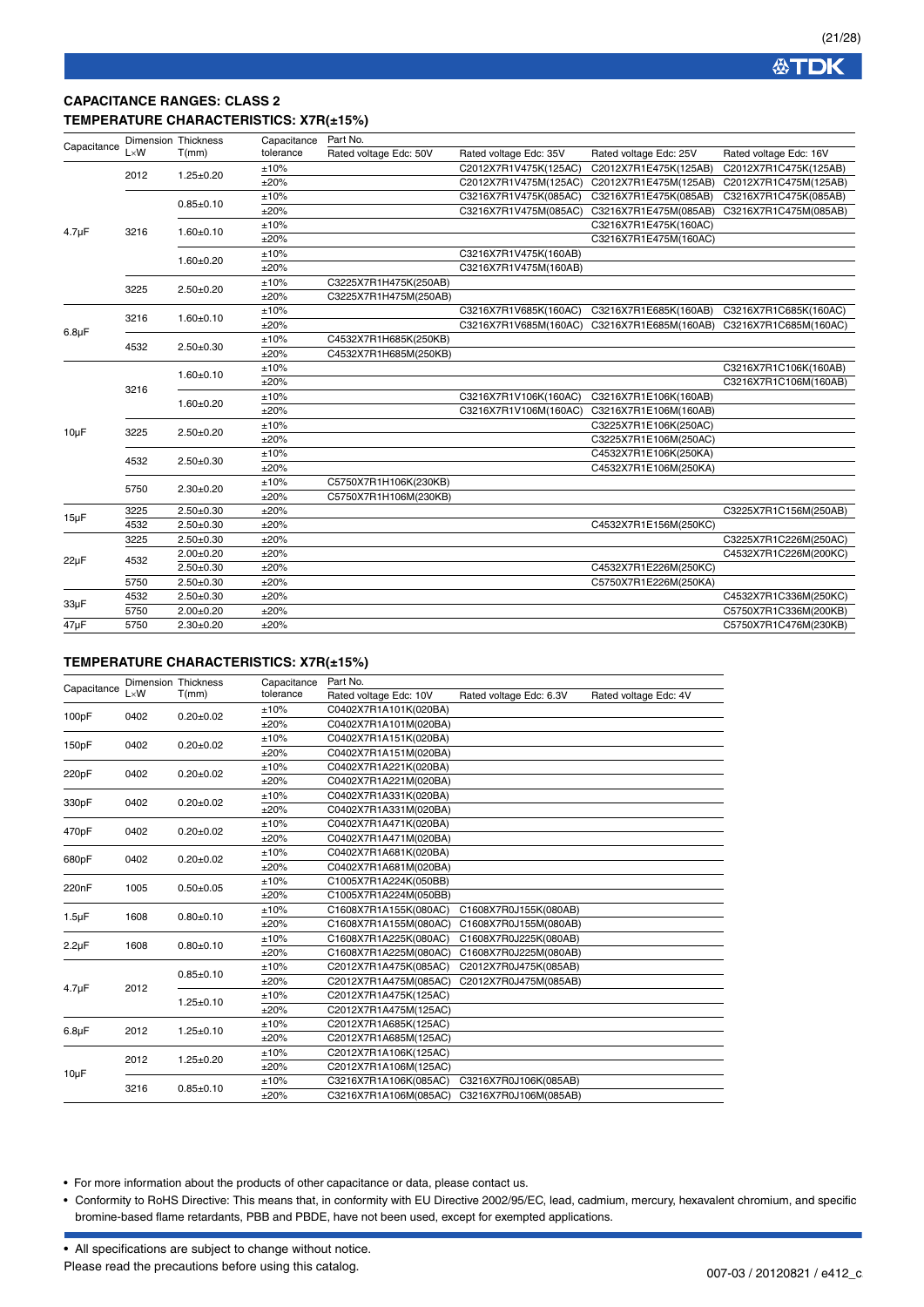## **CAPACITANCE RANGES: CLASS 2 TEMPERATURE CHARACTERISTICS: X7R(±15%)**

| Capacitance |              | <b>Dimension Thickness</b> | Capacitance | Part No.               |                        |                        |                        |
|-------------|--------------|----------------------------|-------------|------------------------|------------------------|------------------------|------------------------|
|             | $L \times W$ | T(mm)                      | tolerance   | Rated voltage Edc: 50V | Rated voltage Edc: 35V | Rated voltage Edc: 25V | Rated voltage Edc: 16V |
|             | 2012         | $1.25 \pm 0.20$            | ±10%        |                        | C2012X7R1V475K(125AC)  | C2012X7R1E475K(125AB)  | C2012X7R1C475K(125AB)  |
|             |              |                            | ±20%        |                        | C2012X7R1V475M(125AC)  | C2012X7R1E475M(125AB)  | C2012X7R1C475M(125AB)  |
|             |              | $0.85 \pm 0.10$            | ±10%        |                        | C3216X7R1V475K(085AC)  | C3216X7R1E475K(085AB)  | C3216X7R1C475K(085AB)  |
|             |              |                            | ±20%        |                        | C3216X7R1V475M(085AC)  | C3216X7R1E475M(085AB)  | C3216X7R1C475M(085AB)  |
|             | 3216         | $1.60 + 0.10$              | ±10%        |                        |                        | C3216X7R1E475K(160AC)  |                        |
| $4.7 \mu F$ |              |                            | ±20%        |                        |                        | C3216X7R1E475M(160AC)  |                        |
|             |              |                            | ±10%        |                        | C3216X7R1V475K(160AB)  |                        |                        |
|             |              | $1.60 + 0.20$              | ±20%        |                        | C3216X7R1V475M(160AB)  |                        |                        |
|             |              |                            | ±10%        | C3225X7R1H475K(250AB)  |                        |                        |                        |
|             | 3225         | $2.50 + 0.20$              | ±20%        | C3225X7R1H475M(250AB)  |                        |                        |                        |
|             | 3216         |                            | ±10%        |                        | C3216X7R1V685K(160AC)  | C3216X7R1E685K(160AB)  | C3216X7R1C685K(160AC)  |
| $6.8\mu F$  |              | $1.60 + 0.10$              | ±20%        |                        | C3216X7R1V685M(160AC)  | C3216X7R1E685M(160AB)  | C3216X7R1C685M(160AC)  |
|             | 4532         | $2.50 + 0.30$              | ±10%        | C4532X7R1H685K(250KB)  |                        |                        |                        |
|             |              |                            | ±20%        | C4532X7R1H685M(250KB)  |                        |                        |                        |
|             |              | $1.60 + 0.10$              | ±10%        |                        |                        |                        | C3216X7R1C106K(160AB)  |
|             | 3216         |                            | ±20%        |                        |                        |                        | C3216X7R1C106M(160AB)  |
|             |              | $1.60 + 0.20$              | ±10%        |                        | C3216X7R1V106K(160AC)  | C3216X7R1E106K(160AB)  |                        |
|             |              |                            | ±20%        |                        | C3216X7R1V106M(160AC)  | C3216X7R1E106M(160AB)  |                        |
|             | 3225         | $2.50 + 0.20$              | ±10%        |                        |                        | C3225X7R1E106K(250AC)  |                        |
| $10\mu F$   |              |                            | ±20%        |                        |                        | C3225X7R1E106M(250AC)  |                        |
|             | 4532         | $2.50 + 0.30$              | ±10%        |                        |                        | C4532X7R1E106K(250KA)  |                        |
|             |              |                            | ±20%        |                        |                        | C4532X7R1E106M(250KA)  |                        |
|             | 5750         | $2.30+0.20$                | ±10%        | C5750X7R1H106K(230KB)  |                        |                        |                        |
|             |              |                            | ±20%        | C5750X7R1H106M(230KB)  |                        |                        |                        |
|             | 3225         | $2.50 + 0.30$              | ±20%        |                        |                        |                        | C3225X7R1C156M(250AB)  |
| $15\mu F$   | 4532         | $2.50 + 0.30$              | ±20%        |                        |                        | C4532X7R1E156M(250KC)  |                        |
|             | 3225         | $2.50 \pm 0.30$            | ±20%        |                        |                        |                        | C3225X7R1C226M(250AC)  |
|             | 4532         | $2.00 + 0.20$              | ±20%        |                        |                        |                        | C4532X7R1C226M(200KC)  |
| $22\mu F$   |              | $2.50 \pm 0.30$            | ±20%        |                        |                        | C4532X7R1E226M(250KC)  |                        |
|             | 5750         | $2.50+0.30$                | ±20%        |                        |                        | C5750X7R1E226M(250KA)  |                        |
|             | 4532         | $2.50 + 0.30$              | ±20%        |                        |                        |                        | C4532X7R1C336M(250KC)  |
| $33\mu F$   | 5750         | $2.00 + 0.20$              | ±20%        |                        |                        |                        | C5750X7R1C336M(200KB)  |
| 47µF        | 5750         | $2.30 \pm 0.20$            | ±20%        |                        |                        |                        | C5750X7R1C476M(230KB)  |

#### **TEMPERATURE CHARACTERISTICS: X7R(±15%)**

| Capacitance |              | <b>Dimension Thickness</b> | Capacitance | Part No.               |                         |                       |
|-------------|--------------|----------------------------|-------------|------------------------|-------------------------|-----------------------|
|             | $L \times W$ | T(mm)                      | tolerance   | Rated voltage Edc: 10V | Rated voltage Edc: 6.3V | Rated voltage Edc: 4V |
| 100pF       | 0402         | $0.20 \pm 0.02$            | ±10%        | C0402X7R1A101K(020BA)  |                         |                       |
|             |              |                            | ±20%        | C0402X7R1A101M(020BA)  |                         |                       |
| 150pF       | 0402         | $0.20 \pm 0.02$            | ±10%        | C0402X7R1A151K(020BA)  |                         |                       |
|             |              |                            | ±20%        | C0402X7R1A151M(020BA)  |                         |                       |
| 220pF       | 0402         | $0.20 \pm 0.02$            | ±10%        | C0402X7R1A221K(020BA)  |                         |                       |
|             |              |                            | ±20%        | C0402X7R1A221M(020BA)  |                         |                       |
| 330pF       | 0402         |                            | ±10%        | C0402X7R1A331K(020BA)  |                         |                       |
|             |              | $0.20 \pm 0.02$            | ±20%        | C0402X7R1A331M(020BA)  |                         |                       |
| 470pF       |              | $0.20 \pm 0.02$            | ±10%        | C0402X7R1A471K(020BA)  |                         |                       |
|             | 0402         |                            | ±20%        | C0402X7R1A471M(020BA)  |                         |                       |
| 680pF       | 0402         | $0.20 \pm 0.02$            | ±10%        | C0402X7R1A681K(020BA)  |                         |                       |
|             |              |                            | ±20%        | C0402X7R1A681M(020BA)  |                         |                       |
| 220nF       | 1005         | $0.50 + 0.05$              | ±10%        | C1005X7R1A224K(050BB)  |                         |                       |
|             |              |                            | ±20%        | C1005X7R1A224M(050BB)  |                         |                       |
| $1.5 \mu F$ | 1608         | $0.80 + 0.10$              | ±10%        | C1608X7R1A155K(080AC)  | C1608X7R0J155K(080AB)   |                       |
|             |              |                            | ±20%        | C1608X7R1A155M(080AC)  | C1608X7R0J155M(080AB)   |                       |
| $2.2 \mu F$ | 1608         | $0.80 + 0.10$              | ±10%        | C1608X7R1A225K(080AC)  | C1608X7R0J225K(080AB)   |                       |
|             |              |                            | ±20%        | C1608X7R1A225M(080AC)  | C1608X7R0J225M(080AB)   |                       |
|             |              | $0.85 \pm 0.10$            | ±10%        | C2012X7R1A475K(085AC)  | C2012X7R0J475K(085AB)   |                       |
| $4.7 \mu F$ | 2012         |                            | ±20%        | C2012X7R1A475M(085AC)  | C2012X7R0J475M(085AB)   |                       |
|             |              | $1.25 \pm 0.10$            | ±10%        | C2012X7R1A475K(125AC)  |                         |                       |
|             |              |                            | ±20%        | C2012X7R1A475M(125AC)  |                         |                       |
| $6.8\mu F$  | 2012         | $1.25 \pm 0.10$            | ±10%        | C2012X7R1A685K(125AC)  |                         |                       |
|             |              |                            | ±20%        | C2012X7R1A685M(125AC)  |                         |                       |
|             | 2012         | $1.25 \pm 0.20$            | ±10%        | C2012X7R1A106K(125AC)  |                         |                       |
|             |              |                            | ±20%        | C2012X7R1A106M(125AC)  |                         |                       |
| $10\mu F$   | 3216         | $0.85 + 0.10$              | ±10%        | C3216X7R1A106K(085AC)  | C3216X7R0J106K(085AB)   |                       |
|             |              |                            | ±20%        | C3216X7R1A106M(085AC)  | C3216X7R0J106M(085AB)   |                       |

• For more information about the products of other capacitance or data, please contact us.

• Conformity to RoHS Directive: This means that, in conformity with EU Directive 2002/95/EC, lead, cadmium, mercury, hexavalent chromium, and specific bromine-based flame retardants, PBB and PBDE, have not been used, except for exempted applications.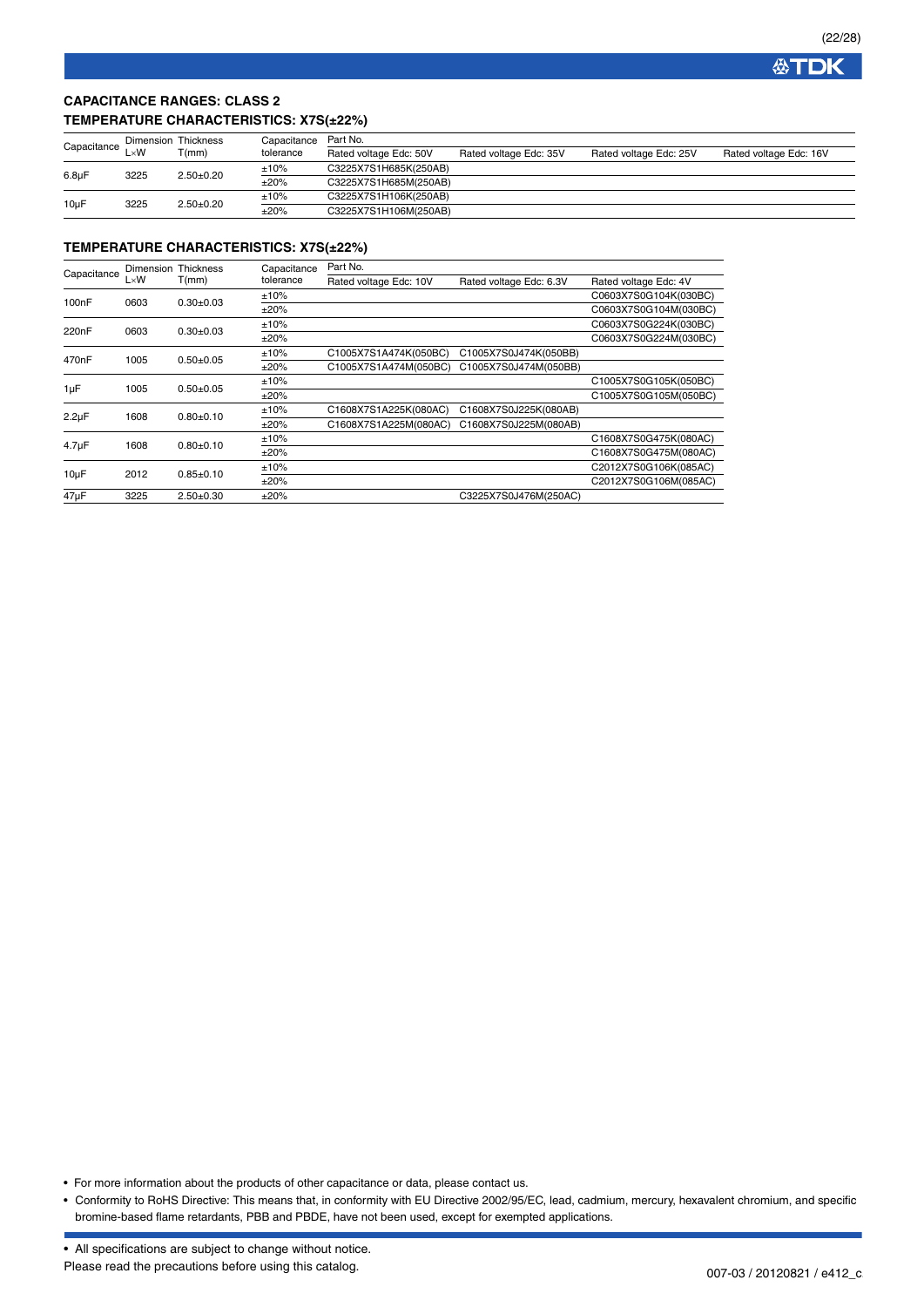**公TDK** 

## **CAPACITANCE RANGES: CLASS 2 TEMPERATURE CHARACTERISTICS: X7S(±22%)**

| Capacitance        |              | Dimension Thickness | Capacitance | Part No.               |                        |                        |                        |  |
|--------------------|--------------|---------------------|-------------|------------------------|------------------------|------------------------|------------------------|--|
|                    | $\mathsf{W}$ | T(mm)               | tolerance   | Rated voltage Edc: 50V | Rated voltage Edc: 35V | Rated voltage Edc: 25V | Rated voltage Edc: 16V |  |
|                    | 3225         | $2.50+0.20$         | ±10%        | C3225X7S1H685K(250AB)  |                        |                        |                        |  |
| 6.8 <sub>u</sub> F |              |                     | ±20%        | C3225X7S1H685M(250AB)  |                        |                        |                        |  |
| 10uF<br>3225       |              | $2.50+0.20$         | ±10%        | C3225X7S1H106K(250AB)  |                        |                        |                        |  |
|                    |              |                     | ±20%        | C3225X7S1H106M(250AB)  |                        |                        |                        |  |

#### **TEMPERATURE CHARACTERISTICS: X7S(±22%)**

|                    | Dimension    | <b>Thickness</b> | Capacitance | Part No.               |                         |                       |  |  |  |
|--------------------|--------------|------------------|-------------|------------------------|-------------------------|-----------------------|--|--|--|
| Capacitance        | $L \times W$ | T(mm)            | tolerance   | Rated voltage Edc: 10V | Rated voltage Edc: 6.3V | Rated voltage Edc: 4V |  |  |  |
|                    |              |                  | ±10%        |                        |                         | C0603X7S0G104K(030BC) |  |  |  |
| 100 <sub>n</sub> F | 0603         | $0.30 \pm 0.03$  | ±20%        |                        |                         | C0603X7S0G104M(030BC) |  |  |  |
| 220 <sub>n</sub> F | 0603         |                  | ±10%        |                        |                         | C0603X7S0G224K(030BC) |  |  |  |
|                    |              | $0.30+0.03$      | ±20%        |                        |                         | C0603X7S0G224M(030BC) |  |  |  |
| 470 <sub>n</sub> F | 1005         | $0.50 + 0.05$    | ±10%        | C1005X7S1A474K(050BC)  | C1005X7S0J474K(050BB)   |                       |  |  |  |
|                    |              |                  | ±20%        | C1005X7S1A474M(050BC)  | C1005X7S0J474M(050BB)   |                       |  |  |  |
|                    | 1005         | $0.50 + 0.05$    | ±10%        |                        |                         | C1005X7S0G105K(050BC) |  |  |  |
| 1µF                |              |                  | ±20%        |                        |                         | C1005X7S0G105M(050BC) |  |  |  |
|                    | 1608         |                  | ±10%        | C1608X7S1A225K(080AC)  | C1608X7S0J225K(080AB)   |                       |  |  |  |
| $2.2\mu F$         |              | $0.80 + 0.10$    | ±20%        | C1608X7S1A225M(080AC)  | C1608X7S0J225M(080AB)   |                       |  |  |  |
|                    | 1608         | $0.80 + 0.10$    | ±10%        |                        |                         | C1608X7S0G475K(080AC) |  |  |  |
| $4.7 \mu F$        |              |                  | ±20%        |                        |                         | C1608X7S0G475M(080AC) |  |  |  |
|                    | 2012         |                  | ±10%        |                        |                         | C2012X7S0G106K(085AC) |  |  |  |
| $10\mu F$          |              | $0.85 \pm 0.10$  | ±20%        |                        |                         | C2012X7S0G106M(085AC) |  |  |  |
| 47µF               | 3225         | $2.50+0.30$      | ±20%        |                        | C3225X7S0J476M(250AC)   |                       |  |  |  |

• For more information about the products of other capacitance or data, please contact us.

<sup>•</sup> Conformity to RoHS Directive: This means that, in conformity with EU Directive 2002/95/EC, lead, cadmium, mercury, hexavalent chromium, and specific bromine-based flame retardants, PBB and PBDE, have not been used, except for exempted applications.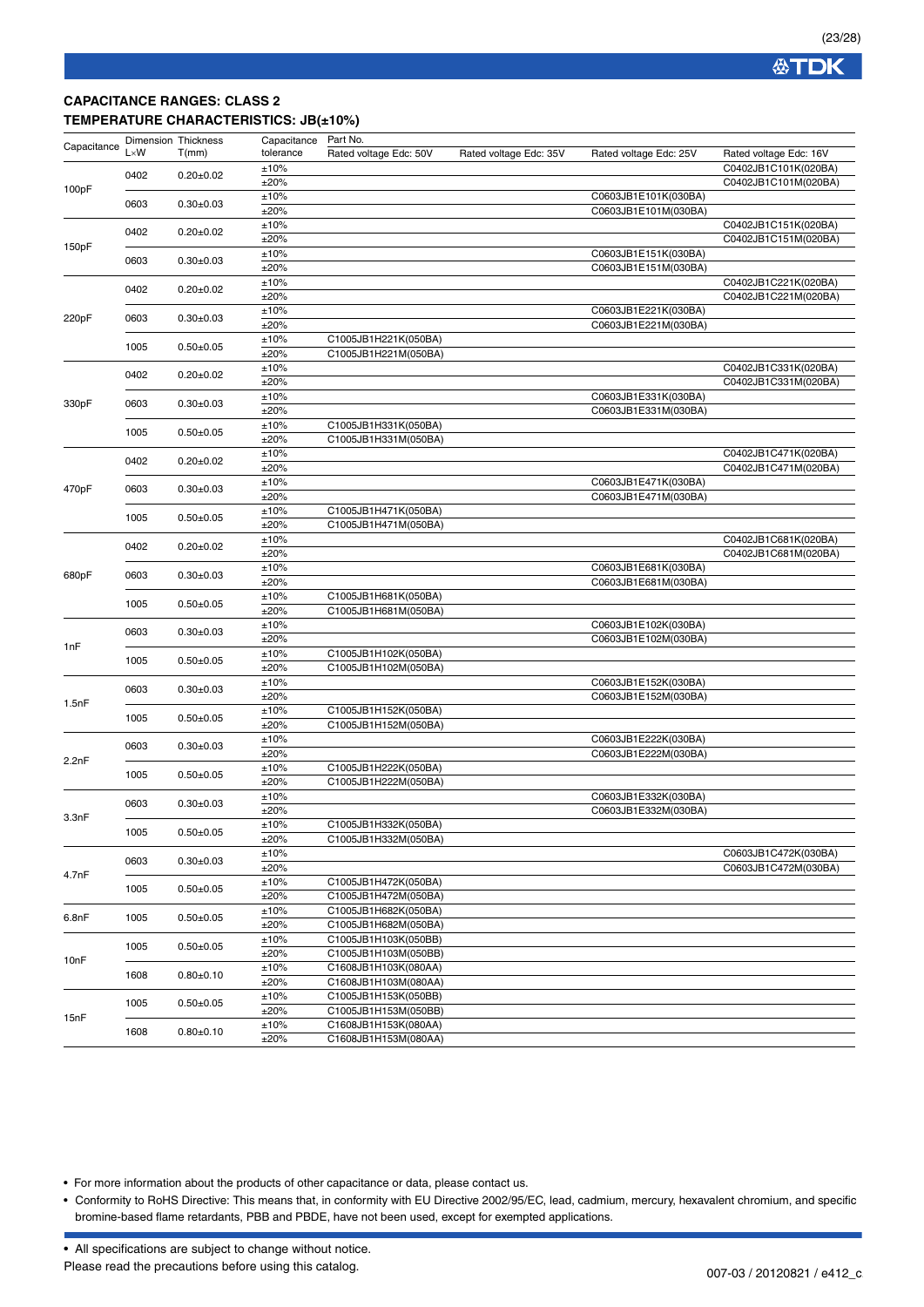### **CAPACITANCE RANGES: CLASS 2 TEMPERATURE CHARACTERISTICS: JB(±10%)**

| Capacitance | <b>Dimension Thickness</b> |                 | Capacitance  | Part No.               |                        |                                              |                        |
|-------------|----------------------------|-----------------|--------------|------------------------|------------------------|----------------------------------------------|------------------------|
|             | $L \times W$               | T(mm)           | tolerance    | Rated voltage Edc: 50V | Rated voltage Edc: 35V | Rated voltage Edc: 25V                       | Rated voltage Edc: 16V |
|             |                            |                 | ±10%         |                        |                        |                                              | C0402JB1C101K(020BA)   |
|             | 0402                       | $0.20 \pm 0.02$ | ±20%         |                        |                        |                                              | C0402JB1C101M(020BA)   |
| 100pF       |                            |                 | ±10%         |                        |                        | C0603JB1E101K(030BA)                         |                        |
|             | 0603                       | $0.30 \pm 0.03$ | ±20%         |                        |                        | C0603JB1E101M(030BA)                         |                        |
|             |                            |                 |              |                        |                        |                                              |                        |
|             | 0402                       | $0.20 \pm 0.02$ | ±10%         |                        |                        |                                              | C0402JB1C151K(020BA)   |
| 150pF       |                            |                 | ±20%         |                        |                        |                                              | C0402JB1C151M(020BA)   |
|             | 0603                       | $0.30 \pm 0.03$ | ±10%         |                        |                        | C0603JB1E151K(030BA)                         |                        |
|             |                            |                 | ±20%         |                        |                        | C0603JB1E151M(030BA)                         |                        |
|             | 0402                       | $0.20 \pm 0.02$ | ±10%         |                        |                        |                                              | C0402JB1C221K(020BA)   |
|             |                            |                 | ±20%         |                        |                        |                                              | C0402JB1C221M(020BA)   |
|             |                            |                 | ±10%         |                        |                        | C0603JB1E221K(030BA)                         |                        |
| 220pF       | 0603                       | $0.30 + 0.03$   | ±20%         |                        |                        | C0603JB1E221M(030BA)                         |                        |
|             |                            |                 | ±10%         | C1005JB1H221K(050BA)   |                        |                                              |                        |
|             | 1005                       | $0.50+0.05$     | ±20%         | C1005JB1H221M(050BA)   |                        |                                              |                        |
|             |                            |                 | ±10%         |                        |                        |                                              | C0402JB1C331K(020BA)   |
|             | 0402                       | $0.20 \pm 0.02$ | ±20%         |                        |                        |                                              | C0402JB1C331M(020BA)   |
|             |                            |                 |              |                        |                        |                                              |                        |
| 330pF       | 0603                       | $0.30 \pm 0.03$ | ±10%<br>±20% |                        |                        | C0603JB1E331K(030BA)<br>C0603JB1E331M(030BA) |                        |
|             |                            |                 |              |                        |                        |                                              |                        |
|             | 1005                       | $0.50 + 0.05$   | ±10%         | C1005JB1H331K(050BA)   |                        |                                              |                        |
|             |                            |                 | ±20%         | C1005JB1H331M(050BA)   |                        |                                              |                        |
|             | 0402                       | $0.20 \pm 0.02$ | ±10%         |                        |                        |                                              | C0402JB1C471K(020BA)   |
|             |                            |                 | ±20%         |                        |                        |                                              | C0402JB1C471M(020BA)   |
| 470pF       | 0603                       | $0.30 + 0.03$   | ±10%         |                        |                        | C0603JB1E471K(030BA)                         |                        |
|             |                            |                 | ±20%         |                        |                        | C0603JB1E471M(030BA)                         |                        |
|             | 1005                       | $0.50 \pm 0.05$ | ±10%         | C1005JB1H471K(050BA)   |                        |                                              |                        |
|             |                            |                 | ±20%         | C1005JB1H471M(050BA)   |                        |                                              |                        |
|             | 0402                       |                 | ±10%         |                        |                        |                                              | C0402JB1C681K(020BA)   |
|             |                            | $0.20 \pm 0.02$ | ±20%         |                        |                        |                                              | C0402JB1C681M(020BA)   |
|             |                            |                 | ±10%         |                        |                        | C0603JB1E681K(030BA)                         |                        |
| 680pF       | 0603                       | $0.30 \pm 0.03$ | ±20%         |                        |                        | C0603JB1E681M(030BA)                         |                        |
|             |                            |                 | ±10%         | C1005JB1H681K(050BA)   |                        |                                              |                        |
|             | 1005                       | $0.50 \pm 0.05$ | ±20%         | C1005JB1H681M(050BA)   |                        |                                              |                        |
|             |                            |                 | ±10%         |                        |                        | C0603JB1E102K(030BA)                         |                        |
|             | 0603                       | $0.30 \pm 0.03$ | ±20%         |                        |                        | C0603JB1E102M(030BA)                         |                        |
| 1nF         |                            |                 | ±10%         | C1005JB1H102K(050BA)   |                        |                                              |                        |
|             | 1005                       | $0.50 \pm 0.05$ | ±20%         | C1005JB1H102M(050BA)   |                        |                                              |                        |
|             |                            |                 | ±10%         |                        |                        | C0603JB1E152K(030BA)                         |                        |
|             | 0603                       | $0.30 \pm 0.03$ | ±20%         |                        |                        | C0603JB1E152M(030BA)                         |                        |
| 1.5nF       |                            | $0.50 \pm 0.05$ | ±10%         | C1005JB1H152K(050BA)   |                        |                                              |                        |
|             | 1005                       |                 | ±20%         | C1005JB1H152M(050BA)   |                        |                                              |                        |
|             |                            |                 | ±10%         |                        |                        | C0603JB1E222K(030BA)                         |                        |
|             | 0603                       | $0.30 \pm 0.03$ | ±20%         |                        |                        | C0603JB1E222M(030BA)                         |                        |
| 2.2nF       |                            |                 | ±10%         | C1005JB1H222K(050BA)   |                        |                                              |                        |
|             | 1005                       | $0.50 \pm 0.05$ | ±20%         | C1005JB1H222M(050BA)   |                        |                                              |                        |
|             |                            |                 |              |                        |                        | C0603JB1E332K(030BA)                         |                        |
|             | 0603                       | $0.30 \pm 0.03$ | ±10%<br>±20% |                        |                        | C0603JB1E332M(030BA)                         |                        |
| 3.3nF       |                            |                 |              |                        |                        |                                              |                        |
|             | 1005                       | $0.50 \pm 0.05$ | ±10%         | C1005JB1H332K(050BA)   |                        |                                              |                        |
|             |                            |                 | ±20%         | C1005JB1H332M(050BA)   |                        |                                              |                        |
|             | 0603                       | $0.30 \pm 0.03$ | ±10%         |                        |                        |                                              | C0603JB1C472K(030BA)   |
| 4.7nF       |                            |                 | ±20%         |                        |                        |                                              | C0603JB1C472M(030BA)   |
|             | 1005                       | $0.50 + 0.05$   | ±10%         | C1005JB1H472K(050BA)   |                        |                                              |                        |
|             |                            |                 | ±20%         | C1005JB1H472M(050BA)   |                        |                                              |                        |
| 6.8nF       | 1005                       | $0.50 \pm 0.05$ | ±10%         | C1005JB1H682K(050BA)   |                        |                                              |                        |
|             |                            |                 | ±20%         | C1005JB1H682M(050BA)   |                        |                                              |                        |
|             | 1005                       | $0.50 + 0.05$   | ±10%         | C1005JB1H103K(050BB)   |                        |                                              |                        |
| 10nF        |                            |                 | ±20%         | C1005JB1H103M(050BB)   |                        |                                              |                        |
|             | 1608                       |                 | ±10%         | C1608JB1H103K(080AA)   |                        |                                              |                        |
|             |                            | $0.80 \pm 0.10$ | ±20%         | C1608JB1H103M(080AA)   |                        |                                              |                        |
|             |                            |                 | ±10%         | C1005JB1H153K(050BB)   |                        |                                              |                        |
|             | 1005                       | $0.50 + 0.05$   | ±20%         | C1005JB1H153M(050BB)   |                        |                                              |                        |
| 15nF        |                            |                 | ±10%         | C1608JB1H153K(080AA)   |                        |                                              |                        |
|             | 1608                       | $0.80 + 0.10$   | ±20%         | C1608JB1H153M(080AA)   |                        |                                              |                        |

• For more information about the products of other capacitance or data, please contact us.

• Conformity to RoHS Directive: This means that, in conformity with EU Directive 2002/95/EC, lead, cadmium, mercury, hexavalent chromium, and specific bromine-based flame retardants, PBB and PBDE, have not been used, except for exempted applications.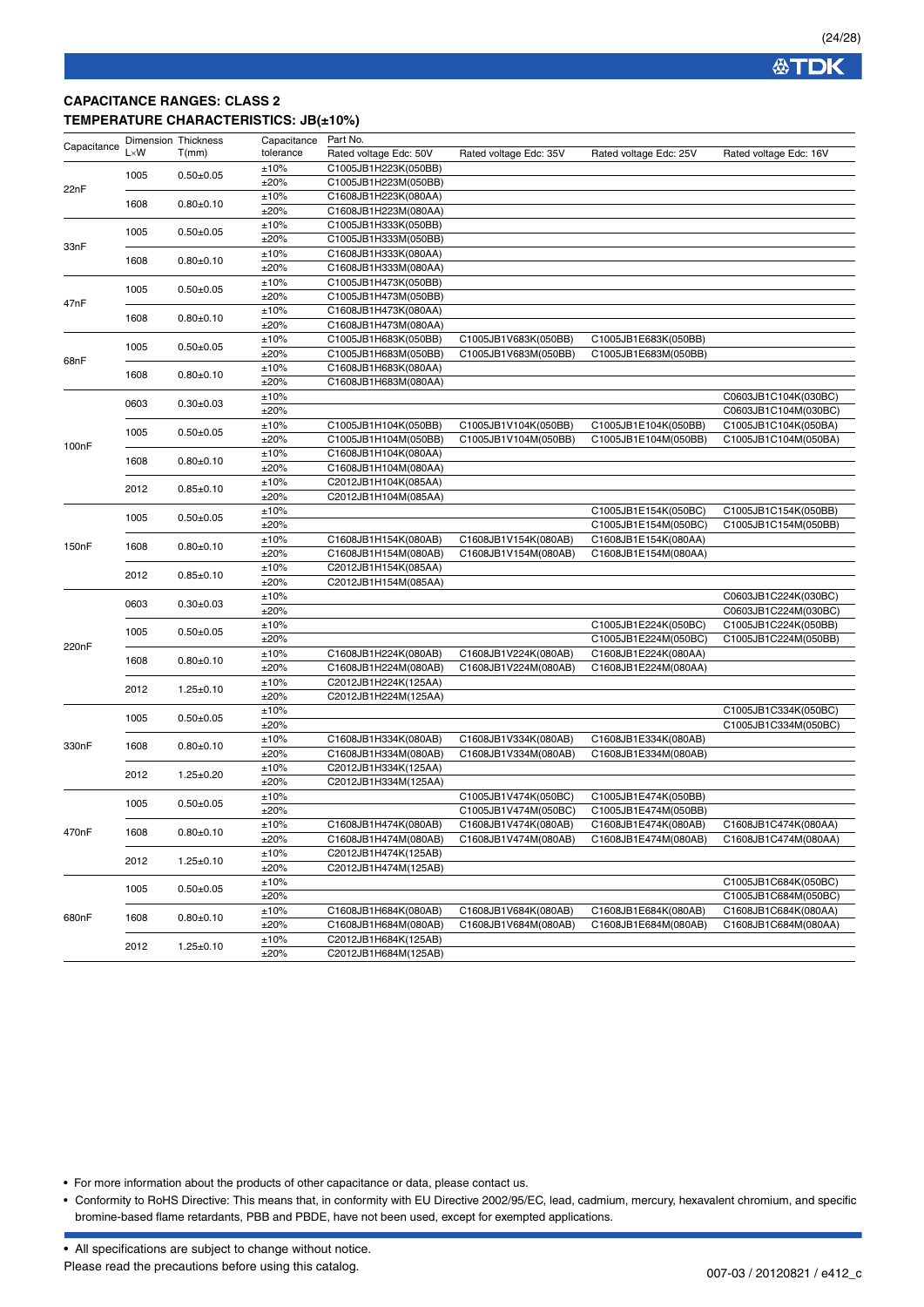### **CAPACITANCE RANGES: CLASS 2 TEMPERATURE CHARACTERISTICS: JB(±10%)**

| Capacitance        | Dimension Thickness |                 | Capacitance | Part No.               |                        |                        |                        |
|--------------------|---------------------|-----------------|-------------|------------------------|------------------------|------------------------|------------------------|
|                    | $L \times W$        | T(mm)           | tolerance   | Rated voltage Edc: 50V | Rated voltage Edc: 35V | Rated voltage Edc: 25V | Rated voltage Edc: 16V |
|                    |                     |                 | ±10%        | C1005JB1H223K(050BB)   |                        |                        |                        |
|                    | 1005                | $0.50 + 0.05$   | ±20%        | C1005JB1H223M(050BB)   |                        |                        |                        |
| 22nF               |                     |                 | ±10%        | C1608JB1H223K(080AA)   |                        |                        |                        |
|                    | 1608                | $0.80 + 0.10$   | ±20%        | C1608JB1H223M(080AA)   |                        |                        |                        |
|                    |                     |                 | ±10%        | C1005JB1H333K(050BB)   |                        |                        |                        |
|                    | 1005                | $0.50 + 0.05$   | ±20%        | C1005JB1H333M(050BB)   |                        |                        |                        |
| 33nF               |                     |                 | ±10%        | C1608JB1H333K(080AA)   |                        |                        |                        |
|                    | 1608                | $0.80 + 0.10$   | ±20%        | C1608JB1H333M(080AA)   |                        |                        |                        |
|                    |                     |                 | ±10%        | C1005JB1H473K(050BB)   |                        |                        |                        |
|                    | 1005                | $0.50 \pm 0.05$ | ±20%        | C1005JB1H473M(050BB)   |                        |                        |                        |
| 47nF               |                     |                 | ±10%        | C1608JB1H473K(080AA)   |                        |                        |                        |
|                    | 1608                | $0.80 + 0.10$   | ±20%        | C1608JB1H473M(080AA)   |                        |                        |                        |
|                    |                     |                 | ±10%        | C1005JB1H683K(050BB)   | C1005JB1V683K(050BB)   | C1005JB1E683K(050BB)   |                        |
|                    | 1005                | $0.50+0.05$     | ±20%        | C1005JB1H683M(050BB)   | C1005JB1V683M(050BB)   | C1005JB1E683M(050BB)   |                        |
| 68nF               |                     |                 |             |                        |                        |                        |                        |
|                    | 1608                | $0.80 + 0.10$   | ±10%        | C1608JB1H683K(080AA)   |                        |                        |                        |
|                    |                     |                 | ±20%        | C1608JB1H683M(080AA)   |                        |                        |                        |
|                    | 0603                | $0.30 + 0.03$   | ±10%        |                        |                        |                        | C0603JB1C104K(030BC)   |
|                    |                     |                 | ±20%        |                        |                        |                        | C0603JB1C104M(030BC)   |
|                    | 1005                | $0.50 + 0.05$   | ±10%        | C1005JB1H104K(050BB)   | C1005JB1V104K(050BB)   | C1005JB1E104K(050BB)   | C1005JB1C104K(050BA)   |
| 100nF              |                     |                 | ±20%        | C1005JB1H104M(050BB)   | C1005JB1V104M(050BB)   | C1005JB1E104M(050BB)   | C1005JB1C104M(050BA)   |
|                    | 1608                | $0.80 + 0.10$   | ±10%        | C1608JB1H104K(080AA)   |                        |                        |                        |
|                    |                     |                 | ±20%        | C1608JB1H104M(080AA)   |                        |                        |                        |
|                    | 2012                | $0.85 + 0.10$   | ±10%        | C2012JB1H104K(085AA)   |                        |                        |                        |
|                    |                     |                 | ±20%        | C2012JB1H104M(085AA)   |                        |                        |                        |
|                    | 1005                | $0.50 + 0.05$   | ±10%        |                        |                        | C1005JB1E154K(050BC)   | C1005JB1C154K(050BB)   |
|                    |                     |                 | ±20%        |                        |                        | C1005JB1E154M(050BC)   | C1005JB1C154M(050BB)   |
| 150 <sub>n</sub> F | 1608                | $0.80 + 0.10$   | ±10%        | C1608JB1H154K(080AB)   | C1608JB1V154K(080AB)   | C1608JB1E154K(080AA)   |                        |
|                    |                     |                 | ±20%        | C1608JB1H154M(080AB)   | C1608JB1V154M(080AB)   | C1608JB1E154M(080AA)   |                        |
|                    | 2012                | $0.85 + 0.10$   | ±10%        | C2012JB1H154K(085AA)   |                        |                        |                        |
|                    |                     |                 | ±20%        | C2012JB1H154M(085AA)   |                        |                        |                        |
|                    |                     |                 | ±10%        |                        |                        |                        | C0603JB1C224K(030BC)   |
|                    | 0603                | $0.30 + 0.03$   | ±20%        |                        |                        |                        | C0603JB1C224M(030BC)   |
|                    |                     |                 | ±10%        |                        |                        | C1005JB1E224K(050BC)   | C1005JB1C224K(050BB)   |
|                    | 1005                | $0.50 \pm 0.05$ | ±20%        |                        |                        | C1005JB1E224M(050BC)   | C1005JB1C224M(050BB)   |
| 220nF              |                     |                 | ±10%        | C1608JB1H224K(080AB)   | C1608JB1V224K(080AB)   | C1608JB1E224K(080AA)   |                        |
|                    | 1608                | $0.80 + 0.10$   | ±20%        | C1608JB1H224M(080AB)   | C1608JB1V224M(080AB)   | C1608JB1E224M(080AA)   |                        |
|                    |                     |                 | ±10%        | C2012JB1H224K(125AA)   |                        |                        |                        |
|                    | 2012                | $1.25 \pm 0.10$ | ±20%        | C2012JB1H224M(125AA)   |                        |                        |                        |
|                    |                     |                 | ±10%        |                        |                        |                        | C1005JB1C334K(050BC)   |
|                    | 1005                | $0.50 + 0.05$   | ±20%        |                        |                        |                        | C1005JB1C334M(050BC)   |
|                    |                     |                 | ±10%        | C1608JB1H334K(080AB)   | C1608JB1V334K(080AB)   | C1608JB1E334K(080AB)   |                        |
| 330nF              | 1608                | $0.80 + 0.10$   | ±20%        | C1608JB1H334M(080AB)   | C1608JB1V334M(080AB)   | C1608JB1E334M(080AB)   |                        |
|                    |                     |                 | ±10%        | C2012JB1H334K(125AA)   |                        |                        |                        |
|                    | 2012                | $1.25 \pm 0.20$ | ±20%        | C2012JB1H334M(125AA)   |                        |                        |                        |
|                    |                     |                 |             |                        |                        | C1005JB1E474K(050BB)   |                        |
|                    | 1005                | $0.50+0.05$     | ±10%        |                        | C1005JB1V474K(050BC)   | C1005JB1E474M(050BB)   |                        |
|                    |                     |                 | ±20%        |                        | C1005JB1V474M(050BC)   |                        |                        |
| 470nF              | 1608                | $0.80 + 0.10$   | ±10%        | C1608JB1H474K(080AB)   | C1608JB1V474K(080AB)   | C1608JB1E474K(080AB)   | C1608JB1C474K(080AA)   |
|                    |                     |                 | ±20%        | C1608JB1H474M(080AB)   | C1608JB1V474M(080AB)   | C1608JB1E474M(080AB)   | C1608JB1C474M(080AA)   |
|                    | 2012                | $1.25 \pm 0.10$ | ±10%        | C2012JB1H474K(125AB)   |                        |                        |                        |
|                    |                     |                 | ±20%        | C2012JB1H474M(125AB)   |                        |                        |                        |
|                    | 1005                | $0.50 + 0.05$   | ±10%        |                        |                        |                        | C1005JB1C684K(050BC)   |
|                    |                     |                 | ±20%        |                        |                        |                        | C1005JB1C684M(050BC)   |
| 680nF              | 1608                | $0.80 + 0.10$   | ±10%        | C1608JB1H684K(080AB)   | C1608JB1V684K(080AB)   | C1608JB1E684K(080AB)   | C1608JB1C684K(080AA)   |
|                    |                     |                 | ±20%        | C1608JB1H684M(080AB)   | C1608JB1V684M(080AB)   | C1608JB1E684M(080AB)   | C1608JB1C684M(080AA)   |
|                    | 2012                |                 | ±10%        | C2012JB1H684K(125AB)   |                        |                        |                        |
|                    |                     | $1.25 \pm 0.10$ | ±20%        | C2012JB1H684M(125AB)   |                        |                        |                        |

• For more information about the products of other capacitance or data, please contact us.

• Conformity to RoHS Directive: This means that, in conformity with EU Directive 2002/95/EC, lead, cadmium, mercury, hexavalent chromium, and specific bromine-based flame retardants, PBB and PBDE, have not been used, except for exempted applications.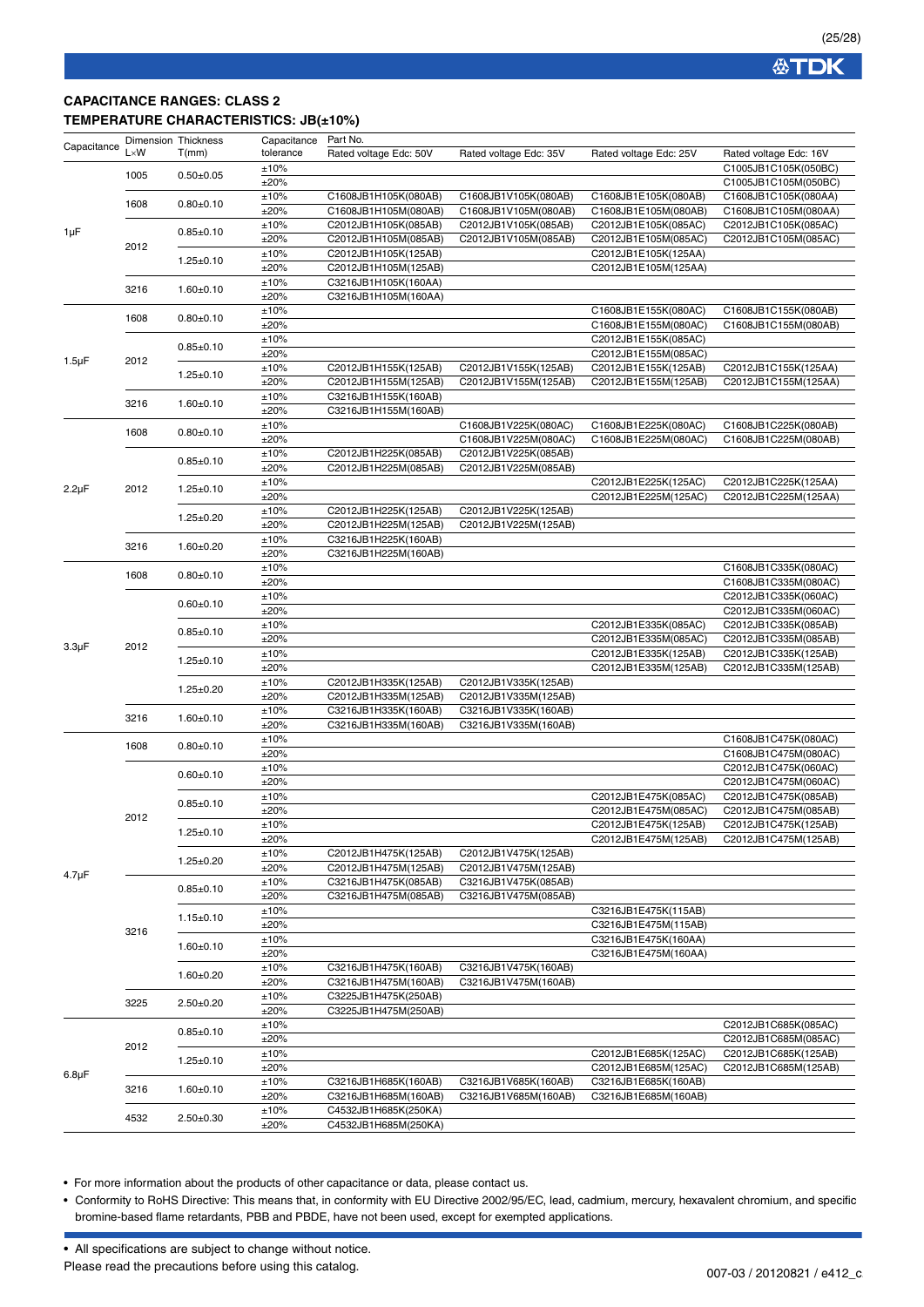**公TDK** 

### **CAPACITANCE RANGES: CLASS 2 TEMPERATURE CHARACTERISTICS: JB(±10%)**

| Capacitance | <b>Dimension Thickness</b> |                                    | Capacitance  | Part No.                                     |                                              |                        |                        |
|-------------|----------------------------|------------------------------------|--------------|----------------------------------------------|----------------------------------------------|------------------------|------------------------|
|             | $L \times W$               | T(mm)                              | tolerance    | Rated voltage Edc: 50V                       | Rated voltage Edc: 35V                       | Rated voltage Edc: 25V | Rated voltage Edc: 16V |
|             | 1005                       | $0.50 + 0.05$                      | ±10%         |                                              |                                              |                        | C1005JB1C105K(050BC)   |
|             |                            |                                    | ±20%         |                                              |                                              |                        | C1005JB1C105M(050BC)   |
|             | 1608                       | $0.80 + 0.10$                      | ±10%         | C1608JB1H105K(080AB)                         | C1608JB1V105K(080AB)                         | C1608JB1E105K(080AB)   | C1608JB1C105K(080AA)   |
|             |                            |                                    | ±20%         | C1608JB1H105M(080AB)                         | C1608JB1V105M(080AB)                         | C1608JB1E105M(080AB)   | C1608JB1C105M(080AA)   |
| 1µF         |                            | $0.85 + 0.10$                      | ±10%         | C2012JB1H105K(085AB)                         | C2012JB1V105K(085AB)                         | C2012JB1E105K(085AC)   | C2012JB1C105K(085AC)   |
|             | 2012                       |                                    | ±20%         | C2012JB1H105M(085AB)                         | C2012JB1V105M(085AB)                         | C2012JB1E105M(085AC)   | C2012JB1C105M(085AC)   |
|             |                            | $1.25 \pm 0.10$                    | ±10%         | C2012JB1H105K(125AB)                         |                                              | C2012JB1E105K(125AA)   |                        |
|             |                            |                                    | ±20%         | C2012JB1H105M(125AB)                         |                                              | C2012JB1E105M(125AA)   |                        |
|             | 3216                       | $1.60 + 0.10$                      | ±10%         | C3216JB1H105K(160AA)                         |                                              |                        |                        |
|             |                            |                                    | ±20%<br>±10% | C3216JB1H105M(160AA)                         |                                              | C1608JB1E155K(080AC)   | C1608JB1C155K(080AB)   |
|             | 1608                       | $0.80 + 0.10$                      | ±20%         |                                              |                                              | C1608JB1E155M(080AC)   | C1608JB1C155M(080AB)   |
|             |                            | $0.85 \pm 0.10$                    | ±10%         |                                              |                                              | C2012JB1E155K(085AC)   |                        |
|             |                            |                                    | ±20%         |                                              |                                              | C2012JB1E155M(085AC)   |                        |
| $1.5 \mu F$ | 2012                       |                                    | ±10%         | C2012JB1H155K(125AB)                         | C2012JB1V155K(125AB)                         | C2012JB1E155K(125AB)   | C2012JB1C155K(125AA)   |
|             |                            | $1.25 \pm 0.10$                    | ±20%         | C2012JB1H155M(125AB)                         | C2012JB1V155M(125AB)                         | C2012JB1E155M(125AB)   | C2012JB1C155M(125AA)   |
|             |                            |                                    | ±10%         | C3216JB1H155K(160AB)                         |                                              |                        |                        |
|             | 3216                       | $1.60 + 0.10$                      | ±20%         | C3216JB1H155M(160AB)                         |                                              |                        |                        |
|             |                            |                                    | ±10%         |                                              | C1608JB1V225K(080AC)                         | C1608JB1E225K(080AC)   | C1608JB1C225K(080AB)   |
|             | 1608                       | $0.80 + 0.10$                      | ±20%         |                                              | C1608JB1V225M(080AC)                         | C1608JB1E225M(080AC)   | C1608JB1C225M(080AB)   |
|             |                            |                                    | ±10%         | C2012JB1H225K(085AB)                         | C2012JB1V225K(085AB)                         |                        |                        |
|             |                            | $0.85 \pm 0.10$                    | ±20%         | C2012JB1H225M(085AB)                         | C2012JB1V225M(085AB)                         |                        |                        |
|             |                            |                                    | ±10%         |                                              |                                              | C2012JB1E225K(125AC)   | C2012JB1C225K(125AA)   |
| $2.2\mu F$  | 2012                       | $1.25 \pm 0.10$                    | ±20%         |                                              |                                              | C2012JB1E225M(125AC)   | C2012JB1C225M(125AA)   |
|             |                            | $1.25 \pm 0.20$                    | ±10%         | C2012JB1H225K(125AB)                         | C2012JB1V225K(125AB)                         |                        |                        |
|             |                            |                                    | ±20%         | C2012JB1H225M(125AB)                         | C2012JB1V225M(125AB)                         |                        |                        |
|             | 3216                       | $1.60 + 0.20$                      | ±10%         | C3216JB1H225K(160AB)                         |                                              |                        |                        |
|             |                            |                                    | ±20%         | C3216JB1H225M(160AB)                         |                                              |                        |                        |
|             | 1608                       | $0.80 + 0.10$                      | ±10%         |                                              |                                              |                        | C1608JB1C335K(080AC)   |
|             |                            |                                    | ±20%         |                                              |                                              |                        | C1608JB1C335M(080AC)   |
|             |                            | $0.60 + 0.10$                      | ±10%         |                                              |                                              |                        | C2012JB1C335K(060AC)   |
|             |                            |                                    | ±20%         |                                              |                                              |                        | C2012JB1C335M(060AC)   |
|             | 2012                       | $0.85 \pm 0.10$                    | ±10%         |                                              |                                              | C2012JB1E335K(085AC)   | C2012JB1C335K(085AB)   |
| $3.3 \mu F$ |                            |                                    | ±20%         |                                              |                                              | C2012JB1E335M(085AC)   | C2012JB1C335M(085AB)   |
|             |                            | $1.25 \pm 0.10$                    | ±10%         |                                              |                                              | C2012JB1E335K(125AB)   | C2012JB1C335K(125AB)   |
|             |                            | $1.25 \pm 0.20$                    | ±20%         |                                              |                                              | C2012JB1E335M(125AB)   | C2012JB1C335M(125AB)   |
|             |                            |                                    | ±10%<br>±20% | C2012JB1H335K(125AB)                         | C2012JB1V335K(125AB)                         |                        |                        |
|             |                            |                                    | ±10%         | C2012JB1H335M(125AB)<br>C3216JB1H335K(160AB) | C2012JB1V335M(125AB)<br>C3216JB1V335K(160AB) |                        |                        |
|             | 3216                       | $1.60+0.10$                        | ±20%         | C3216JB1H335M(160AB)                         | C3216JB1V335M(160AB)                         |                        |                        |
|             |                            |                                    | ±10%         |                                              |                                              |                        | C1608JB1C475K(080AC)   |
|             | 1608                       | $0.80 + 0.10$                      | ±20%         |                                              |                                              |                        | C1608JB1C475M(080AC)   |
|             | 2012                       | $0.60 \pm 0.10$                    | ±10%         |                                              |                                              |                        | C2012JB1C475K(060AC)   |
|             |                            |                                    | ±20%         |                                              |                                              |                        | C2012JB1C475M(060AC)   |
|             |                            |                                    | ±10%         |                                              |                                              | C2012JB1E475K(085AC)   | C2012JB1C475K(085AB)   |
|             |                            | $0.85 \pm 0.10$                    | ±20%         |                                              |                                              | C2012JB1E475M(085AC)   | C2012JB1C475M(085AB)   |
|             |                            |                                    | ±10%         |                                              |                                              | C2012JB1E475K(125AB)   | C2012JB1C475K(125AB)   |
|             |                            | $1.25 \pm 0.10$<br>$1.25 \pm 0.20$ | ±20%         |                                              |                                              | C2012JB1E475M(125AB)   | C2012JB1C475M(125AB)   |
|             |                            |                                    | ±10%         | C2012JB1H475K(125AB)                         | C2012JB1V475K(125AB)                         |                        |                        |
|             |                            |                                    | ±20%         | C2012JB1H475M(125AB)                         | C2012JB1V475M(125AB)                         |                        |                        |
| $4.7 \mu F$ | 3216                       | $0.85 \pm 0.10$                    | ±10%         | C3216JB1H475K(085AB)                         | C3216JB1V475K(085AB)                         |                        |                        |
|             |                            |                                    | ±20%         | C3216JB1H475M(085AB)                         | C3216JB1V475M(085AB)                         |                        |                        |
|             |                            | $1.15 \pm 0.10$                    | ±10%         |                                              |                                              | C3216JB1E475K(115AB)   |                        |
|             |                            |                                    | ±20%         |                                              |                                              | C3216JB1E475M(115AB)   |                        |
|             |                            | $1.60 \pm 0.10$                    | ±10%         |                                              |                                              | C3216JB1E475K(160AA)   |                        |
|             |                            |                                    | ±20%         |                                              |                                              | C3216JB1E475M(160AA)   |                        |
|             |                            | $1.60 \pm 0.20$                    | ±10%         | C3216JB1H475K(160AB)                         | C3216JB1V475K(160AB)                         |                        |                        |
|             |                            |                                    | ±20%         | C3216JB1H475M(160AB)                         | C3216JB1V475M(160AB)                         |                        |                        |
|             | 3225                       | $2.50+0.20$                        | ±10%         | C3225JB1H475K(250AB)                         |                                              |                        |                        |
|             |                            |                                    | ±20%         | C3225JB1H475M(250AB)                         |                                              |                        |                        |
|             | 2012                       | $0.85 \pm 0.10$                    | ±10%         |                                              |                                              |                        | C2012JB1C685K(085AC)   |
|             |                            |                                    | ±20%         |                                              |                                              |                        | C2012JB1C685M(085AC)   |
|             |                            | $1.25 \pm 0.10$                    | ±10%         |                                              |                                              | C2012JB1E685K(125AC)   | C2012JB1C685K(125AB)   |
| $6.8 \mu F$ |                            |                                    | ±20%         |                                              |                                              | C2012JB1E685M(125AC)   | C2012JB1C685M(125AB)   |
|             | 3216                       | $1.60 + 0.10$                      | ±10%         | C3216JB1H685K(160AB)                         | C3216JB1V685K(160AB)                         | C3216JB1E685K(160AB)   |                        |
|             |                            |                                    | ±20%         | C3216JB1H685M(160AB)<br>C4532JB1H685K(250KA) | C3216JB1V685M(160AB)                         | C3216JB1E685M(160AB)   |                        |
|             | 4532                       | $2.50 \pm 0.30$                    | ±10%<br>±20% | C4532JB1H685M(250KA)                         |                                              |                        |                        |
|             |                            |                                    |              |                                              |                                              |                        |                        |

• For more information about the products of other capacitance or data, please contact us.

• Conformity to RoHS Directive: This means that, in conformity with EU Directive 2002/95/EC, lead, cadmium, mercury, hexavalent chromium, and specific bromine-based flame retardants, PBB and PBDE, have not been used, except for exempted applications.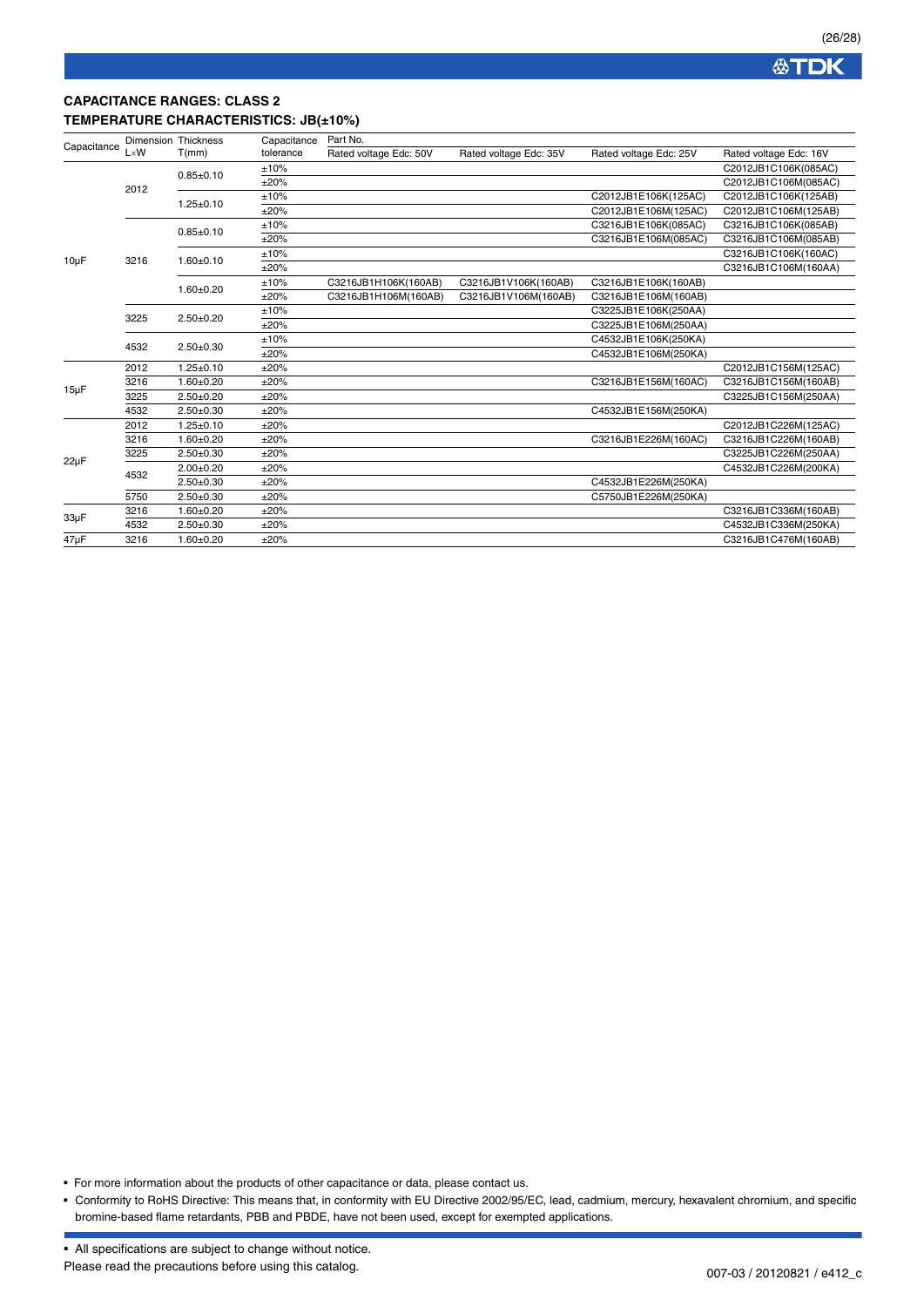

### **CAPACITANCE RANGES: CLASS 2 TEMPERATURE CHARACTERISTICS: JB(±10%)**

|              | T(mm)                                       | Capacitance                                                                   | Part No.               |                        |                        |                        |  |
|--------------|---------------------------------------------|-------------------------------------------------------------------------------|------------------------|------------------------|------------------------|------------------------|--|
| $L \times W$ |                                             | tolerance                                                                     | Rated voltage Edc: 50V | Rated voltage Edc: 35V | Rated voltage Edc: 25V | Rated voltage Edc: 16V |  |
|              | $0.85 + 0.10$                               | ±10%                                                                          |                        |                        |                        | C2012JB1C106K(085AC)   |  |
|              |                                             | ±20%                                                                          |                        |                        |                        | C2012JB1C106M(085AC)   |  |
|              | $1.25 \pm 0.10$                             | ±10%                                                                          |                        |                        | C2012JB1E106K(125AC)   | C2012JB1C106K(125AB)   |  |
|              |                                             | ±20%                                                                          |                        |                        | C2012JB1E106M(125AC)   | C2012JB1C106M(125AB)   |  |
|              | $0.85 + 0.10$                               | ±10%                                                                          |                        |                        | C3216JB1E106K(085AC)   | C3216JB1C106K(085AB)   |  |
|              |                                             | ±20%                                                                          |                        |                        | C3216JB1E106M(085AC)   | C3216JB1C106M(085AB)   |  |
|              |                                             | ±10%                                                                          |                        |                        |                        | C3216JB1C106K(160AC)   |  |
|              |                                             | ±20%                                                                          |                        |                        |                        | C3216JB1C106M(160AA)   |  |
|              |                                             | ±10%                                                                          | C3216JB1H106K(160AB)   | C3216JB1V106K(160AB)   | C3216JB1E106K(160AB)   |                        |  |
|              |                                             | ±20%                                                                          | C3216JB1H106M(160AB)   | C3216JB1V106M(160AB)   | C3216JB1E106M(160AB)   |                        |  |
|              | $2.50 + 0.20$                               | ±10%                                                                          |                        |                        | C3225JB1E106K(250AA)   |                        |  |
|              |                                             | ±20%                                                                          |                        |                        | C3225JB1E106M(250AA)   |                        |  |
|              |                                             | ±10%                                                                          |                        |                        | C4532JB1E106K(250KA)   |                        |  |
|              |                                             | ±20%                                                                          |                        |                        | C4532JB1E106M(250KA)   |                        |  |
| 2012         | $1.25 \pm 0.10$                             | ±20%                                                                          |                        |                        |                        | C2012JB1C156M(125AC)   |  |
| 3216         | $1.60 + 0.20$                               | ±20%                                                                          |                        |                        | C3216JB1E156M(160AC)   | C3216JB1C156M(160AB)   |  |
| 3225         | $2.50 + 0.20$                               | ±20%                                                                          |                        |                        |                        | C3225JB1C156M(250AA)   |  |
| 4532         | $2.50+0.30$                                 | ±20%                                                                          |                        |                        | C4532JB1E156M(250KA)   |                        |  |
| 2012         | $1.25 \pm 0.10$                             | ±20%                                                                          |                        |                        |                        | C2012JB1C226M(125AC)   |  |
| 3216         | $1.60 + 0.20$                               | ±20%                                                                          |                        |                        | C3216JB1E226M(160AC)   | C3216JB1C226M(160AB)   |  |
| 3225         | $2.50 + 0.30$                               | ±20%                                                                          |                        |                        |                        | C3225JB1C226M(250AA)   |  |
| 4532         | $2.00 + 0.20$                               | ±20%                                                                          |                        |                        |                        | C4532JB1C226M(200KA)   |  |
|              | $2.50+0.30$                                 | ±20%                                                                          |                        |                        | C4532JB1E226M(250KA)   |                        |  |
| 5750         | $2.50 + 0.30$                               | ±20%                                                                          |                        |                        | C5750JB1E226M(250KA)   |                        |  |
| 3216         | $1.60 + 0.20$                               | ±20%                                                                          |                        |                        |                        | C3216JB1C336M(160AB)   |  |
| 4532         | $2.50 + 0.30$                               | ±20%                                                                          |                        |                        |                        | C4532JB1C336M(250KA)   |  |
| 3216         | $1.60 + 0.20$                               | ±20%                                                                          |                        |                        |                        | C3216JB1C476M(160AB)   |  |
|              | Capacitance<br>2012<br>3216<br>3225<br>4532 | <b>Dimension Thickness</b><br>$1.60 + 0.10$<br>$1.60 + 0.20$<br>$2.50 + 0.30$ |                        |                        |                        |                        |  |

• For more information about the products of other capacitance or data, please contact us.

• Conformity to RoHS Directive: This means that, in conformity with EU Directive 2002/95/EC, lead, cadmium, mercury, hexavalent chromium, and specific bromine-based flame retardants, PBB and PBDE, have not been used, except for exempted applications.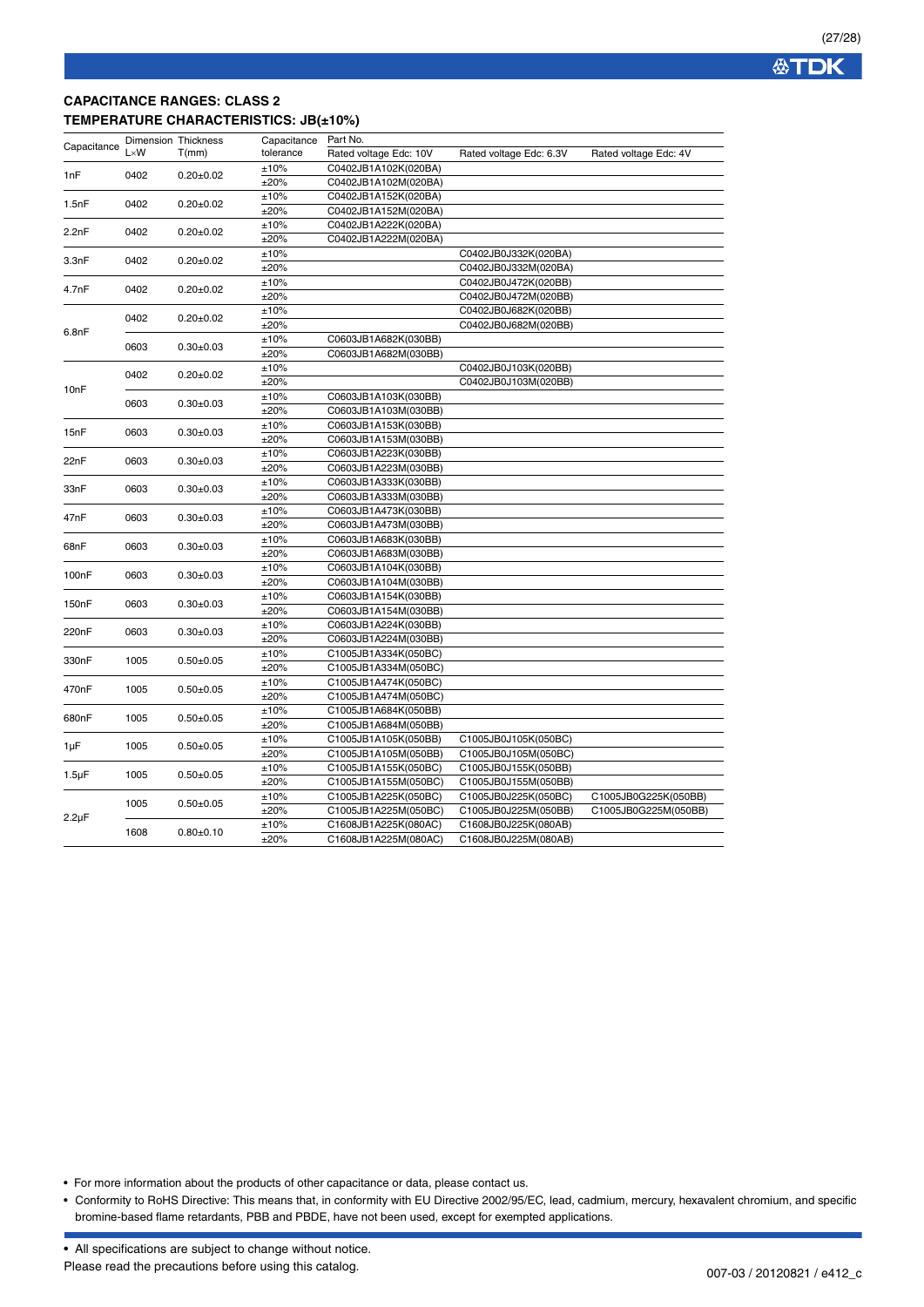

## **CAPACITANCE RANGES: CLASS 2 TEMPERATURE CHARACTERISTICS: JB(±10%)**

| Capacitance | Dimension Thickness<br>$L \times W$ | T(mm)           | Capacitance | Part No.               |                         |                       |
|-------------|-------------------------------------|-----------------|-------------|------------------------|-------------------------|-----------------------|
|             |                                     |                 | tolerance   | Rated voltage Edc: 10V | Rated voltage Edc: 6.3V | Rated voltage Edc: 4V |
| 1nF         | 0402                                | $0.20 \pm 0.02$ | ±10%        | C0402JB1A102K(020BA)   |                         |                       |
|             |                                     |                 | ±20%        | C0402JB1A102M(020BA)   |                         |                       |
| 1.5nF       | 0402                                | $0.20 \pm 0.02$ | ±10%        | C0402JB1A152K(020BA)   |                         |                       |
|             |                                     |                 | ±20%        | C0402JB1A152M(020BA)   |                         |                       |
| 2.2nF       | 0402                                | $0.20 \pm 0.02$ | ±10%        | C0402JB1A222K(020BA)   |                         |                       |
|             |                                     |                 | ±20%        | C0402JB1A222M(020BA)   |                         |                       |
| 3.3nF       | 0402                                | $0.20 \pm 0.02$ | ±10%        |                        | C0402JB0J332K(020BA)    |                       |
|             |                                     |                 | ±20%        |                        | C0402JB0J332M(020BA)    |                       |
| 4.7nF       | 0402                                | $0.20 \pm 0.02$ | ±10%        |                        | C0402JB0J472K(020BB)    |                       |
|             |                                     |                 | ±20%        |                        | C0402JB0J472M(020BB)    |                       |
|             | 0402                                | $0.20 \pm 0.02$ | ±10%        |                        | C0402JB0J682K(020BB)    |                       |
| 6.8nF       |                                     |                 | ±20%        |                        | C0402JB0J682M(020BB)    |                       |
|             | 0603                                | $0.30+0.03$     | ±10%        | C0603JB1A682K(030BB)   |                         |                       |
|             |                                     |                 | ±20%        | C0603JB1A682M(030BB)   |                         |                       |
|             | 0402                                | $0.20 \pm 0.02$ | ±10%        |                        | C0402JB0J103K(020BB)    |                       |
| 10nF        |                                     |                 | ±20%        |                        | C0402JB0J103M(020BB)    |                       |
|             | 0603                                | $0.30 \pm 0.03$ | ±10%        | C0603JB1A103K(030BB)   |                         |                       |
|             |                                     |                 | ±20%        | C0603JB1A103M(030BB)   |                         |                       |
| 15nF        | 0603                                | $0.30 \pm 0.03$ | ±10%        | C0603JB1A153K(030BB)   |                         |                       |
|             |                                     |                 | ±20%        | C0603JB1A153M(030BB)   |                         |                       |
| 22nF        | 0603                                | $0.30+0.03$     | ±10%        | C0603JB1A223K(030BB)   |                         |                       |
|             |                                     |                 | ±20%        | C0603JB1A223M(030BB)   |                         |                       |
| 33nF        | 0603                                | $0.30+0.03$     | ±10%        | C0603JB1A333K(030BB)   |                         |                       |
|             |                                     |                 | ±20%        | C0603JB1A333M(030BB)   |                         |                       |
| 47nF        | 0603                                | $0.30+0.03$     | ±10%        | C0603JB1A473K(030BB)   |                         |                       |
|             |                                     |                 | ±20%        | C0603JB1A473M(030BB)   |                         |                       |
| 68nF        | 0603                                | $0.30 \pm 0.03$ | ±10%        | C0603JB1A683K(030BB)   |                         |                       |
|             |                                     |                 | ±20%        | C0603JB1A683M(030BB)   |                         |                       |
| 100nF       | 0603                                | $0.30+0.03$     | ±10%        | C0603JB1A104K(030BB)   |                         |                       |
|             |                                     |                 | ±20%        | C0603JB1A104M(030BB)   |                         |                       |
| 150nF       | 0603                                | $0.30+0.03$     | ±10%        | C0603JB1A154K(030BB)   |                         |                       |
|             |                                     |                 | ±20%        | C0603JB1A154M(030BB)   |                         |                       |
| 220nF       | 0603                                | $0.30+0.03$     | ±10%        | C0603JB1A224K(030BB)   |                         |                       |
|             |                                     |                 | ±20%        | C0603JB1A224M(030BB)   |                         |                       |
| 330nF       | 1005                                | $0.50 \pm 0.05$ | ±10%        | C1005JB1A334K(050BC)   |                         |                       |
|             |                                     |                 | ±20%        | C1005JB1A334M(050BC)   |                         |                       |
| 470nF       | 1005                                | $0.50 + 0.05$   | ±10%        | C1005JB1A474K(050BC)   |                         |                       |
|             |                                     |                 | ±20%        | C1005JB1A474M(050BC)   |                         |                       |
| 680nF       | 1005                                | $0.50 + 0.05$   | ±10%        | C1005JB1A684K(050BB)   |                         |                       |
|             |                                     |                 | ±20%        | C1005JB1A684M(050BB)   |                         |                       |
| 1µF         | 1005                                | $0.50+0.05$     | ±10%        | C1005JB1A105K(050BB)   | C1005JB0J105K(050BC)    |                       |
|             |                                     |                 | ±20%        | C1005JB1A105M(050BB)   | C1005JB0J105M(050BC)    |                       |
| $1.5 \mu F$ | 1005                                | $0.50 + 0.05$   | ±10%        | C1005JB1A155K(050BC)   | C1005JB0J155K(050BB)    |                       |
|             |                                     |                 | ±20%        | C1005JB1A155M(050BC)   | C1005JB0J155M(050BB)    |                       |
|             | 1005                                | $0.50 + 0.05$   | ±10%        | C1005JB1A225K(050BC)   | C1005JB0J225K(050BC)    | C1005JB0G225K(050BB)  |
| $2.2\mu F$  |                                     |                 | ±20%        | C1005JB1A225M(050BC)   | C1005JB0J225M(050BB)    | C1005JB0G225M(050BB)  |
|             | 1608                                | $0.80 + 0.10$   | ±10%        | C1608JB1A225K(080AC)   | C1608JB0J225K(080AB)    |                       |
|             |                                     |                 | ±20%        | C1608JB1A225M(080AC)   | C1608JB0J225M(080AB)    |                       |

• For more information about the products of other capacitance or data, please contact us.

• Conformity to RoHS Directive: This means that, in conformity with EU Directive 2002/95/EC, lead, cadmium, mercury, hexavalent chromium, and specific bromine-based flame retardants, PBB and PBDE, have not been used, except for exempted applications.